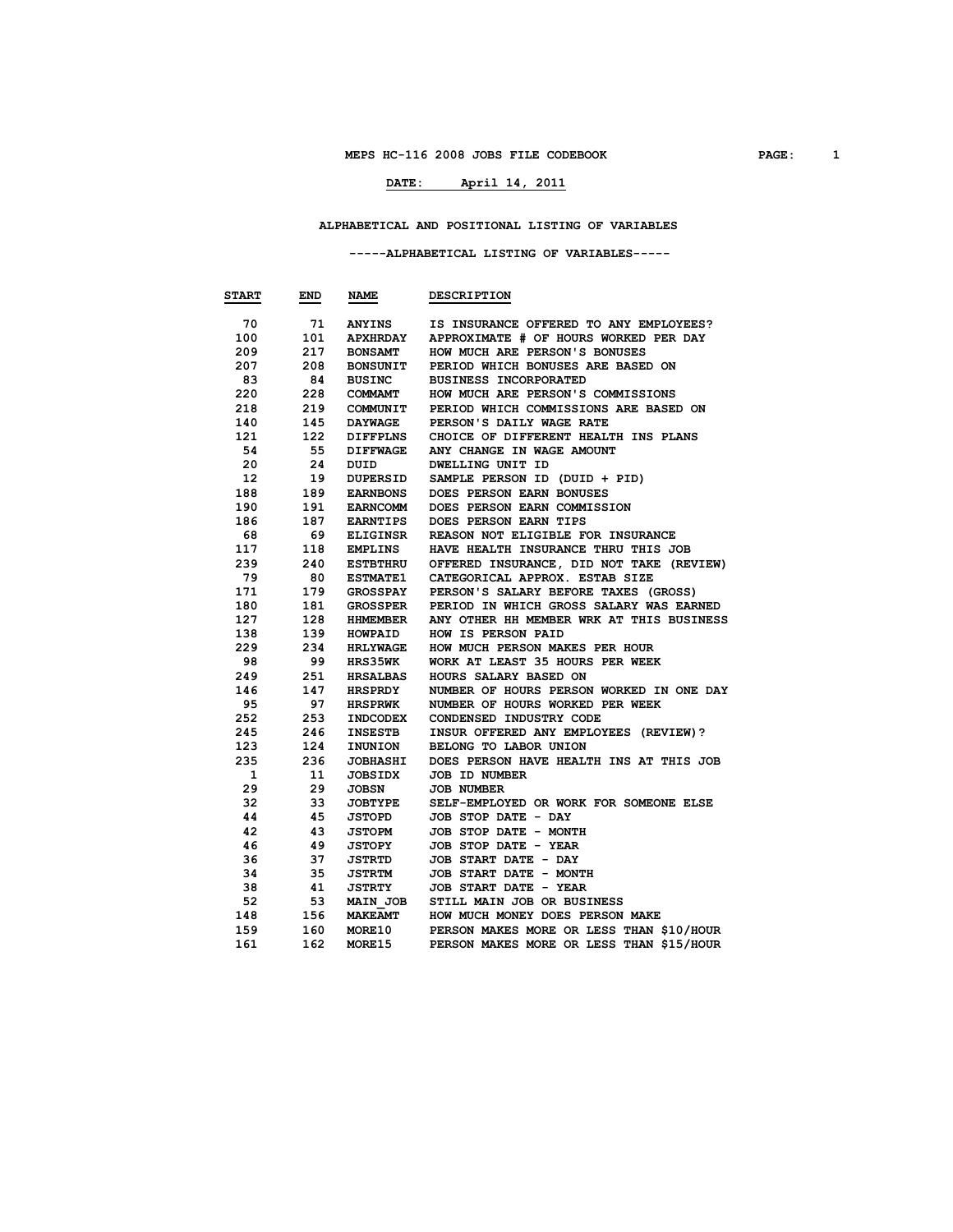# **DATE: April 14, 2011**

#### **ALPHABETICAL AND POSITIONAL LISTING OF VARIABLES**

#### **-----ALPHABETICAL LISTING OF VARIABLES-----**

| <b>START</b> | END | <b>NAME</b>     | <b>DESCRIPTION</b>                       |
|--------------|-----|-----------------|------------------------------------------|
|              |     |                 |                                          |
| 70           | 71  | <b>ANYINS</b>   | IS INSURANCE OFFERED TO ANY EMPLOYEES?   |
| 100          | 101 | <b>APXHRDAY</b> | APPROXIMATE # OF HOURS WORKED PER DAY    |
| 209          | 217 | <b>BONSAMT</b>  | HOW MUCH ARE PERSON'S BONUSES            |
| 207          | 208 | <b>BONSUNIT</b> | PERIOD WHICH BONUSES ARE BASED ON        |
| 83           | 84  | BUSINC          | <b>BUSINESS INCORPORATED</b>             |
| 220          | 228 | <b>COMMAMT</b>  | HOW MUCH ARE PERSON'S COMMISSIONS        |
| 218          | 219 | COMMUNIT        | PERIOD WHICH COMMISSIONS ARE BASED ON    |
| 140          | 145 | <b>DAYWAGE</b>  | PERSON'S DAILY WAGE RATE                 |
| 121          | 122 | <b>DIFFPLNS</b> | CHOICE OF DIFFERENT HEALTH INS PLANS     |
| 54           | 55  | <b>DIFFWAGE</b> | ANY CHANGE IN WAGE AMOUNT                |
| 20           | 24  | DUID            | <b>DWELLING UNIT ID</b>                  |
| 12           | 19  | <b>DUPERSID</b> | SAMPLE PERSON ID (DUID + PID)            |
| 188          | 189 | <b>EARNBONS</b> | DOES PERSON EARN BONUSES                 |
| 190          | 191 | <b>EARNCOMM</b> | DOES PERSON EARN COMMISSION              |
| 186          | 187 | EARNTIPS        | DOES PERSON EARN TIPS                    |
| 68           | 69  | <b>ELIGINSR</b> | REASON NOT ELIGIBLE FOR INSURANCE        |
| 117          | 118 | <b>EMPLINS</b>  | HAVE HEALTH INSURANCE THRU THIS JOB      |
| 239          | 240 | <b>ESTBTHRU</b> | OFFERED INSURANCE, DID NOT TAKE (REVIEW) |
| 79           | 80  | <b>ESTMATE1</b> | CATEGORICAL APPROX. ESTAB SIZE           |
| 171          | 179 | <b>GROSSPAY</b> | PERSON'S SALARY BEFORE TAXES (GROSS)     |
| 180          | 181 | <b>GROSSPER</b> | PERIOD IN WHICH GROSS SALARY WAS EARNED  |
| 127          | 128 | <b>HHMEMBER</b> | ANY OTHER HH MEMBER WRK AT THIS BUSINESS |
| 138          | 139 | <b>HOWPAID</b>  | HOW IS PERSON PAID                       |
| 229          | 234 | <b>HRLYWAGE</b> | HOW MUCH PERSON MAKES PER HOUR           |
| 98           | 99  | <b>HRS35WK</b>  | WORK AT LEAST 35 HOURS PER WEEK          |
| 249          | 251 | HRSALBAS        | HOURS SALARY BASED ON                    |
| 146          | 147 | HRSPRDY         | NUMBER OF HOURS PERSON WORKED IN ONE DAY |
| 95           | 97  | <b>HRSPRWK</b>  | NUMBER OF HOURS WORKED PER WEEK          |
| 252          | 253 | INDCODEX        | CONDENSED INDUSTRY CODE                  |
| 245          | 246 | <b>INSESTB</b>  | INSUR OFFERED ANY EMPLOYEES (REVIEW)?    |
| 123          | 124 | INUNION         | BELONG TO LABOR UNION                    |
| 235          | 236 | <b>JOBHASHI</b> | DOES PERSON HAVE HEALTH INS AT THIS JOB  |
| 1            | 11  | <b>JOBSIDX</b>  | JOB ID NUMBER                            |
| 29           | 29  | JOBSN           | <b>JOB NUMBER</b>                        |
| 32           | 33  | <b>JOBTYPE</b>  | SELF-EMPLOYED OR WORK FOR SOMEONE ELSE   |
| 44           | 45  | <b>JSTOPD</b>   | JOB STOP DATE - DAY                      |
| 42           | 43  | <b>JSTOPM</b>   | JOB STOP DATE - MONTH                    |
| 46           | 49  | JSTOPY          | JOB STOP DATE - YEAR                     |
| 36           | 37  | <b>JSTRTD</b>   | JOB START DATE - DAY                     |
| 34           | 35  | <b>JSTRTM</b>   | JOB START DATE - MONTH                   |
| 38           | 41  | JSTRTY          | JOB START DATE - YEAR                    |
| 52           | 53  | MAIN JOB        | STILL MAIN JOB OR BUSINESS               |
| 148          | 156 | <b>MAKEAMT</b>  | HOW MUCH MONEY DOES PERSON MAKE          |
| 159          | 160 | <b>MORE10</b>   | PERSON MAKES MORE OR LESS THAN \$10/HOUR |
| 161          | 162 | <b>MORE15</b>   | PERSON MAKES MORE OR LESS THAN \$15/HOUR |
|              |     |                 |                                          |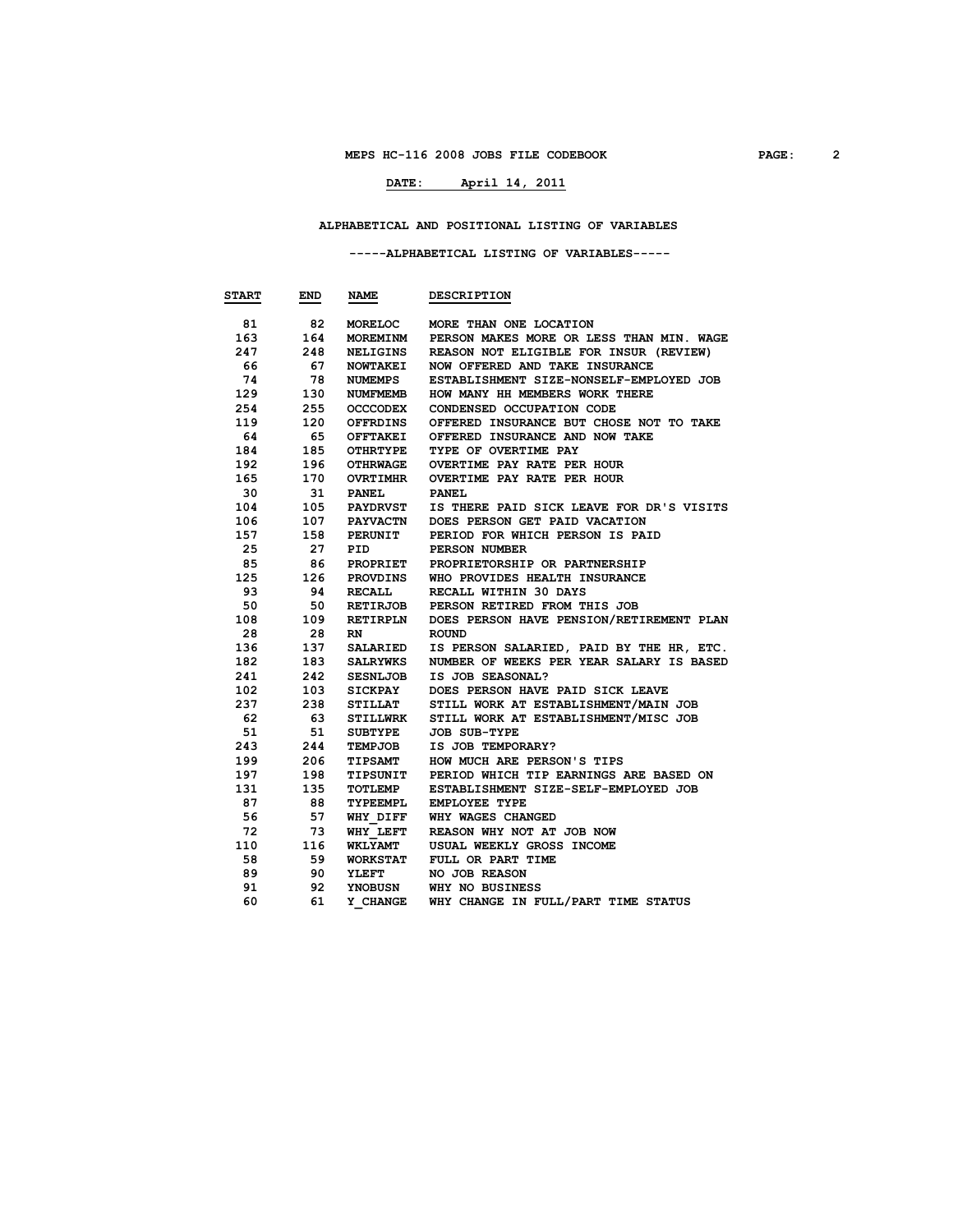# **DATE: April 14, 2011**

#### **ALPHABETICAL AND POSITIONAL LISTING OF VARIABLES**

#### **-----ALPHABETICAL LISTING OF VARIABLES-----**

| <b>START</b> | END  | NAME            | <b>DESCRIPTION</b>                       |
|--------------|------|-----------------|------------------------------------------|
| 81           | 82   | MORELOC         | MORE THAN ONE LOCATION                   |
| 163          | 164  | <b>MOREMINM</b> | PERSON MAKES MORE OR LESS THAN MIN. WAGE |
| 247          | 248  | NELIGINS        | REASON NOT ELIGIBLE FOR INSUR (REVIEW)   |
| 66           | 67   | <b>NOWTAKEI</b> | NOW OFFERED AND TAKE INSURANCE           |
| 74           | 78   | NUMEMPS         | ESTABLISHMENT SIZE-NONSELF-EMPLOYED JOB  |
| 129          | 130  | NUMFMEMB        | HOW MANY HH MEMBERS WORK THERE           |
| 254          | 255  | <b>OCCCODEX</b> | CONDENSED OCCUPATION CODE                |
| 119          | 120  | OFFRDINS        | OFFERED INSURANCE BUT CHOSE NOT TO TAKE  |
| 64           | - 65 | OFFTAKEI        | OFFERED INSURANCE AND NOW TAKE           |
| 184          | 185  | OTHRTYPE        | TYPE OF OVERTIME PAY                     |
| 192          | 196  | <b>OTHRWAGE</b> | OVERTIME PAY RATE PER HOUR               |
| 165          | 170  | <b>OVRTIMHR</b> | OVERTIME PAY RATE PER HOUR               |
| 30           | 31   | <b>PANEL</b>    | <b>PANEL</b>                             |
| 104          | 105  | <b>PAYDRVST</b> | IS THERE PAID SICK LEAVE FOR DR'S VISITS |
| 106          | 107  | <b>PAYVACTN</b> | DOES PERSON GET PAID VACATION            |
| 157          | 158  | <b>PERUNIT</b>  | PERIOD FOR WHICH PERSON IS PAID          |
| 25           | 27   | PID             | PERSON NUMBER                            |
| 85           | 86   | PROPRIET        | PROPRIETORSHIP OR PARTNERSHIP            |
| 125          | 126  | PROVDINS        | WHO PROVIDES HEALTH INSURANCE            |
| 93           | 94   | RECALL          | RECALL WITHIN 30 DAYS                    |
| 50           | 50   | <b>RETIRJOB</b> | PERSON RETIRED FROM THIS JOB             |
| 108          | 109  | RETIRPLN        | DOES PERSON HAVE PENSION/RETIREMENT PLAN |
| 28           | 28   | RN.             | <b>ROUND</b>                             |
| 136          | 137  | SALARIED        | IS PERSON SALARIED, PAID BY THE HR, ETC. |
| 182          | 183  | SALRYWKS        | NUMBER OF WEEKS PER YEAR SALARY IS BASED |
| 241          | 242  | <b>SESNLJOB</b> | IS JOB SEASONAL?                         |
| 102          | 103  | SICKPAY         | DOES PERSON HAVE PAID SICK LEAVE         |
| 237          | 238  | STILLAT         | STILL WORK AT ESTABLISHMENT/MAIN JOB     |
| 62           | 63   | <b>STILLWRK</b> | STILL WORK AT ESTABLISHMENT/MISC JOB     |
| 51           | 51   | SUBTYPE         | <b>JOB SUB-TYPE</b>                      |
| 243          | 244  | TEMPJOB         | IS JOB TEMPORARY?                        |
| 199          | 206  | <b>TIPSAMT</b>  | HOW MUCH ARE PERSON'S TIPS               |
| 197          | 198  | TIPSUNIT        | PERIOD WHICH TIP EARNINGS ARE BASED ON   |
| 131          | 135  | <b>TOTLEMP</b>  | ESTABLISHMENT SIZE-SELF-EMPLOYED JOB     |
| 87           | 88   | TYPEEMPL        | EMPLOYEE TYPE                            |
| 56           | 57   | WHY DIFF        | WHY WAGES CHANGED                        |
| 72           | 73   | <b>WHY LEFT</b> | REASON WHY NOT AT JOB NOW                |
| 110          | 116  | <b>WKLYAMT</b>  | USUAL WEEKLY GROSS INCOME                |
| 58           | 59   | <b>WORKSTAT</b> | FULL OR PART TIME                        |
| 89           | 90   | YLEFT           | NO JOB REASON                            |
| 91           | 92   | <b>YNOBUSN</b>  | WHY NO BUSINESS                          |
| 60           | 61   | Y CHANGE        | WHY CHANGE IN FULL/PART TIME STATUS      |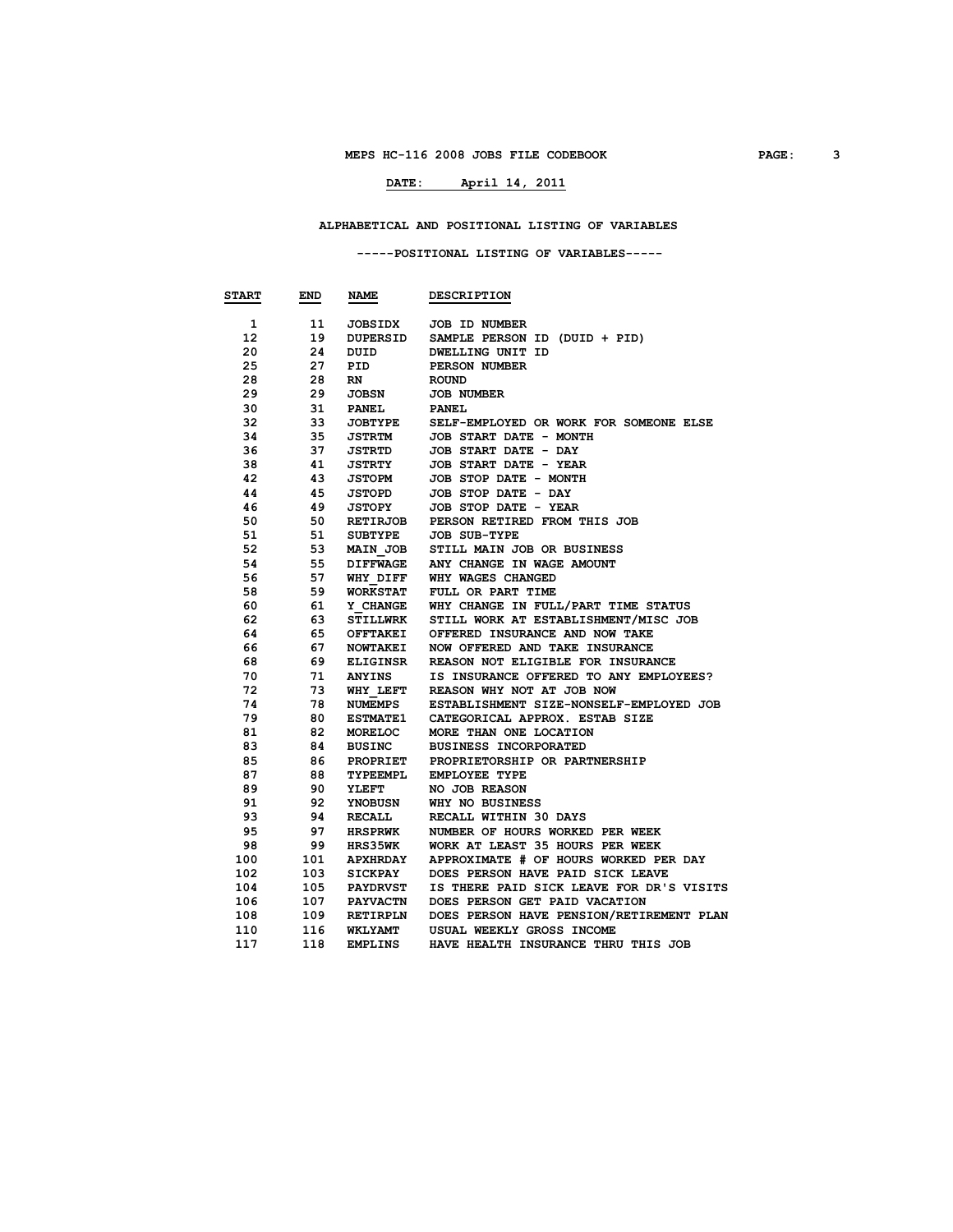# **DATE: April 14, 2011**

#### **ALPHABETICAL AND POSITIONAL LISTING OF VARIABLES**

 **-----POSITIONAL LISTING OF VARIABLES-----**

| <b>START</b>    | END | <b>NAME</b>     | <b>DESCRIPTION</b>                       |
|-----------------|-----|-----------------|------------------------------------------|
|                 |     |                 |                                          |
| 1.              | 11  | <b>JOBSIDX</b>  | JOB ID NUMBER                            |
| 12 <sup>7</sup> | 19  | <b>DUPERSID</b> | SAMPLE PERSON ID (DUID + PID)            |
| 20              | 24  | DUID            | DWELLING UNIT ID                         |
| 25              | 27  | PID             | PERSON NUMBER                            |
| 28              | 28  | <b>RN</b>       | <b>ROUND</b>                             |
| 29              | 29  | JOBSN           | <b>JOB NUMBER</b>                        |
| 30              | 31  | <b>PANEL</b>    | <b>PANEL</b>                             |
| 32              | 33  | <b>JOBTYPE</b>  | SELF-EMPLOYED OR WORK FOR SOMEONE ELSE   |
| 34              | 35  | JSTRTM          | JOB START DATE - MONTH                   |
| 36              | 37  | <b>JSTRTD</b>   | JOB START DATE - DAY                     |
| 38              | 41  | JSTRTY          | JOB START DATE - YEAR                    |
| 42              | 43  | <b>JSTOPM</b>   | JOB STOP DATE - MONTH                    |
| 44              | 45  | <b>JSTOPD</b>   | JOB STOP DATE - DAY                      |
| 46              | 49  | <b>JSTOPY</b>   | JOB STOP DATE - YEAR                     |
| 50              | 50  | <b>RETIRJOB</b> | PERSON RETIRED FROM THIS JOB             |
| 51              | 51  | <b>SUBTYPE</b>  | <b>JOB SUB-TYPE</b>                      |
| 52              | 53  | <b>MAIN JOB</b> | STILL MAIN JOB OR BUSINESS               |
| 54              | 55  | <b>DIFFWAGE</b> | ANY CHANGE IN WAGE AMOUNT                |
| 56              | 57  | WHY DIFF        | WHY WAGES CHANGED                        |
| 58              | 59  | <b>WORKSTAT</b> | FULL OR PART TIME                        |
| 60              | 61  | Y CHANGE        | WHY CHANGE IN FULL/PART TIME STATUS      |
| 62              | 63  | <b>STILLWRK</b> | STILL WORK AT ESTABLISHMENT/MISC JOB     |
| 64              | 65  | OFFTAKEI        | OFFERED INSURANCE AND NOW TAKE           |
| 66              | 67  | <b>NOWTAKEI</b> | NOW OFFERED AND TAKE INSURANCE           |
| 68              | 69  | <b>ELIGINSR</b> | REASON NOT ELIGIBLE FOR INSURANCE        |
| 70              | 71  | ANYINS          | IS INSURANCE OFFERED TO ANY EMPLOYEES?   |
| 72              | 73  | WHY LEFT        | REASON WHY NOT AT JOB NOW                |
| 74              | 78  | NUMEMPS         | ESTABLISHMENT SIZE-NONSELF-EMPLOYED JOB  |
| 79              | 80  | <b>ESTMATE1</b> | CATEGORICAL APPROX. ESTAB SIZE           |
| 81              | 82  | MORELOC         | MORE THAN ONE LOCATION                   |
| 83              | 84  | <b>BUSINC</b>   | <b>BUSINESS INCORPORATED</b>             |
| 85              | 86  | PROPRIET        | PROPRIETORSHIP OR PARTNERSHIP            |
| 87              | 88  | TYPEEMPL        | EMPLOYEE TYPE                            |
| 89              | 90  | <b>YLEFT</b>    | NO JOB REASON                            |
| 91              | 92  | YNOBUSN         | WHY NO BUSINESS                          |
| 93              | 94  | <b>RECALL</b>   | RECALL WITHIN 30 DAYS                    |
| 95              | 97  | HRSPRWK         | NUMBER OF HOURS WORKED PER WEEK          |
| 98              | 99  | <b>HRS35WK</b>  | WORK AT LEAST 35 HOURS PER WEEK          |
| 100             | 101 | <b>APXHRDAY</b> | APPROXIMATE # OF HOURS WORKED PER DAY    |
| 102             | 103 | <b>SICKPAY</b>  | DOES PERSON HAVE PAID SICK LEAVE         |
| 104             | 105 | <b>PAYDRVST</b> | IS THERE PAID SICK LEAVE FOR DR'S VISITS |
| 106             | 107 | <b>PAYVACTN</b> | DOES PERSON GET PAID VACATION            |
| 108             | 109 | <b>RETIRPLN</b> | DOES PERSON HAVE PENSION/RETIREMENT PLAN |
| 110             | 116 | <b>WKLYAMT</b>  | USUAL WEEKLY GROSS INCOME                |
| 117             | 118 | <b>EMPLINS</b>  | HAVE HEALTH INSURANCE THRU THIS JOB      |
|                 |     |                 |                                          |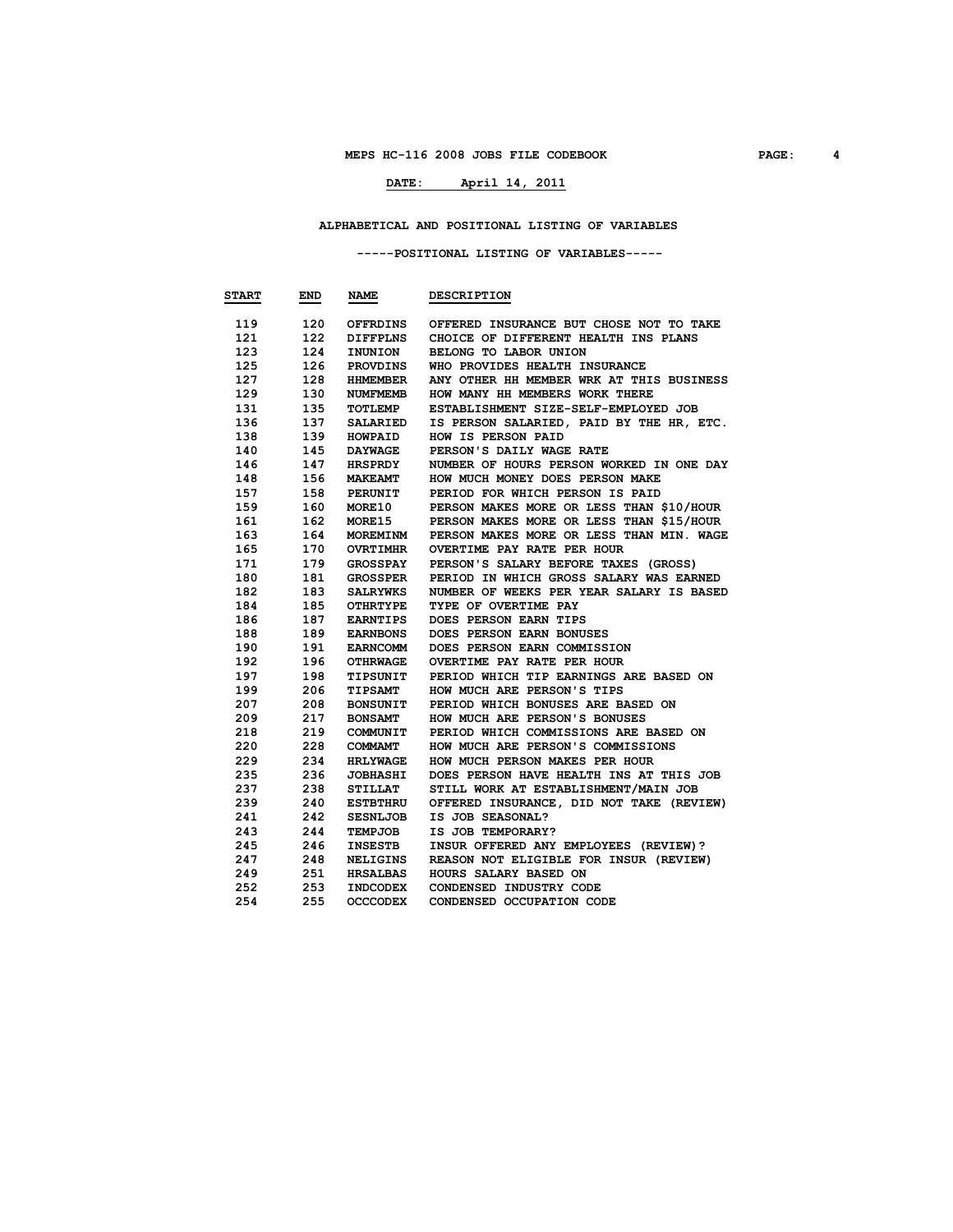# **DATE: April 14, 2011**

#### **ALPHABETICAL AND POSITIONAL LISTING OF VARIABLES**

#### **-----POSITIONAL LISTING OF VARIABLES-----**

| <b>START</b> | END | NAME            | <b>DESCRIPTION</b>                       |
|--------------|-----|-----------------|------------------------------------------|
| 119          | 120 | OFFRDINS        | OFFERED INSURANCE BUT CHOSE NOT TO TAKE  |
| 121          | 122 | DIFFPLNS        | CHOICE OF DIFFERENT HEALTH INS PLANS     |
| 123          | 124 | INUNION         | BELONG TO LABOR UNION                    |
| 125          | 126 | PROVDINS        | WHO PROVIDES HEALTH INSURANCE            |
| 127          | 128 | HHMEMBER        | ANY OTHER HH MEMBER WRK AT THIS BUSINESS |
| 129          | 130 | NUMFMEMB        | HOW MANY HH MEMBERS WORK THERE           |
| 131          | 135 | <b>TOTLEMP</b>  | ESTABLISHMENT SIZE-SELF-EMPLOYED JOB     |
| 136          | 137 | SALARIED        | IS PERSON SALARIED, PAID BY THE HR, ETC. |
| 138          | 139 | <b>HOWPAID</b>  | HOW IS PERSON PAID                       |
| 140          | 145 | <b>DAYWAGE</b>  | PERSON'S DAILY WAGE RATE                 |
| 146          | 147 | <b>HRSPRDY</b>  | NUMBER OF HOURS PERSON WORKED IN ONE DAY |
| 148          | 156 | <b>MAKEAMT</b>  | HOW MUCH MONEY DOES PERSON MAKE          |
| 157          | 158 | PERUNIT         | PERIOD FOR WHICH PERSON IS PAID          |
| 159          | 160 | <b>MORE10</b>   | PERSON MAKES MORE OR LESS THAN \$10/HOUR |
| 161          | 162 | <b>MORE15</b>   | PERSON MAKES MORE OR LESS THAN \$15/HOUR |
| 163          | 164 | <b>MOREMINM</b> | PERSON MAKES MORE OR LESS THAN MIN. WAGE |
| 165          | 170 | <b>OVRTIMHR</b> | OVERTIME PAY RATE PER HOUR               |
| 171          | 179 | GROSSPAY        | PERSON'S SALARY BEFORE TAXES (GROSS)     |
| 180          | 181 | GROSSPER        | PERIOD IN WHICH GROSS SALARY WAS EARNED  |
| 182          | 183 | SALRYWKS        | NUMBER OF WEEKS PER YEAR SALARY IS BASED |
| 184          | 185 | OTHRTYPE        | TYPE OF OVERTIME PAY                     |
| 186          | 187 | EARNTIPS        | DOES PERSON EARN TIPS                    |
| 188          | 189 | <b>EARNBONS</b> | DOES PERSON EARN BONUSES                 |
| 190          | 191 | <b>EARNCOMM</b> | DOES PERSON EARN COMMISSION              |
| 192          | 196 | <b>OTHRWAGE</b> | OVERTIME PAY RATE PER HOUR               |
| 197          | 198 | <b>TIPSUNIT</b> | PERIOD WHICH TIP EARNINGS ARE BASED ON   |
| 199          | 206 | <b>TIPSAMT</b>  | HOW MUCH ARE PERSON'S TIPS               |
| 207          | 208 | <b>BONSUNIT</b> | PERIOD WHICH BONUSES ARE BASED ON        |
| 209          | 217 | <b>BONSAMT</b>  | HOW MUCH ARE PERSON'S BONUSES            |
| 218          | 219 | COMMUNIT        | PERIOD WHICH COMMISSIONS ARE BASED ON    |
| 220          | 228 | <b>COMMAMT</b>  | HOW MUCH ARE PERSON'S COMMISSIONS        |
| 229          | 234 | <b>HRLYWAGE</b> | HOW MUCH PERSON MAKES PER HOUR           |
| 235          | 236 | <b>JOBHASHI</b> | DOES PERSON HAVE HEALTH INS AT THIS JOB  |
| 237          | 238 | <b>STILLAT</b>  | STILL WORK AT ESTABLISHMENT/MAIN JOB     |
| 239          | 240 | <b>ESTBTHRU</b> | OFFERED INSURANCE, DID NOT TAKE (REVIEW) |
| 241          | 242 | <b>SESNLJOB</b> | IS JOB SEASONAL?                         |
| 243          | 244 | <b>TEMPJOB</b>  | IS JOB TEMPORARY?                        |
| 245          | 246 | <b>INSESTB</b>  | INSUR OFFERED ANY EMPLOYEES (REVIEW)?    |
| 247          | 248 | <b>NELIGINS</b> | REASON NOT ELIGIBLE FOR INSUR (REVIEW)   |
| 249          | 251 | <b>HRSALBAS</b> | HOURS SALARY BASED ON                    |
| 252          | 253 | <b>INDCODEX</b> | CONDENSED INDUSTRY CODE                  |
| 254          | 255 | <b>OCCCODEX</b> | CONDENSED OCCUPATION CODE                |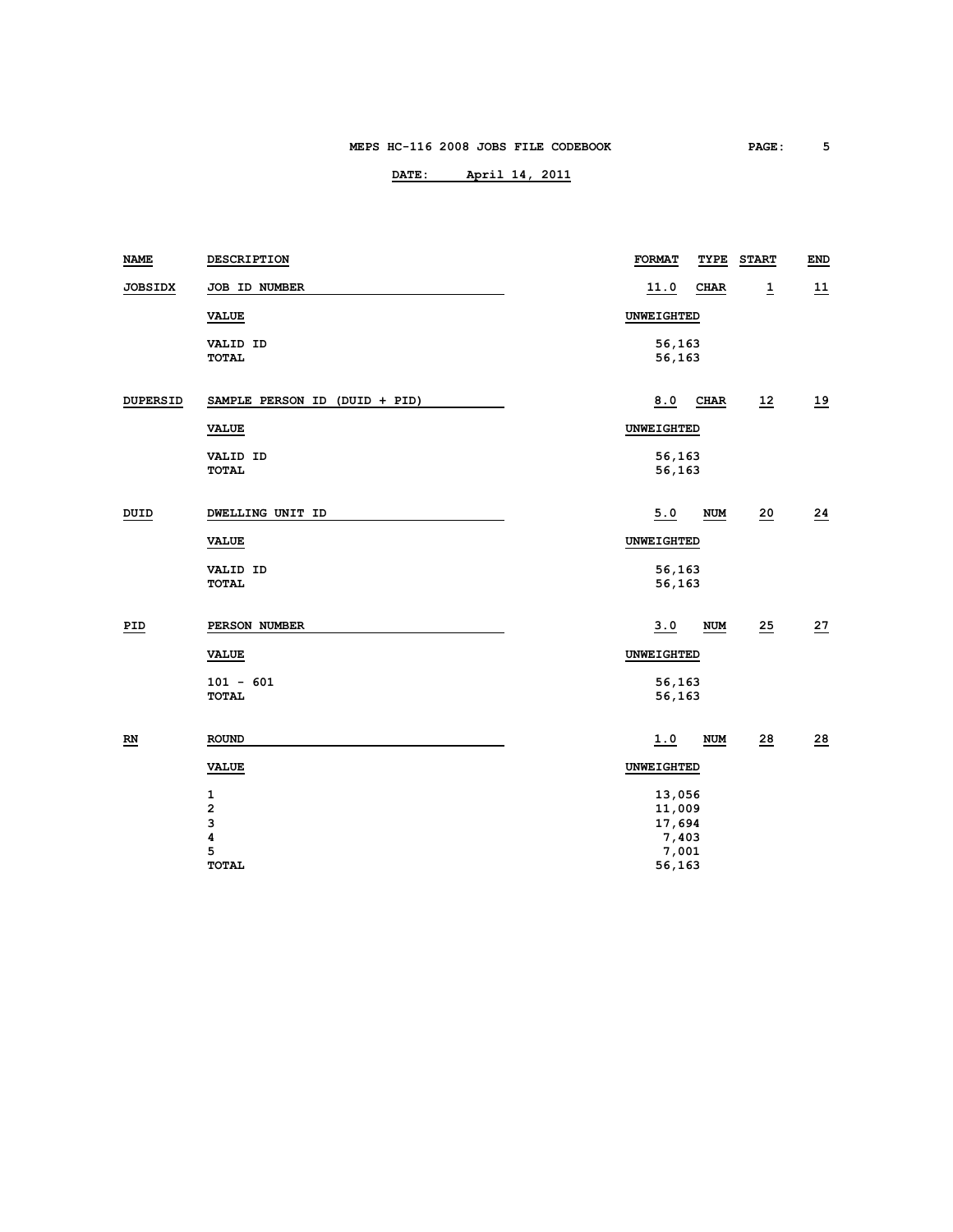| <b>NAME</b>               | <b>DESCRIPTION</b>                                     | <b>FORMAT</b>                                | TYPE        | <b>START</b>    | END             |
|---------------------------|--------------------------------------------------------|----------------------------------------------|-------------|-----------------|-----------------|
| <b>JOBSIDX</b>            | JOB ID NUMBER                                          | 11.0                                         | <b>CHAR</b> | $\overline{1}$  | 11              |
|                           | <b>VALUE</b>                                           | UNWEIGHTED                                   |             |                 |                 |
|                           | VALID ID<br><b>TOTAL</b>                               | 56,163<br>56,163                             |             |                 |                 |
| <b>DUPERSID</b>           | SAMPLE PERSON ID (DUID + PID)                          | 8.0                                          | CHAR        | 12              | 19              |
|                           | <b>VALUE</b>                                           | UNWEIGHTED                                   |             |                 |                 |
|                           | VALID ID<br><b>TOTAL</b>                               | 56,163<br>56,163                             |             |                 |                 |
| DUID                      | DWELLING UNIT ID                                       | 5.0                                          | <b>NUM</b>  | 20              | $\overline{24}$ |
|                           | <b>VALUE</b>                                           | UNWEIGHTED                                   |             |                 |                 |
|                           | VALID ID<br><b>TOTAL</b>                               | 56,163<br>56,163                             |             |                 |                 |
| PID                       | PERSON NUMBER                                          | 3.0                                          | <b>NUM</b>  | 25              | 27              |
|                           | VALUE                                                  | UNWEIGHTED                                   |             |                 |                 |
|                           | $101 - 601$<br><b>TOTAL</b>                            | 56,163<br>56,163                             |             |                 |                 |
| $\underline{\mathbf{RN}}$ | <b>ROUND</b>                                           | 1.0                                          | <b>NUM</b>  | $\overline{28}$ | 28              |
|                           | <b>VALUE</b>                                           | UNWEIGHTED                                   |             |                 |                 |
|                           | $\mathbf{1}$<br>$\overline{\mathbf{c}}$<br>3<br>4<br>5 | 13,056<br>11,009<br>17,694<br>7,403<br>7,001 |             |                 |                 |
|                           | <b>TOTAL</b>                                           | 56,163                                       |             |                 |                 |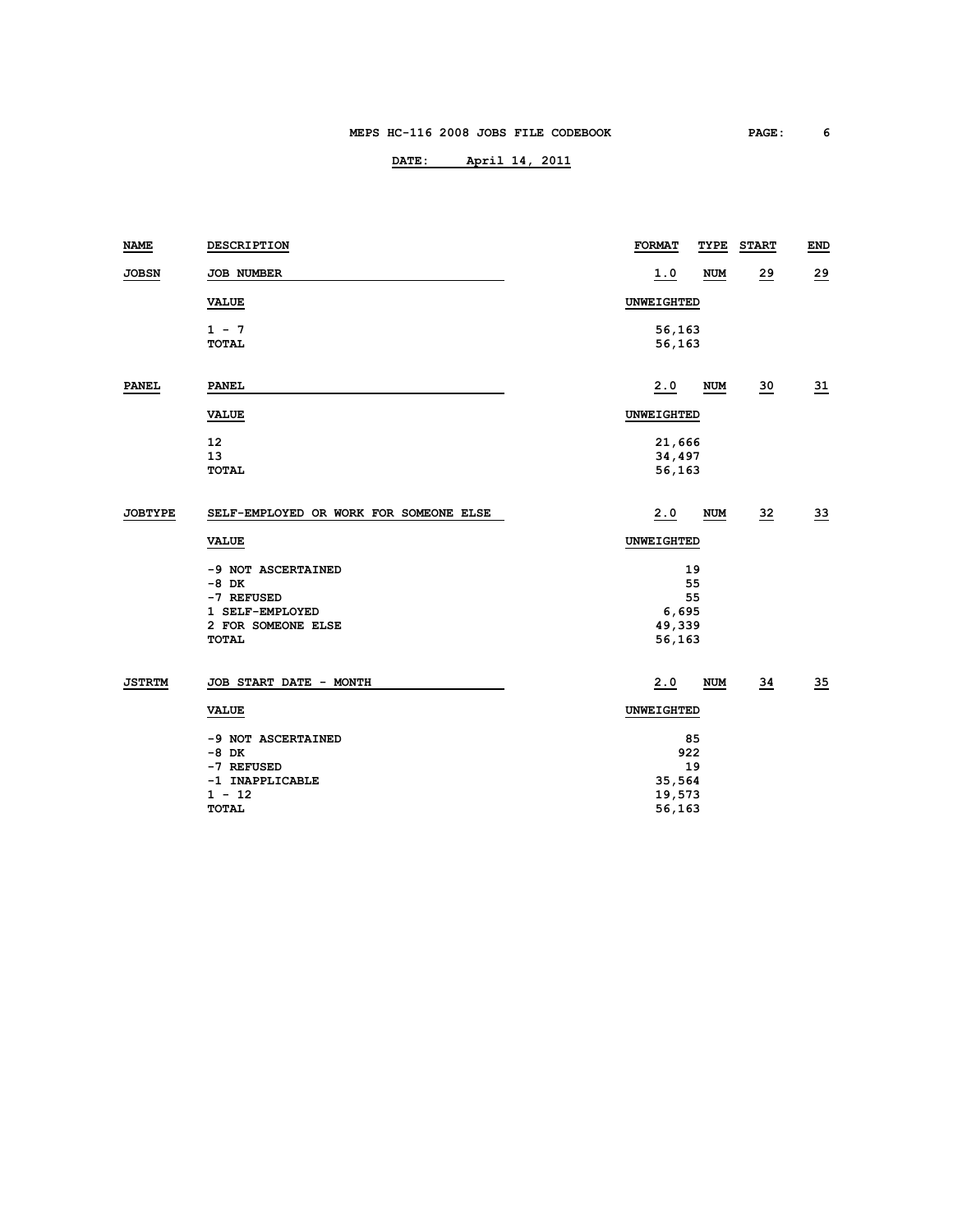| <b>NAME</b>    | <b>DESCRIPTION</b>                     | <b>FORMAT</b> | TYPE       | <b>START</b>    | END             |
|----------------|----------------------------------------|---------------|------------|-----------------|-----------------|
| <b>JOBSN</b>   | JOB NUMBER                             | <u>1.0</u>    | <b>NUM</b> | 29              | 29              |
|                | <b>VALUE</b>                           | UNWEIGHTED    |            |                 |                 |
|                | $1 - 7$                                | 56,163        |            |                 |                 |
|                | <b>TOTAL</b>                           | 56,163        |            |                 |                 |
| <b>PANEL</b>   | <b>PANEL</b>                           | 2.0           | <b>NUM</b> | $\frac{30}{2}$  | $\overline{31}$ |
|                | <b>VALUE</b>                           | UNWEIGHTED    |            |                 |                 |
|                | 12                                     | 21,666        |            |                 |                 |
|                | 13                                     | 34,497        |            |                 |                 |
|                | <b>TOTAL</b>                           | 56,163        |            |                 |                 |
| <b>JOBTYPE</b> | SELF-EMPLOYED OR WORK FOR SOMEONE ELSE | 2.0           | NUM        | 32              | $\overline{33}$ |
|                | <b>VALUE</b>                           | UNWEIGHTED    |            |                 |                 |
|                | -9 NOT ASCERTAINED                     | 19            |            |                 |                 |
|                | $-8$ DK                                | 55            |            |                 |                 |
|                | -7 REFUSED                             | 55            |            |                 |                 |
|                | 1 SELF-EMPLOYED                        | 6,695         |            |                 |                 |
|                | 2 FOR SOMEONE ELSE                     | 49,339        |            |                 |                 |
|                | <b>TOTAL</b>                           | 56,163        |            |                 |                 |
| <b>JSTRTM</b>  | JOB START DATE - MONTH                 | 2.0           | <b>NUM</b> | $\overline{34}$ | $\overline{35}$ |
|                | VALUE                                  | UNWEIGHTED    |            |                 |                 |
|                | -9 NOT ASCERTAINED                     | 85            |            |                 |                 |
|                | $-8$ DK                                | 922           |            |                 |                 |
|                | -7 REFUSED                             | 19            |            |                 |                 |
|                | -1 INAPPLICABLE                        | 35,564        |            |                 |                 |
|                | $1 - 12$                               | 19,573        |            |                 |                 |
|                | <b>TOTAL</b>                           | 56,163        |            |                 |                 |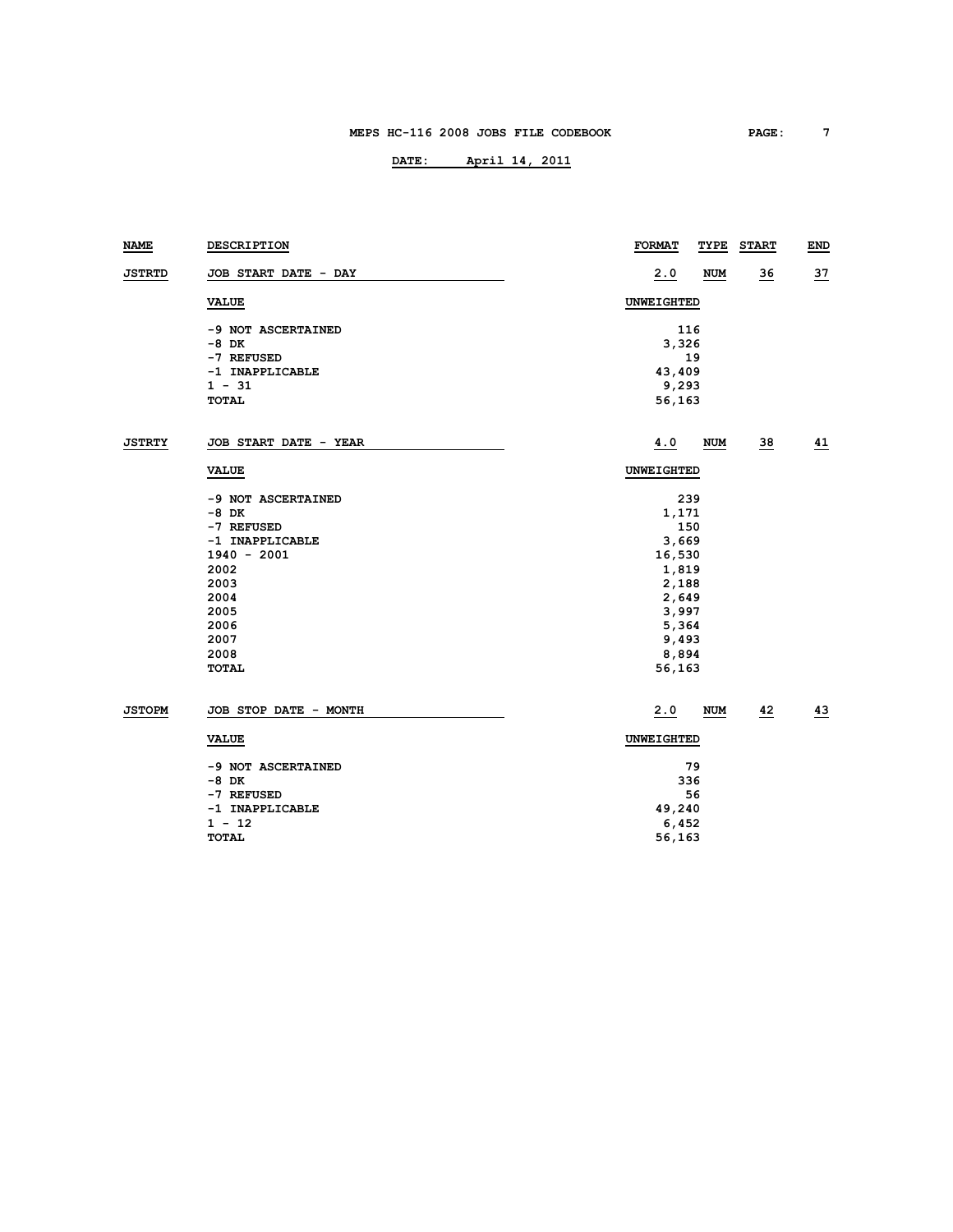| NAME          | DESCRIPTION           | <b>FORMAT</b><br>TYPE | <b>START</b>    | END       |
|---------------|-----------------------|-----------------------|-----------------|-----------|
| <b>JSTRTD</b> | JOB START DATE - DAY  | 2.0<br><b>NUM</b>     | <u>36</u>       | <u>37</u> |
|               | <b>VALUE</b>          | UNWEIGHTED            |                 |           |
|               | -9 NOT ASCERTAINED    | 116                   |                 |           |
|               | $-8$ DK               | 3,326                 |                 |           |
|               | -7 REFUSED            | 19                    |                 |           |
|               | -1 INAPPLICABLE       | 43,409                |                 |           |
|               | $1 - 31$              | 9,293                 |                 |           |
|               | <b>TOTAL</b>          | 56,163                |                 |           |
| <b>JSTRTY</b> | JOB START DATE - YEAR | 4.0<br>NUM            | $\overline{38}$ | 41        |
|               | <b>VALUE</b>          | UNWEIGHTED            |                 |           |
|               | -9 NOT ASCERTAINED    | 239                   |                 |           |
|               | $-8$ DK               | 1,171                 |                 |           |
|               | -7 REFUSED            | 150                   |                 |           |
|               | -1 INAPPLICABLE       | 3,669                 |                 |           |
|               | $1940 - 2001$         | 16,530                |                 |           |
|               | 2002                  | 1,819                 |                 |           |
|               | 2003                  | 2,188                 |                 |           |
|               | 2004                  | 2,649                 |                 |           |
|               | 2005                  | 3,997                 |                 |           |
|               | 2006                  | 5,364                 |                 |           |
|               | 2007                  | 9,493                 |                 |           |
|               | 2008                  | 8,894                 |                 |           |
|               | <b>TOTAL</b>          | 56,163                |                 |           |
| <b>JSTOPM</b> | JOB STOP DATE - MONTH | 2.0<br><b>NUM</b>     | 42              | 43        |
|               | <b>VALUE</b>          | UNWEIGHTED            |                 |           |
|               | -9 NOT ASCERTAINED    | 79                    |                 |           |
|               | $-8$ DK               | 336                   |                 |           |
|               | -7 REFUSED            | 56                    |                 |           |
|               | -1 INAPPLICABLE       | 49,240                |                 |           |
|               | $1 - 12$              | 6,452                 |                 |           |
|               | <b>TOTAL</b>          | 56,163                |                 |           |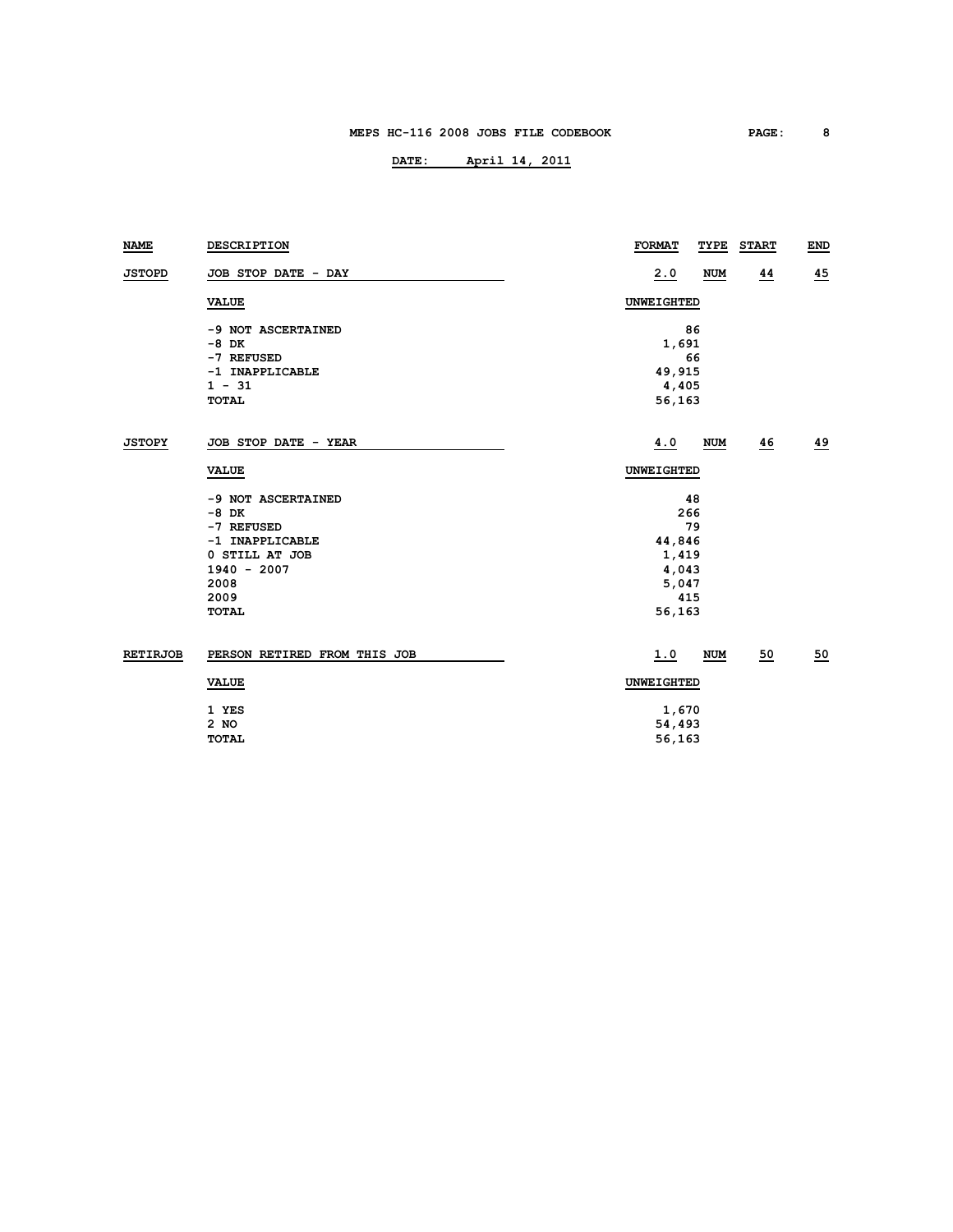| NAME            | <b>DESCRIPTION</b>           | <b>FORMAT</b><br>TYPE | <b>START</b> | END |
|-----------------|------------------------------|-----------------------|--------------|-----|
| <b>JSTOPD</b>   | JOB STOP DATE - DAY          | 2.0<br><b>NUM</b>     | 44           | 45  |
|                 | <b>VALUE</b>                 | <b>UNWEIGHTED</b>     |              |     |
|                 | -9 NOT ASCERTAINED           | 86                    |              |     |
|                 | $-8$ DK                      | 1,691                 |              |     |
|                 | -7 REFUSED                   | 66                    |              |     |
|                 | -1 INAPPLICABLE              | 49,915                |              |     |
|                 | $1 - 31$                     | 4,405                 |              |     |
|                 | TOTAL                        | 56,163                |              |     |
| <b>JSTOPY</b>   | JOB STOP DATE - YEAR         | 4.0<br>NUM            | 46           | 49  |
|                 | <b>VALUE</b>                 | UNWEIGHTED            |              |     |
|                 | -9 NOT ASCERTAINED           | 48                    |              |     |
|                 | $-8$ DK                      | 266                   |              |     |
|                 | -7 REFUSED                   | 79                    |              |     |
|                 | -1 INAPPLICABLE              | 44,846                |              |     |
|                 | 0 STILL AT JOB               | 1,419                 |              |     |
|                 | $1940 - 2007$                | 4,043                 |              |     |
|                 | 2008                         | 5,047                 |              |     |
|                 | 2009                         | 415                   |              |     |
|                 | <b>TOTAL</b>                 | 56,163                |              |     |
| <b>RETIRJOB</b> | PERSON RETIRED FROM THIS JOB | 1.0<br><b>NUM</b>     | 50           | 50  |
|                 | <b>VALUE</b>                 | UNWEIGHTED            |              |     |
|                 | 1 YES                        | 1,670                 |              |     |
|                 | 2 NO                         | 54,493                |              |     |
|                 | <b>TOTAL</b>                 | 56,163                |              |     |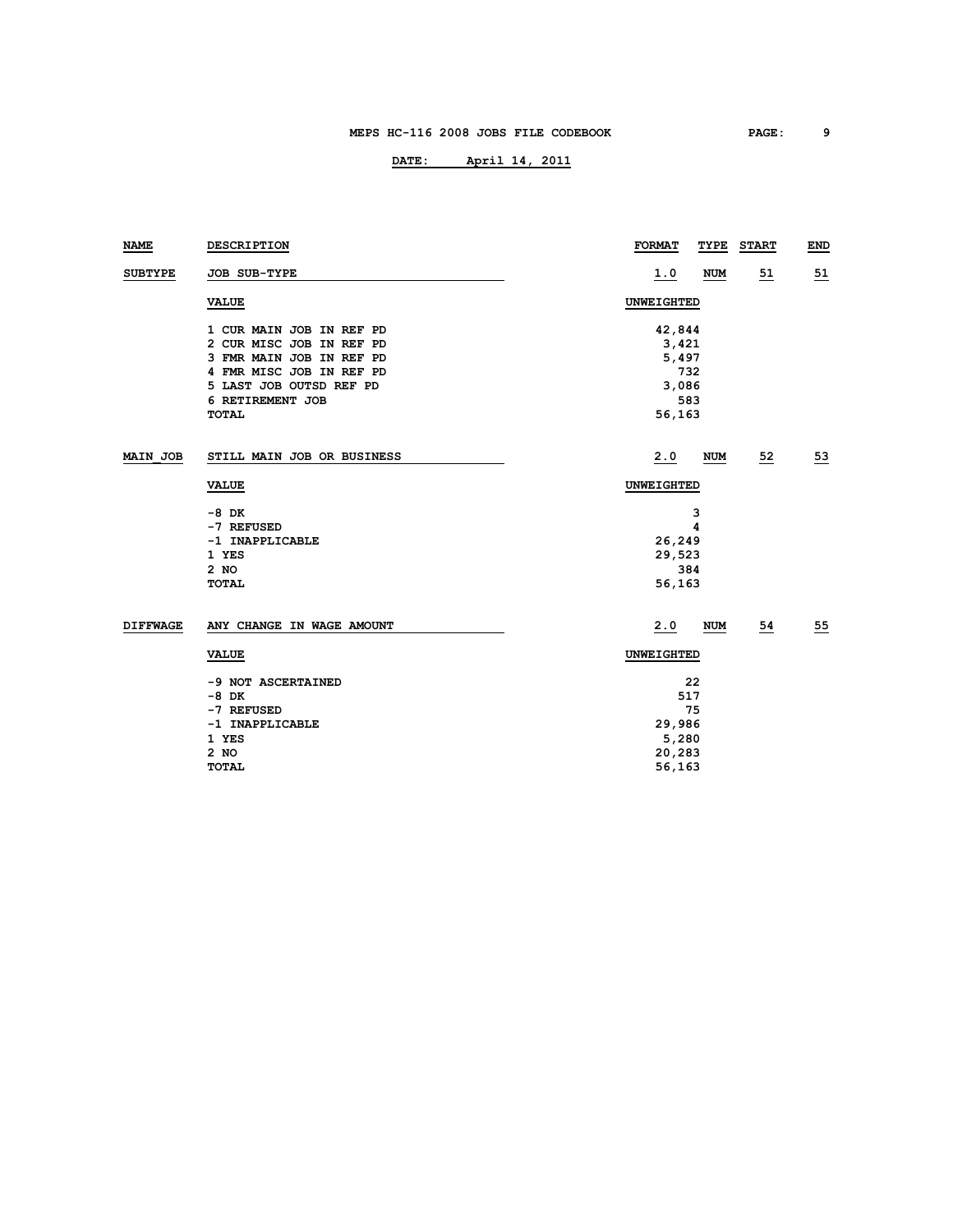| <b>NAME</b>     | DESCRIPTION                | <b>FORMAT</b><br>TYPE    | <b>START</b> | <b>END</b> |
|-----------------|----------------------------|--------------------------|--------------|------------|
| <b>SUBTYPE</b>  | <b>JOB SUB-TYPE</b>        | <u>1.0</u><br><b>NUM</b> | 51           | <u>51</u>  |
|                 | <b>VALUE</b>               | UNWEIGHTED               |              |            |
|                 | 1 CUR MAIN JOB IN REF PD   | 42,844                   |              |            |
|                 | 2 CUR MISC JOB IN REF PD   | 3,421                    |              |            |
|                 | 3 FMR MAIN JOB IN REF PD   | 5,497                    |              |            |
|                 | 4 FMR MISC JOB IN REF PD   | 732                      |              |            |
|                 | 5 LAST JOB OUTSD REF PD    | 3,086                    |              |            |
|                 | 6 RETIREMENT JOB           | 583                      |              |            |
|                 | TOTAL                      | 56,163                   |              |            |
| MAIN JOB        | STILL MAIN JOB OR BUSINESS | 2.0<br><b>NUM</b>        | 52           | 53         |
|                 | <b>VALUE</b>               | UNWEIGHTED               |              |            |
|                 | $-8$ DK                    | 3                        |              |            |
|                 | -7 REFUSED                 | 4                        |              |            |
|                 | -1 INAPPLICABLE            | 26,249                   |              |            |
|                 | 1 YES                      | 29,523                   |              |            |
|                 | $2$ NO                     | 384                      |              |            |
|                 | <b>TOTAL</b>               | 56,163                   |              |            |
| <b>DIFFWAGE</b> | ANY CHANGE IN WAGE AMOUNT  | 2.0<br><b>NUM</b>        | 54           | 55         |
|                 | <b>VALUE</b>               | UNWEIGHTED               |              |            |
|                 | -9 NOT ASCERTAINED         | 22                       |              |            |
|                 | $-8$ DK                    | 517                      |              |            |
|                 | -7 REFUSED                 | 75                       |              |            |
|                 | -1 INAPPLICABLE            | 29,986                   |              |            |
|                 | 1 YES                      | 5,280                    |              |            |
|                 | 2 NO                       | 20,283                   |              |            |
|                 | <b>TOTAL</b>               | 56,163                   |              |            |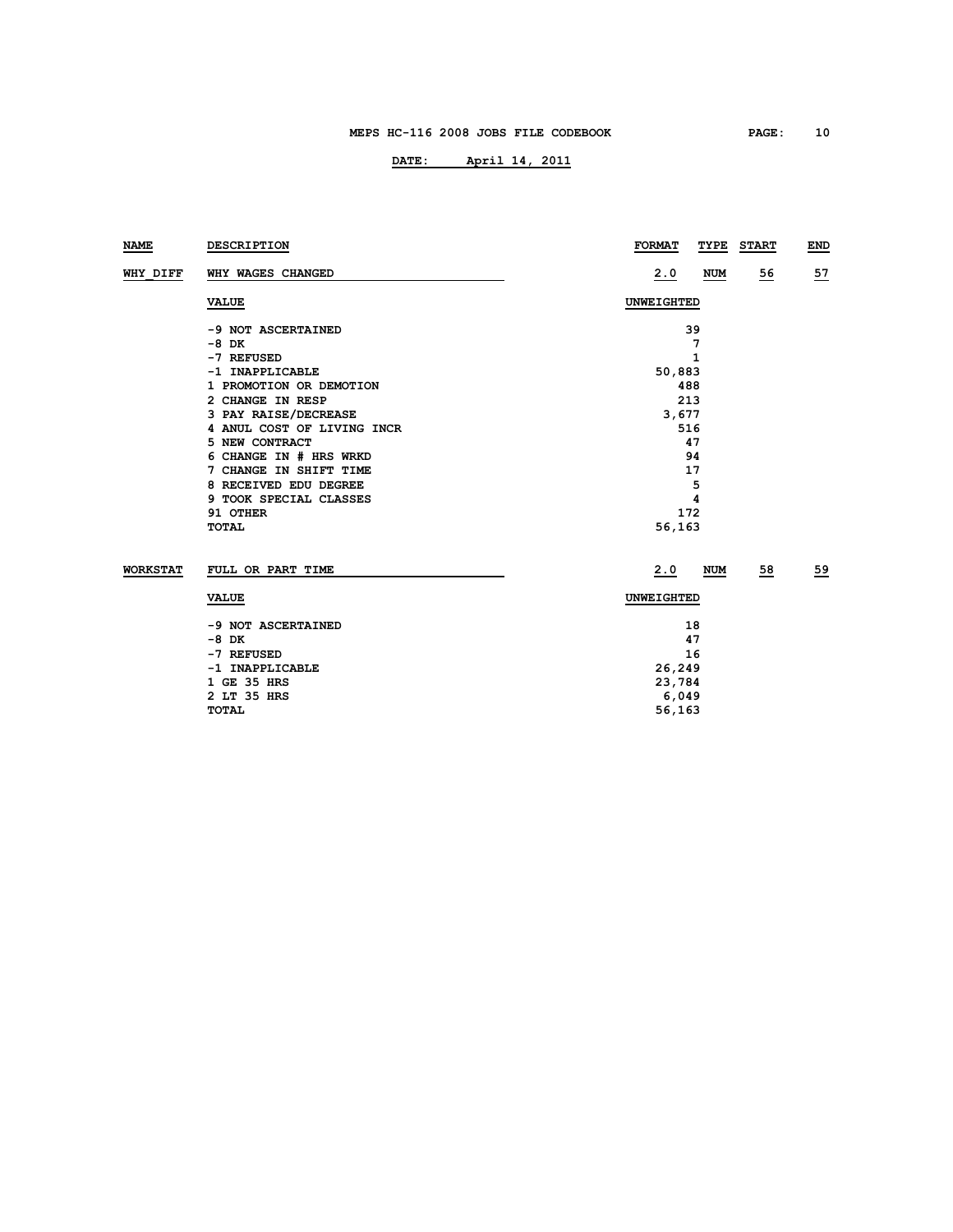| <b>NAME</b>     | DESCRIPTION                | <b>FORMAT</b><br>TYPE | <b>START</b> | END |  |  |
|-----------------|----------------------------|-----------------------|--------------|-----|--|--|
| WHY DIFF        | WHY WAGES CHANGED          | 2.0<br>NUM            | 56           | 57  |  |  |
|                 | <b>VALUE</b>               | UNWEIGHTED            |              |     |  |  |
|                 | -9 NOT ASCERTAINED         | 39                    |              |     |  |  |
|                 | $-8$ DK                    | 7                     |              |     |  |  |
|                 | -7 REFUSED                 | 1                     |              |     |  |  |
|                 | -1 INAPPLICABLE            | 50,883                |              |     |  |  |
|                 | 1 PROMOTION OR DEMOTION    | 488                   |              |     |  |  |
|                 | 2 CHANGE IN RESP           | 213                   |              |     |  |  |
|                 | 3 PAY RAISE/DECREASE       | 3,677                 |              |     |  |  |
|                 | 4 ANUL COST OF LIVING INCR | 516                   |              |     |  |  |
|                 | 5 NEW CONTRACT             | 47                    |              |     |  |  |
|                 | 6 CHANGE IN # HRS WRKD     | 94                    |              |     |  |  |
|                 | 7 CHANGE IN SHIFT TIME     | 17                    |              |     |  |  |
|                 | 8 RECEIVED EDU DEGREE      | 5                     |              |     |  |  |
|                 | 9 TOOK SPECIAL CLASSES     | 4                     |              |     |  |  |
|                 | 91 OTHER                   | 172                   |              |     |  |  |
|                 | <b>TOTAL</b>               | 56,163                |              |     |  |  |
| <b>WORKSTAT</b> | FULL OR PART TIME          | 2.0<br><b>NUM</b>     | 58           | 59  |  |  |
|                 | <b>VALUE</b>               | UNWEIGHTED            |              |     |  |  |
|                 | -9 NOT ASCERTAINED         | 18                    |              |     |  |  |
|                 | -8 DK                      | 47                    |              |     |  |  |
|                 | -7 REFUSED                 | 16                    |              |     |  |  |
|                 | -1 INAPPLICABLE            | 26,249                |              |     |  |  |
|                 | 1 GE 35 HRS                | 23,784                |              |     |  |  |
|                 | 2 LT 35 HRS                | 6,049                 |              |     |  |  |
|                 | <b>TOTAL</b>               | 56,163                |              |     |  |  |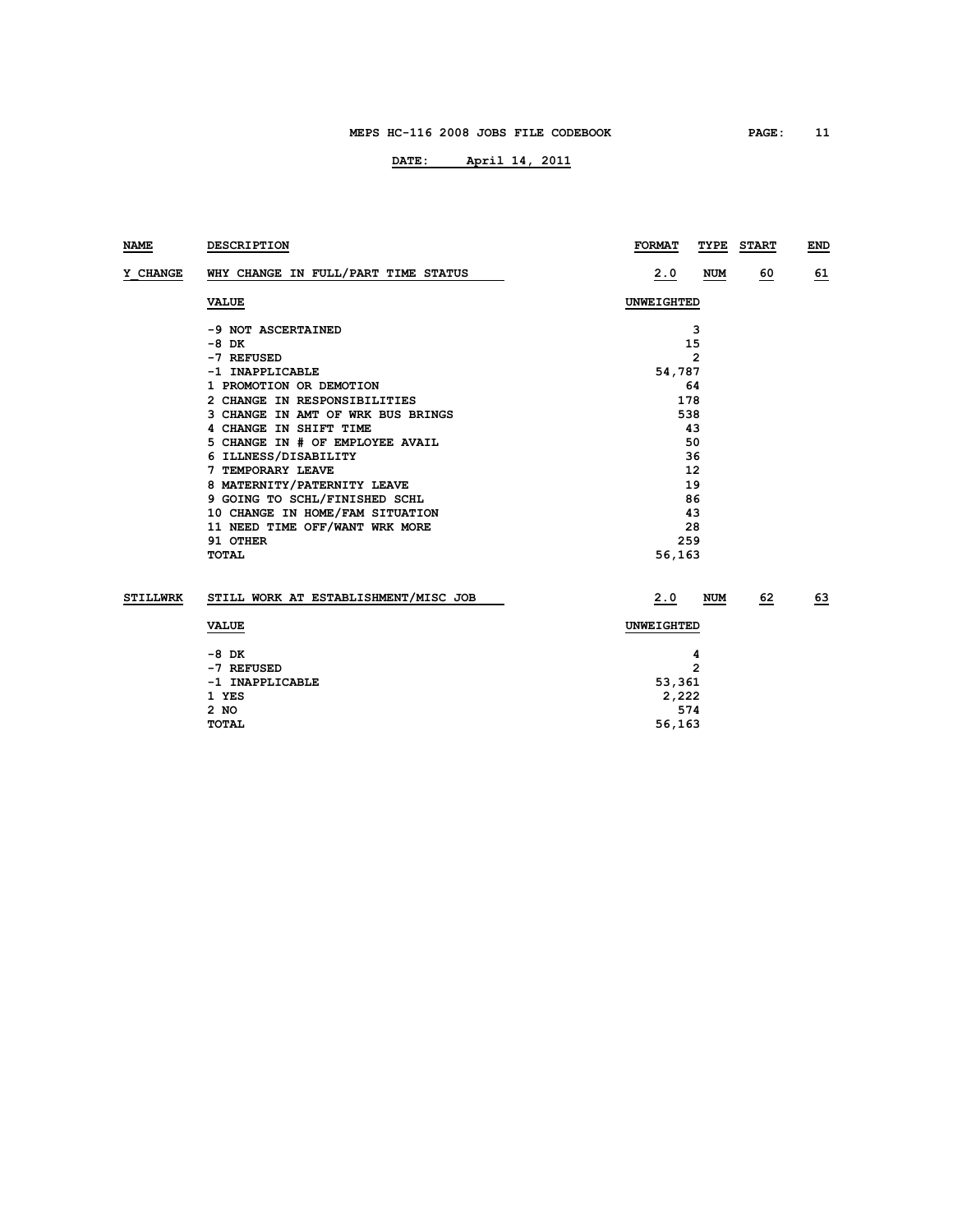| <b>NAME</b>     | DESCRIPTION                          | <b>FORMAT</b><br>TYPE | <b>START</b><br>END |
|-----------------|--------------------------------------|-----------------------|---------------------|
| Y CHANGE        | WHY CHANGE IN FULL/PART TIME STATUS  | 2.0<br>NUM            | 60<br>61            |
|                 | <b>VALUE</b>                         | <b>UNWEIGHTED</b>     |                     |
|                 | -9 NOT ASCERTAINED                   | 3                     |                     |
|                 | -8 DK                                | 15                    |                     |
|                 | -7 REFUSED                           | $\overline{2}$        |                     |
|                 | -1 INAPPLICABLE                      | 54,787                |                     |
|                 | 1 PROMOTION OR DEMOTION              | 64                    |                     |
|                 | 2 CHANGE IN RESPONSIBILITIES         | 178                   |                     |
|                 | 3 CHANGE IN AMT OF WRK BUS BRINGS    | 538                   |                     |
|                 | 4 CHANGE IN SHIFT TIME               | 43                    |                     |
|                 | 5 CHANGE IN # OF EMPLOYEE AVAIL      | 50                    |                     |
|                 | 6 ILLNESS/DISABILITY                 | 36                    |                     |
|                 | 7 TEMPORARY LEAVE                    | 12                    |                     |
|                 | 8 MATERNITY/PATERNITY LEAVE          | 19                    |                     |
|                 | 9 GOING TO SCHL/FINISHED SCHL        | 86                    |                     |
|                 | 10 CHANGE IN HOME/FAM SITUATION      | 43                    |                     |
|                 | 11 NEED TIME OFF/WANT WRK MORE       | 28                    |                     |
|                 | 91 OTHER                             | 259                   |                     |
|                 | TOTAL                                | 56,163                |                     |
| <b>STILLWRK</b> | STILL WORK AT ESTABLISHMENT/MISC JOB | 2.0<br><b>NUM</b>     | 63<br>62            |
|                 | <b>VALUE</b>                         | UNWEIGHTED            |                     |
|                 | -8 DK                                | 4                     |                     |
|                 | -7 REFUSED                           | $\overline{2}$        |                     |
|                 | -1 INAPPLICABLE                      | 53,361                |                     |
|                 | 1 YES                                | 2,222                 |                     |
|                 | 2 NO                                 | 574                   |                     |
|                 | TOTAL                                | 56,163                |                     |
|                 |                                      |                       |                     |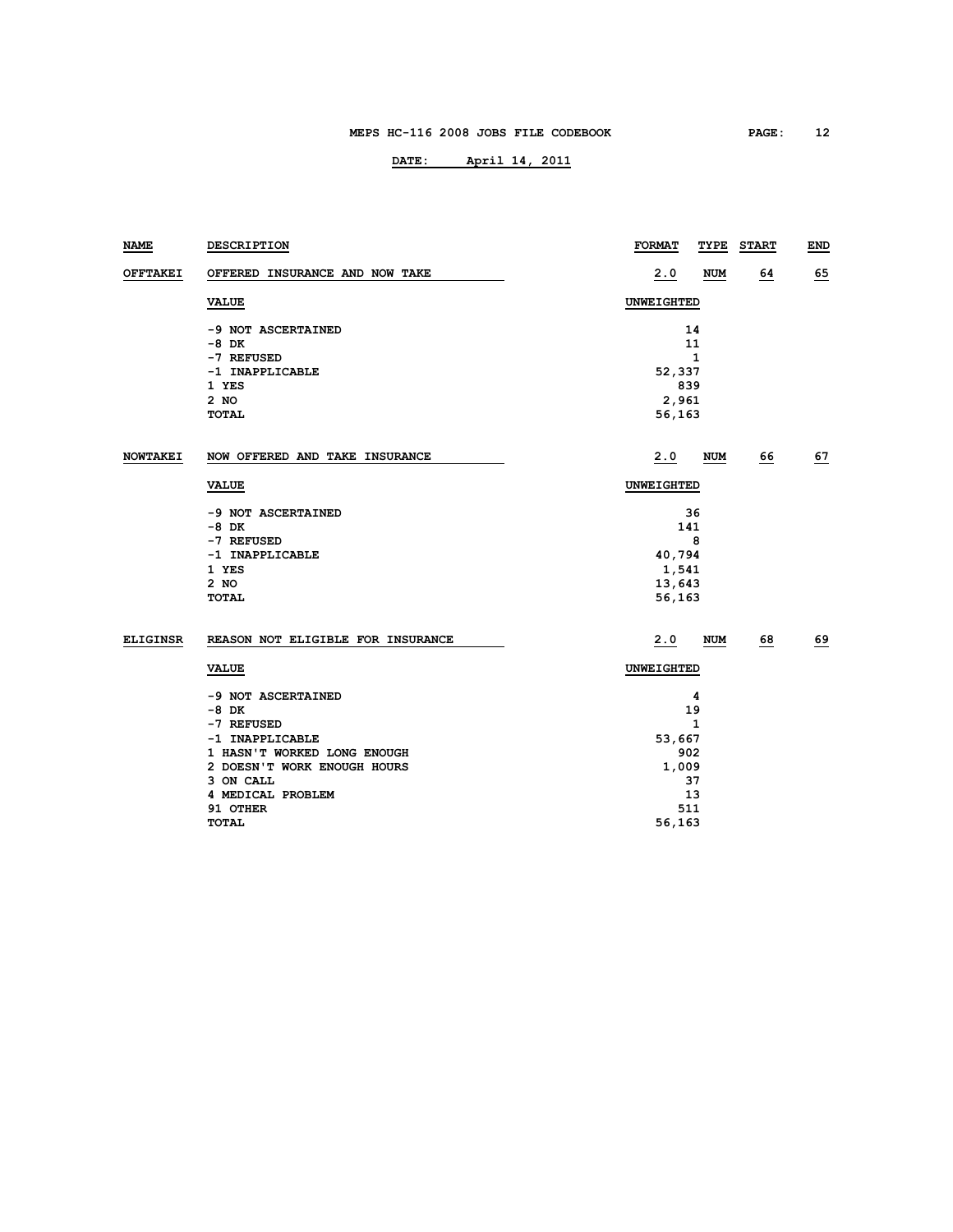| NAME            | DESCRIPTION                       | <b>FORMAT</b><br>TYPE | <b>START</b> | END |
|-----------------|-----------------------------------|-----------------------|--------------|-----|
| OFFTAKEI        | OFFERED INSURANCE AND NOW TAKE    | 2.0<br>NUM            | 64           | 65  |
|                 | <b>VALUE</b>                      | UNWEIGHTED            |              |     |
| <b>NOWTAKEI</b> | -9 NOT ASCERTAINED                | 14                    |              |     |
|                 | $-8$ DK                           | 11                    |              |     |
|                 | -7 REFUSED                        | $\mathbf{1}$          |              |     |
|                 | -1 INAPPLICABLE                   | 52,337                |              |     |
|                 | 1 YES                             | 839                   |              |     |
|                 | $2$ NO                            | 2,961                 |              |     |
|                 | <b>TOTAL</b>                      | 56,163                |              |     |
|                 | NOW OFFERED AND TAKE INSURANCE    | 2.0<br><b>NUM</b>     | 66           | 67  |
|                 | <b>VALUE</b>                      | UNWEIGHTED            |              |     |
|                 |                                   |                       |              |     |
|                 | -9 NOT ASCERTAINED                | 36                    |              |     |
|                 | -8 DK                             | 141                   |              |     |
|                 | -7 REFUSED                        | 8                     |              |     |
|                 | -1 INAPPLICABLE                   | 40,794                |              |     |
|                 | 1 YES                             | 1,541                 |              |     |
|                 | $2$ NO                            | 13,643                |              |     |
|                 | <b>TOTAL</b>                      | 56,163                |              |     |
| <b>ELIGINSR</b> | REASON NOT ELIGIBLE FOR INSURANCE | 2.0<br>NUM            | 68           | 69  |
|                 | <b>VALUE</b>                      | <b>UNWEIGHTED</b>     |              |     |
|                 | -9 NOT ASCERTAINED                | 4                     |              |     |
|                 | $-8$ DK                           | 19                    |              |     |
|                 | -7 REFUSED                        | $\mathbf{1}$          |              |     |
|                 | -1 INAPPLICABLE                   | 53,667                |              |     |
|                 | 1 HASN'T WORKED LONG ENOUGH       | 902                   |              |     |
|                 | 2 DOESN'T WORK ENOUGH HOURS       | 1,009                 |              |     |
|                 | 3 ON CALL                         | 37                    |              |     |
|                 | 4 MEDICAL PROBLEM                 | 13                    |              |     |
|                 | 91 OTHER                          | 511                   |              |     |
|                 | <b>TOTAL</b>                      | 56,163                |              |     |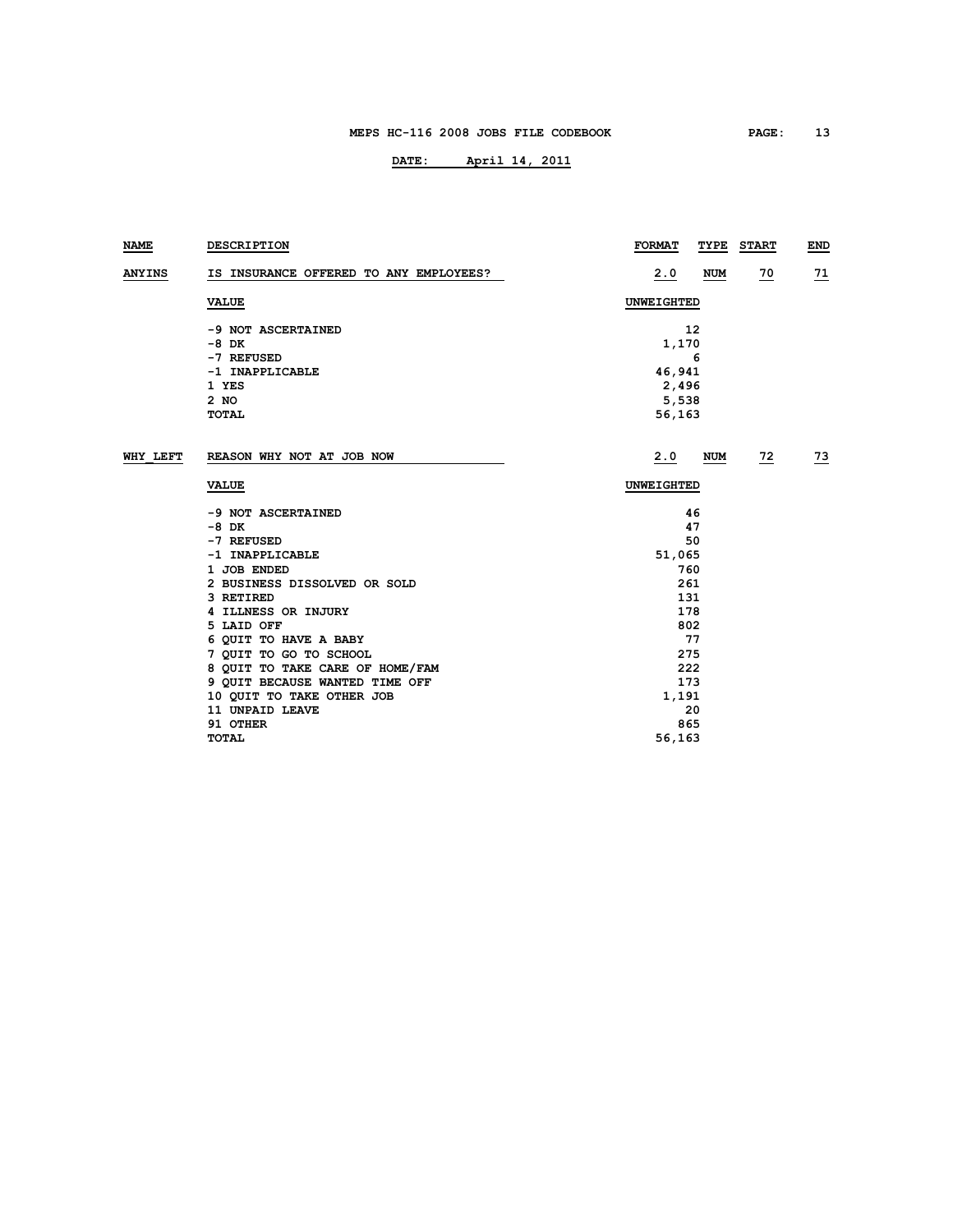| NAME          | <b>DESCRIPTION</b>                     | <b>FORMAT</b><br>TYPE | <b>START</b> | END       |
|---------------|----------------------------------------|-----------------------|--------------|-----------|
| <b>ANYINS</b> | IS INSURANCE OFFERED TO ANY EMPLOYEES? | 2.0<br><b>NUM</b>     | <u>70</u>    | <u>71</u> |
|               | <b>VALUE</b>                           | <b>UNWEIGHTED</b>     |              |           |
|               | -9 NOT ASCERTAINED                     | 12                    |              |           |
|               | -8 DK                                  | 1,170                 |              |           |
|               | -7 REFUSED                             | 6                     |              |           |
|               | -1 INAPPLICABLE                        | 46,941                |              |           |
|               | 1 YES                                  | 2,496                 |              |           |
|               | $2$ NO                                 | 5,538                 |              |           |
|               | <b>TOTAL</b>                           | 56,163                |              |           |
| WHY LEFT      | REASON WHY NOT AT JOB NOW              | 2.0<br>NUM            | 72           | <u>73</u> |
|               | <b>VALUE</b>                           | <b>UNWEIGHTED</b>     |              |           |
|               | -9 NOT ASCERTAINED                     | 46                    |              |           |
|               | $-8$ DK                                | 47                    |              |           |
|               | -7 REFUSED                             | 50                    |              |           |
|               | -1 INAPPLICABLE                        | 51,065                |              |           |
|               | 1 JOB ENDED                            | 760                   |              |           |
|               | 2 BUSINESS DISSOLVED OR SOLD           | 261                   |              |           |
|               | 3 RETIRED                              | 131                   |              |           |
|               | 4 ILLNESS OR INJURY                    | 178                   |              |           |
|               | 5 LAID OFF                             | 802                   |              |           |
|               | 6 QUIT TO HAVE A BABY                  | 77                    |              |           |
|               | 7 QUIT TO GO TO SCHOOL                 | 275                   |              |           |
|               | 8 QUIT TO TAKE CARE OF HOME/FAM        | 222                   |              |           |
|               | 9 QUIT BECAUSE WANTED TIME OFF         | 173                   |              |           |
|               | 10 QUIT TO TAKE OTHER JOB              | 1,191                 |              |           |
|               | 11 UNPAID LEAVE                        | 20                    |              |           |
|               | 91 OTHER                               | 865                   |              |           |
|               | <b>TOTAL</b>                           | 56,163                |              |           |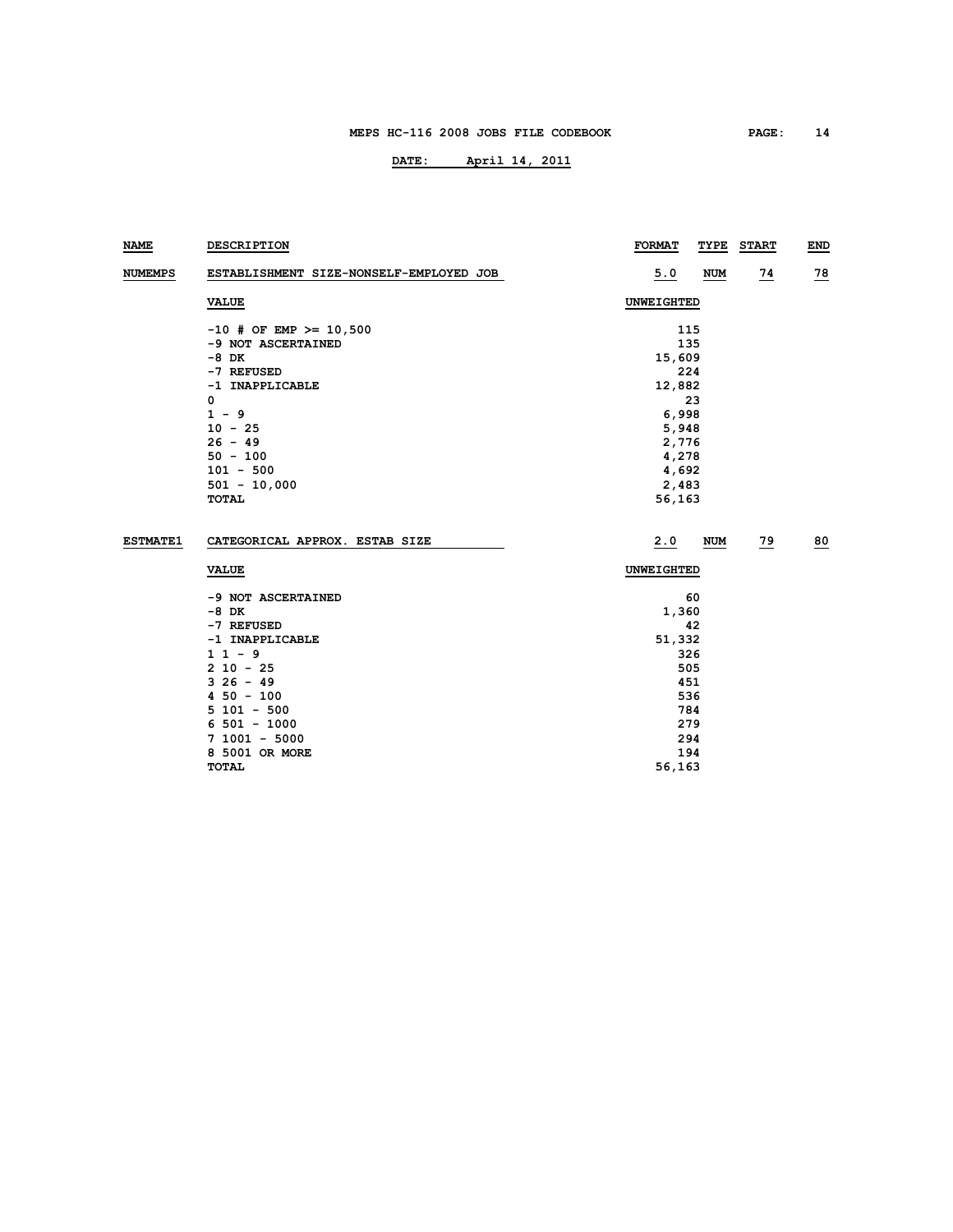| NAME            | <b>DESCRIPTION</b>                      | <b>FORMAT</b> | TYPE       | <b>START</b> | <b>END</b> |
|-----------------|-----------------------------------------|---------------|------------|--------------|------------|
| <b>NUMEMPS</b>  | ESTABLISHMENT SIZE-NONSELF-EMPLOYED JOB | 5.0           | <b>NUM</b> | <u>74</u>    | <u>78</u>  |
|                 | <b>VALUE</b>                            | UNWEIGHTED    |            |              |            |
|                 | $-10$ # OF EMP >= 10,500                | 115           |            |              |            |
|                 | -9 NOT ASCERTAINED                      | 135           |            |              |            |
|                 | -8 DK                                   | 15,609        |            |              |            |
|                 | -7 REFUSED                              | 224           |            |              |            |
|                 | -1 INAPPLICABLE                         | 12,882        |            |              |            |
|                 | 0                                       |               | 23         |              |            |
|                 | $1 - 9$                                 | 6,998         |            |              |            |
|                 | $10 - 25$                               | 5,948         |            |              |            |
|                 | $26 - 49$                               | 2,776         |            |              |            |
|                 | $50 - 100$                              | 4,278         |            |              |            |
|                 | $101 - 500$                             | 4,692         |            |              |            |
|                 | $501 - 10,000$                          | 2,483         |            |              |            |
|                 | TOTAL                                   | 56,163        |            |              |            |
|                 |                                         |               |            |              |            |
| <b>ESTMATE1</b> | CATEGORICAL APPROX. ESTAB SIZE          | 2.0           | NUM        | 79           | 80         |
|                 | <b>VALUE</b>                            | UNWEIGHTED    |            |              |            |
|                 | -9 NOT ASCERTAINED                      |               | 60         |              |            |
|                 | -8 DK                                   | 1,360         |            |              |            |
|                 | -7 REFUSED                              |               | 42         |              |            |
|                 | -1 INAPPLICABLE                         | 51,332        |            |              |            |
|                 | $11 - 9$                                | 326           |            |              |            |
|                 | $210 - 25$                              | 505           |            |              |            |
|                 | $326 - 49$                              | 451           |            |              |            |
|                 | $450 - 100$                             | 536           |            |              |            |
|                 | $5101 - 500$                            | 784           |            |              |            |
|                 | $6\,501 - 1000$                         | 279           |            |              |            |
|                 | $7 1001 - 5000$                         | 294           |            |              |            |
|                 | 8 5001 OR MORE                          | 194           |            |              |            |
|                 | TOTAL                                   | 56,163        |            |              |            |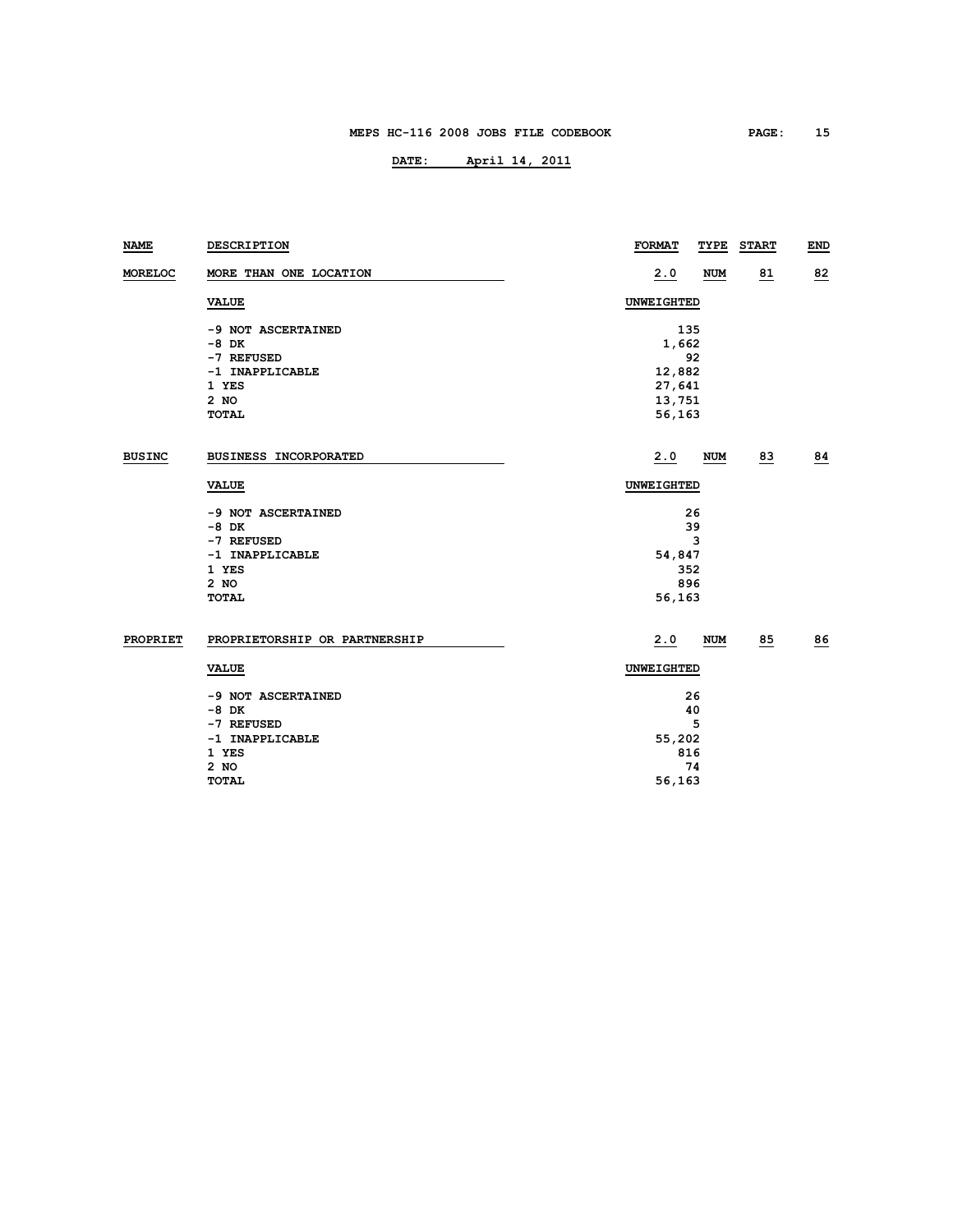| NAME          | DESCRIPTION                   | <b>FORMAT</b><br>TYPE | <b>START</b> | <b>END</b> |  |  |  |
|---------------|-------------------------------|-----------------------|--------------|------------|--|--|--|
| MORELOC       | MORE THAN ONE LOCATION        | 2.0<br><b>NUM</b>     | 81           | 82         |  |  |  |
|               | <b>VALUE</b>                  | UNWEIGHTED            |              |            |  |  |  |
|               | -9 NOT ASCERTAINED            | 135                   |              |            |  |  |  |
|               | $-8$ DK                       | 1,662                 |              |            |  |  |  |
|               | -7 REFUSED                    | 92                    |              |            |  |  |  |
|               | -1 INAPPLICABLE               | 12,882                |              |            |  |  |  |
|               | 1 YES                         | 27,641                |              |            |  |  |  |
|               | 2 NO                          | 13,751                |              |            |  |  |  |
|               | <b>TOTAL</b>                  | 56,163                |              |            |  |  |  |
| <b>BUSINC</b> | BUSINESS INCORPORATED         | 2.0<br>NUM            | 83           | 84         |  |  |  |
|               | <b>VALUE</b>                  | UNWEIGHTED            |              |            |  |  |  |
|               | -9 NOT ASCERTAINED            | 26                    |              |            |  |  |  |
|               | $-8$ DK                       | 39                    |              |            |  |  |  |
|               | -7 REFUSED                    | 3                     |              |            |  |  |  |
|               | -1 INAPPLICABLE               | 54,847                |              |            |  |  |  |
|               | 1 YES                         | 352                   |              |            |  |  |  |
|               | 2 NO                          | 896                   |              |            |  |  |  |
|               | <b>TOTAL</b>                  | 56,163                |              |            |  |  |  |
| PROPRIET      | PROPRIETORSHIP OR PARTNERSHIP | 2.0<br>NUM            | 85           | 86         |  |  |  |
|               | <b>VALUE</b>                  | UNWEIGHTED            |              |            |  |  |  |
|               | -9 NOT ASCERTAINED            | 26                    |              |            |  |  |  |
|               | $-8$ DK                       | 40                    |              |            |  |  |  |
|               | -7 REFUSED                    | 5                     |              |            |  |  |  |
|               | -1 INAPPLICABLE               | 55,202                |              |            |  |  |  |
|               | 1 YES                         | 816                   |              |            |  |  |  |
|               | 2 NO                          | 74                    |              |            |  |  |  |
|               | <b>TOTAL</b>                  | 56,163                |              |            |  |  |  |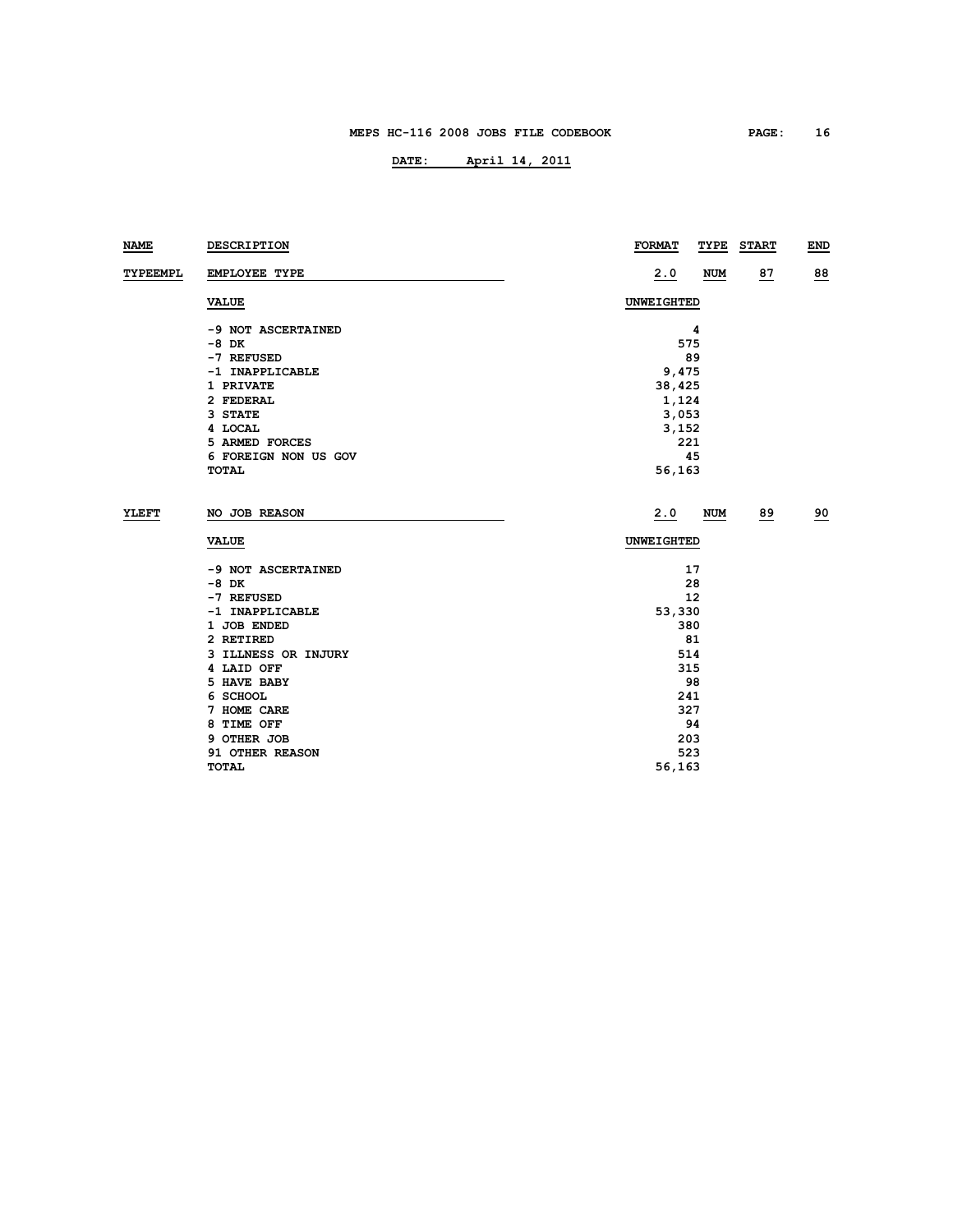| <b>NAME</b>     | DESCRIPTION          | <b>FORMAT</b><br>TYPE | <b>START</b> | <b>END</b> |  |  |  |
|-----------------|----------------------|-----------------------|--------------|------------|--|--|--|
| <b>TYPEEMPL</b> | <b>EMPLOYEE TYPE</b> | 2.0<br><b>NUM</b>     | 87           | 88         |  |  |  |
|                 | <b>VALUE</b>         | UNWEIGHTED            |              |            |  |  |  |
|                 | -9 NOT ASCERTAINED   | 4                     |              |            |  |  |  |
|                 | $-8$ DK              | 575                   |              |            |  |  |  |
|                 | -7 REFUSED           | 89                    |              |            |  |  |  |
|                 | -1 INAPPLICABLE      | 9,475                 |              |            |  |  |  |
|                 | 1 PRIVATE            | 38,425                |              |            |  |  |  |
|                 | 2 FEDERAL            | 1,124                 |              |            |  |  |  |
|                 | 3 STATE              | 3,053                 |              |            |  |  |  |
|                 | 4 LOCAL              | 3,152                 |              |            |  |  |  |
|                 | 5 ARMED FORCES       | 221                   |              |            |  |  |  |
|                 | 6 FOREIGN NON US GOV | 45                    |              |            |  |  |  |
|                 | TOTAL                | 56,163                |              |            |  |  |  |
| YLEFT           | NO JOB REASON        | 2.0<br><b>NUM</b>     | 89           | 90         |  |  |  |
|                 | <b>VALUE</b>         | UNWEIGHTED            |              |            |  |  |  |
|                 | -9 NOT ASCERTAINED   | 17                    |              |            |  |  |  |
|                 | -8 DK                | 28                    |              |            |  |  |  |
|                 | -7 REFUSED           | 12                    |              |            |  |  |  |
|                 | -1 INAPPLICABLE      | 53,330                |              |            |  |  |  |
|                 | 1 JOB ENDED          | 380                   |              |            |  |  |  |
|                 | 2 RETIRED            | 81                    |              |            |  |  |  |
|                 | 3 ILLNESS OR INJURY  | 514                   |              |            |  |  |  |
|                 | 4 LAID OFF           | 315                   |              |            |  |  |  |
|                 | 5 HAVE BABY          | 98                    |              |            |  |  |  |
|                 | 6 SCHOOL             | 241                   |              |            |  |  |  |
|                 | 7 HOME CARE          | 327                   |              |            |  |  |  |
|                 | 8 TIME OFF           | 94                    |              |            |  |  |  |
|                 | 9 OTHER JOB          | 203                   |              |            |  |  |  |
|                 | 91 OTHER REASON      | 523                   |              |            |  |  |  |
|                 | <b>TOTAL</b>         | 56,163                |              |            |  |  |  |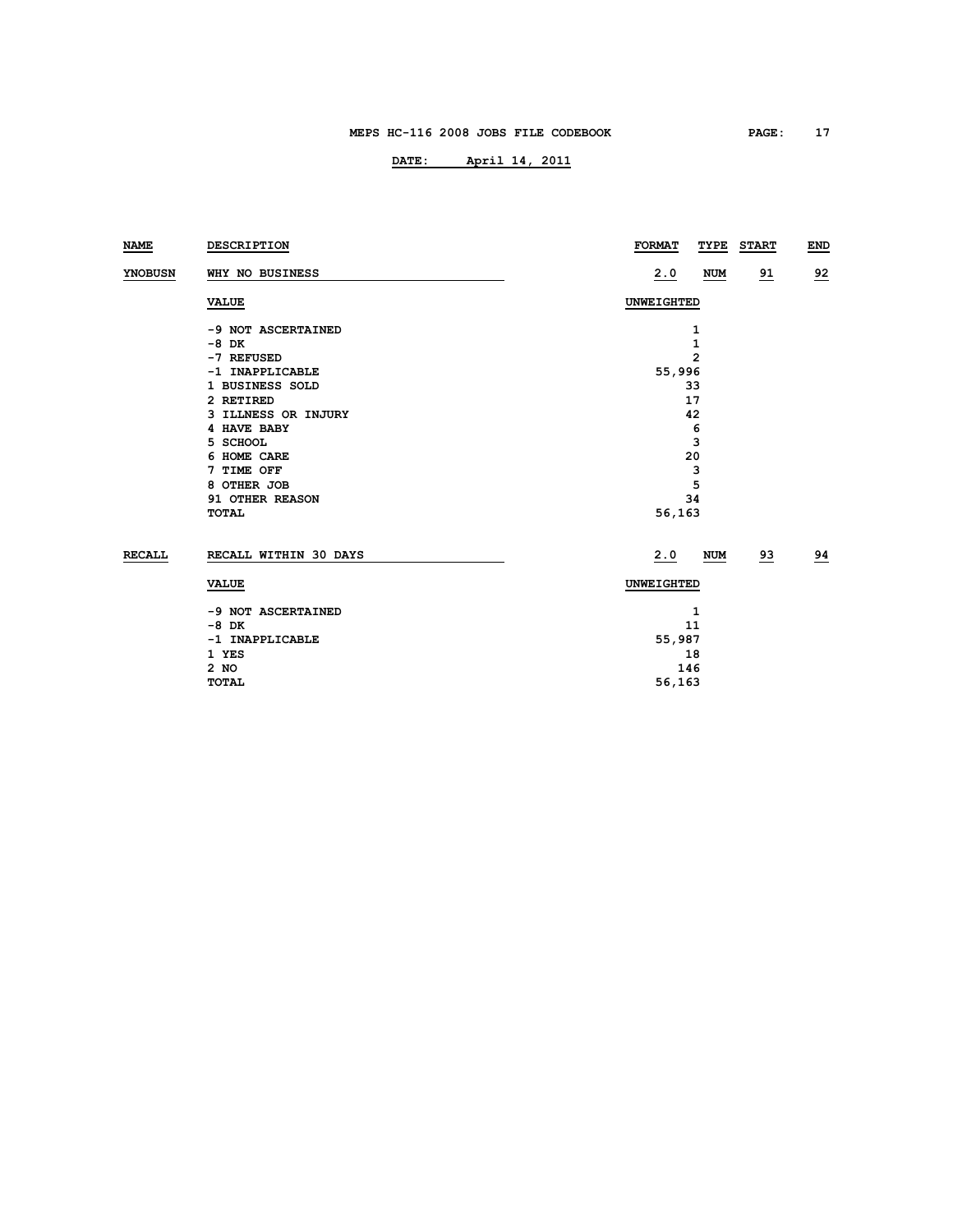| NAME           | <b>DESCRIPTION</b>    | <b>FORMAT</b><br>TYPE | <b>START</b> | <b>END</b> |  |  |  |  |
|----------------|-----------------------|-----------------------|--------------|------------|--|--|--|--|
| <b>YNOBUSN</b> | WHY NO BUSINESS       | 2.0<br><b>NUM</b>     | <u>91</u>    | 92         |  |  |  |  |
|                | <b>VALUE</b>          | UNWEIGHTED            |              |            |  |  |  |  |
|                | -9 NOT ASCERTAINED    | 1                     |              |            |  |  |  |  |
|                | $-8$ DK               | 1                     |              |            |  |  |  |  |
|                | -7 REFUSED            | $\mathbf{2}$          |              |            |  |  |  |  |
|                | -1 INAPPLICABLE       | 55,996                |              |            |  |  |  |  |
|                | 1 BUSINESS SOLD       | 33                    |              |            |  |  |  |  |
|                | 2 RETIRED             | 17                    |              |            |  |  |  |  |
|                | 3 ILLNESS OR INJURY   | 42                    |              |            |  |  |  |  |
|                | 4 HAVE BABY           | 6                     |              |            |  |  |  |  |
|                | 5 SCHOOL              | 3                     |              |            |  |  |  |  |
|                | 6 HOME CARE           | 20                    |              |            |  |  |  |  |
|                | 7 TIME OFF            | 3                     |              |            |  |  |  |  |
|                | 8 OTHER JOB           | 5                     |              |            |  |  |  |  |
|                | 91 OTHER REASON       | 34                    |              |            |  |  |  |  |
|                | <b>TOTAL</b>          | 56,163                |              |            |  |  |  |  |
| <b>RECALL</b>  | RECALL WITHIN 30 DAYS | 2.0<br><b>NUM</b>     | 93           | 94         |  |  |  |  |
|                | <b>VALUE</b>          | <b>UNWEIGHTED</b>     |              |            |  |  |  |  |
|                | -9 NOT ASCERTAINED    | 1                     |              |            |  |  |  |  |
|                | $-8$ DK               | 11                    |              |            |  |  |  |  |
|                | -1 INAPPLICABLE       | 55,987                |              |            |  |  |  |  |
|                | 1 YES                 | 18                    |              |            |  |  |  |  |
|                | $2$ NO                | 146                   |              |            |  |  |  |  |
|                | <b>TOTAL</b>          | 56,163                |              |            |  |  |  |  |
|                |                       |                       |              |            |  |  |  |  |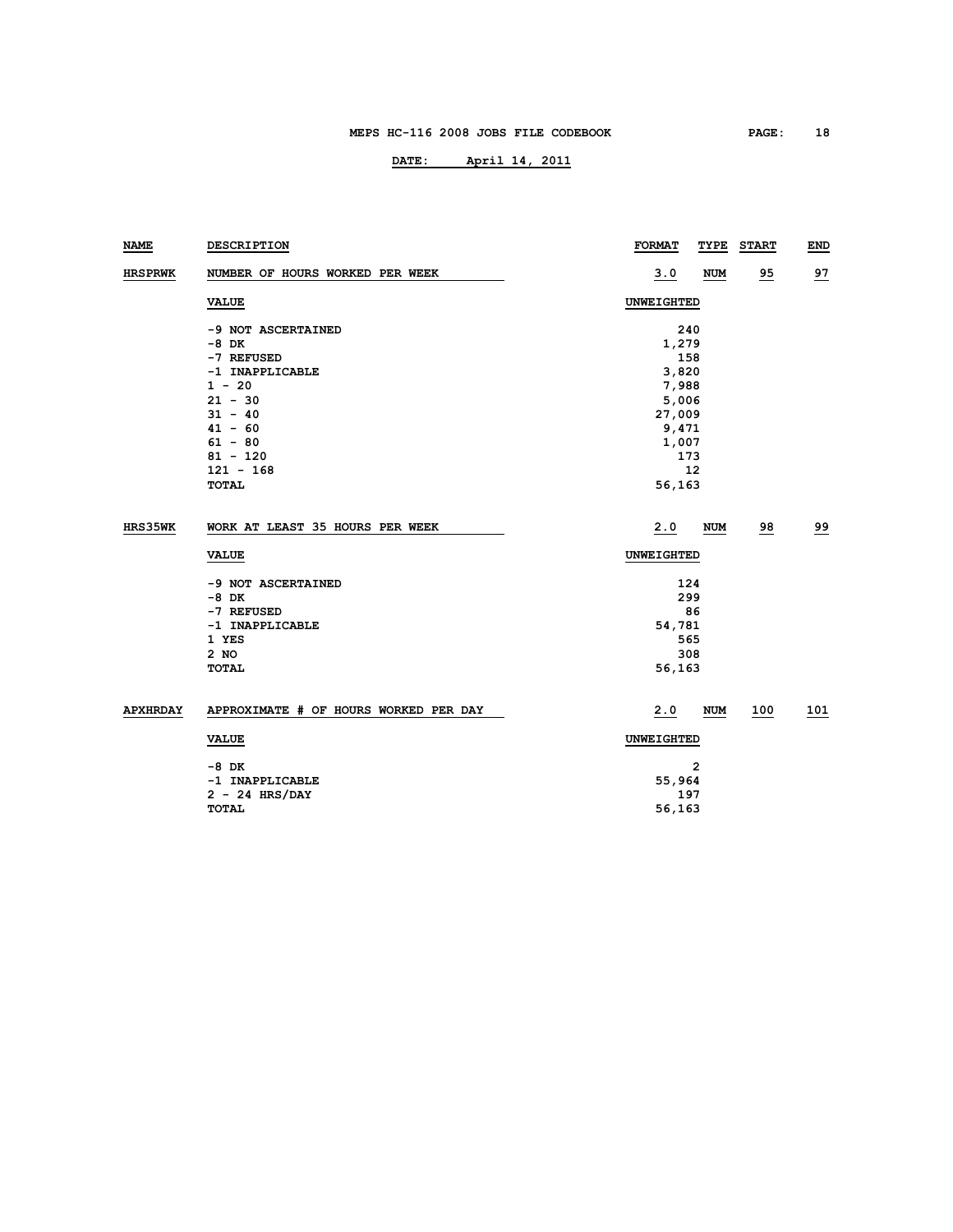| NAME            | <b>DESCRIPTION</b>                    | <b>FORMAT</b>     | TYPE       | <b>START</b> | END |
|-----------------|---------------------------------------|-------------------|------------|--------------|-----|
| <b>HRSPRWK</b>  | NUMBER OF HOURS WORKED PER WEEK       | <u>3.0</u>        | <b>NUM</b> | 95           | 97  |
|                 | <b>VALUE</b>                          | UNWEIGHTED        |            |              |     |
|                 | -9 NOT ASCERTAINED                    | 240               |            |              |     |
|                 | $-8$ DK                               | 1,279             |            |              |     |
|                 | -7 REFUSED                            | 158               |            |              |     |
|                 | -1 INAPPLICABLE                       | 3,820             |            |              |     |
|                 | $1 - 20$                              | 7,988             |            |              |     |
|                 | $21 - 30$                             | 5,006             |            |              |     |
|                 | $31 - 40$                             | 27,009            |            |              |     |
|                 | $41 - 60$                             | 9,471             |            |              |     |
|                 | $61 - 80$                             | 1,007             |            |              |     |
|                 | $81 - 120$                            |                   | 173        |              |     |
|                 | $121 - 168$                           |                   | 12         |              |     |
|                 | <b>TOTAL</b>                          | 56,163            |            |              |     |
| HRS35WK         | WORK AT LEAST 35 HOURS PER WEEK       | 2.0               | NUM        | 98           | 99  |
|                 | <b>VALUE</b>                          | <b>UNWEIGHTED</b> |            |              |     |
|                 | -9 NOT ASCERTAINED                    | 124               |            |              |     |
|                 | $-8$ DK                               | 299               |            |              |     |
|                 | -7 REFUSED                            | 86                |            |              |     |
|                 | -1 INAPPLICABLE                       |                   | 54,781     |              |     |
|                 | 1 YES                                 | 565               |            |              |     |
|                 | 2 NO                                  | 308               |            |              |     |
|                 | <b>TOTAL</b>                          | 56,163            |            |              |     |
| <b>APXHRDAY</b> | APPROXIMATE # OF HOURS WORKED PER DAY | 2.0               | <b>NUM</b> | 100          | 101 |
|                 | <b>VALUE</b>                          | <b>UNWEIGHTED</b> |            |              |     |
|                 |                                       |                   |            |              |     |
|                 | $-8$ DK                               | 2                 |            |              |     |
|                 | -1 INAPPLICABLE                       | 55,964            |            |              |     |
|                 | $2 - 24$ HRS/DAY                      | 197               |            |              |     |
|                 | <b>TOTAL</b>                          | 56,163            |            |              |     |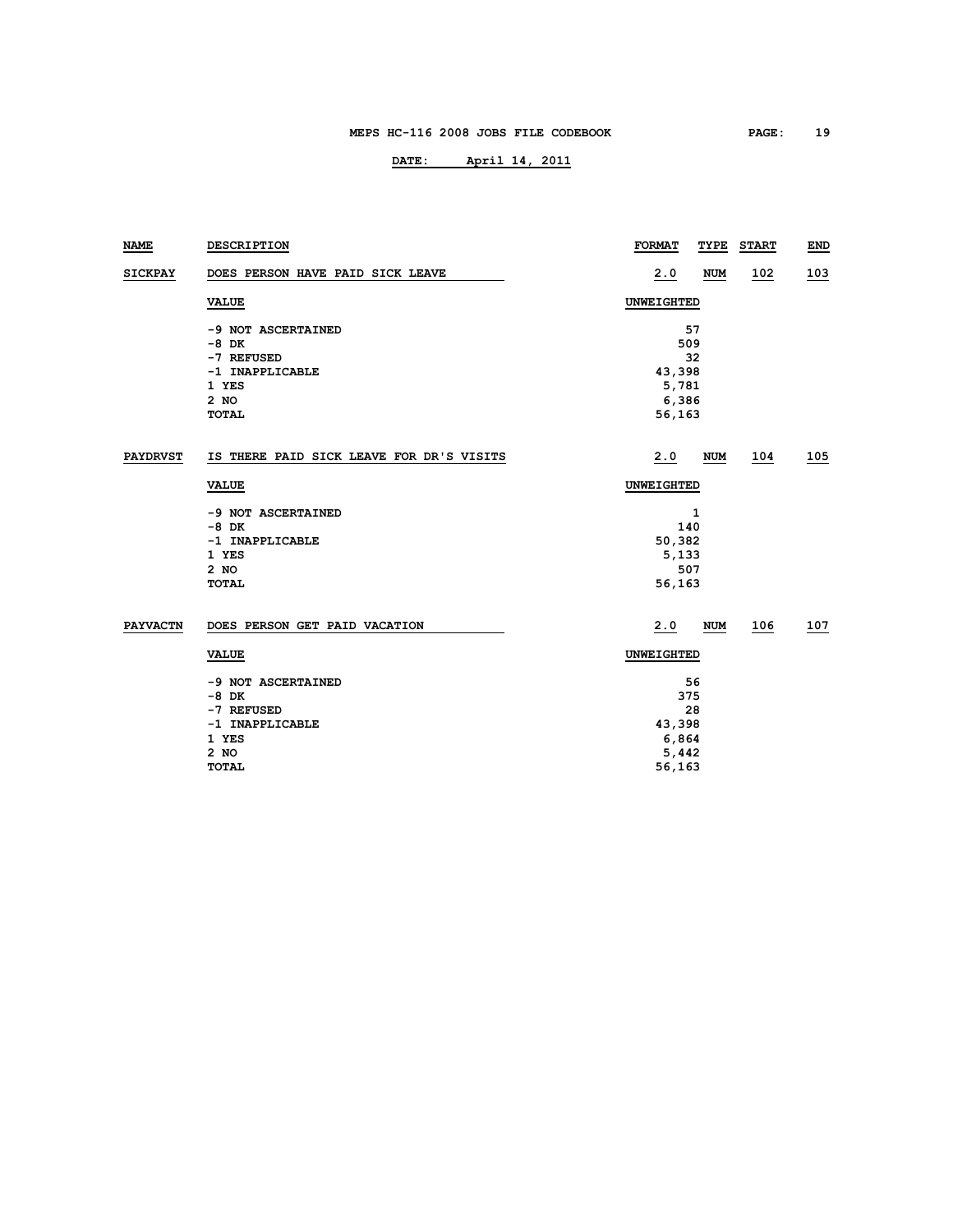| <b>NAME</b>     | DESCRIPTION                              | <b>FORMAT</b> | TYPE       | <b>START</b> | END |
|-----------------|------------------------------------------|---------------|------------|--------------|-----|
| <b>SICKPAY</b>  | DOES PERSON HAVE PAID SICK LEAVE         | 2.0           | <b>NUM</b> | 102          | 103 |
|                 | <b>VALUE</b>                             | UNWEIGHTED    |            |              |     |
|                 | -9 NOT ASCERTAINED                       |               | 57         |              |     |
|                 | $-8$ DK                                  |               | 509        |              |     |
|                 | -7 REFUSED                               |               | 32         |              |     |
|                 | -1 INAPPLICABLE                          | 43,398        |            |              |     |
|                 | 1 YES                                    | 5,781         |            |              |     |
|                 | 2 NO                                     | 6,386         |            |              |     |
|                 | TOTAL                                    | 56,163        |            |              |     |
| <b>PAYDRVST</b> | IS THERE PAID SICK LEAVE FOR DR'S VISITS | 2.0           | <b>NUM</b> | 104          | 105 |
|                 | <b>VALUE</b>                             | UNWEIGHTED    |            |              |     |
|                 | -9 NOT ASCERTAINED                       |               | 1          |              |     |
|                 | $-8$ DK                                  | 140           |            |              |     |
|                 | -1 INAPPLICABLE                          | 50,382        |            |              |     |
|                 | 1 YES                                    | 5,133         |            |              |     |
|                 | 2 NO                                     | 507           |            |              |     |
|                 | <b>TOTAL</b>                             | 56,163        |            |              |     |
| <b>PAYVACTN</b> | DOES PERSON GET PAID VACATION            | 2.0           | <b>NUM</b> | 106          | 107 |
|                 | <b>VALUE</b>                             | UNWEIGHTED    |            |              |     |
|                 | -9 NOT ASCERTAINED                       | 56            |            |              |     |
|                 | $-8$ DK                                  | 375           |            |              |     |
|                 | -7 REFUSED                               | 28            |            |              |     |
|                 | -1 INAPPLICABLE                          | 43,398        |            |              |     |
|                 | 1 YES                                    | 6,864         |            |              |     |
|                 | 2 NO                                     | 5,442         |            |              |     |
|                 | <b>TOTAL</b>                             | 56,163        |            |              |     |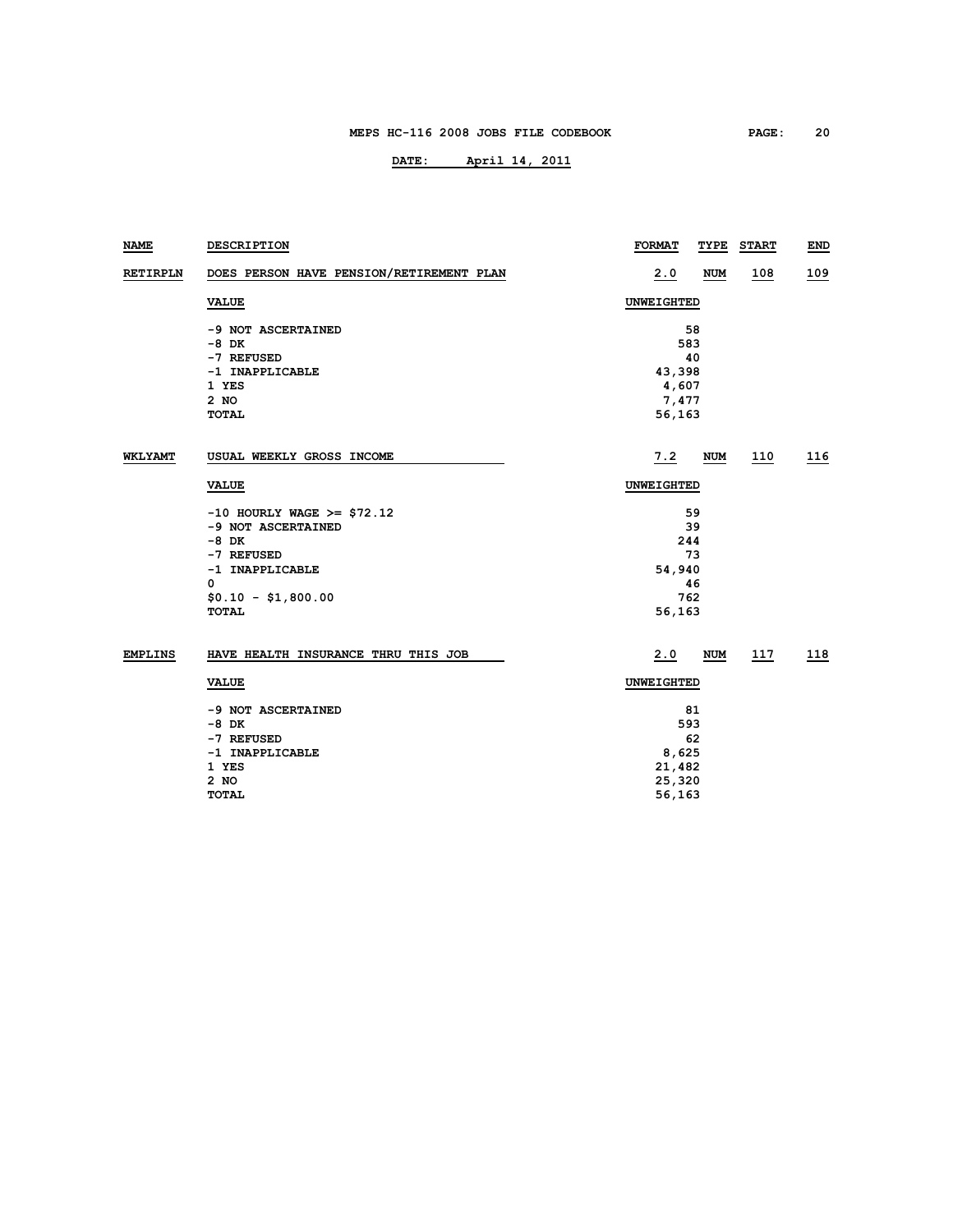| <b>NAME</b>     | DESCRIPTION                              | <b>FORMAT</b><br>TYPE | <b>START</b> | <b>END</b> |  |  |  |
|-----------------|------------------------------------------|-----------------------|--------------|------------|--|--|--|
| <b>RETIRPLN</b> | DOES PERSON HAVE PENSION/RETIREMENT PLAN | 2.0<br><b>NUM</b>     | 108          | 109        |  |  |  |
|                 | <b>VALUE</b>                             | UNWEIGHTED            |              |            |  |  |  |
|                 | -9 NOT ASCERTAINED                       | 58                    |              |            |  |  |  |
|                 | $-8$ DK                                  | 583                   |              |            |  |  |  |
|                 | -7 REFUSED                               | 40                    |              |            |  |  |  |
|                 | -1 INAPPLICABLE                          | 43,398                |              |            |  |  |  |
|                 | 1 YES                                    | 4,607                 |              |            |  |  |  |
|                 | $2$ NO                                   | 7,477                 |              |            |  |  |  |
|                 | <b>TOTAL</b>                             | 56,163                |              |            |  |  |  |
| <b>WKLYAMT</b>  | USUAL WEEKLY GROSS INCOME                | 7.2<br>NUM            | 110          | 116        |  |  |  |
|                 | <b>VALUE</b>                             | <b>UNWEIGHTED</b>     |              |            |  |  |  |
|                 | $-10$ HOURLY WAGE >= \$72.12             | 59                    |              |            |  |  |  |
|                 | -9 NOT ASCERTAINED                       | 39                    |              |            |  |  |  |
|                 | $-8$ DK                                  | 244                   |              |            |  |  |  |
|                 | -7 REFUSED                               | 73                    |              |            |  |  |  |
|                 | -1 INAPPLICABLE                          | 54,940                |              |            |  |  |  |
|                 | 0                                        | 46                    |              |            |  |  |  |
|                 | $$0.10 - $1,800.00$                      | 762                   |              |            |  |  |  |
|                 | <b>TOTAL</b>                             | 56,163                |              |            |  |  |  |
| <b>EMPLINS</b>  | HAVE HEALTH INSURANCE THRU THIS JOB      | 2.0<br>NUM            | 117          | 118        |  |  |  |
|                 | <b>VALUE</b>                             | <b>UNWEIGHTED</b>     |              |            |  |  |  |
|                 | -9 NOT ASCERTAINED                       | 81                    |              |            |  |  |  |
|                 | $-8$ DK                                  | 593                   |              |            |  |  |  |
|                 | -7 REFUSED                               | 62                    |              |            |  |  |  |
|                 | -1 INAPPLICABLE                          | 8,625                 |              |            |  |  |  |
|                 | 1 YES                                    | 21,482                |              |            |  |  |  |
|                 | 2 NO                                     | 25,320                |              |            |  |  |  |
|                 | <b>TOTAL</b>                             | 56,163                |              |            |  |  |  |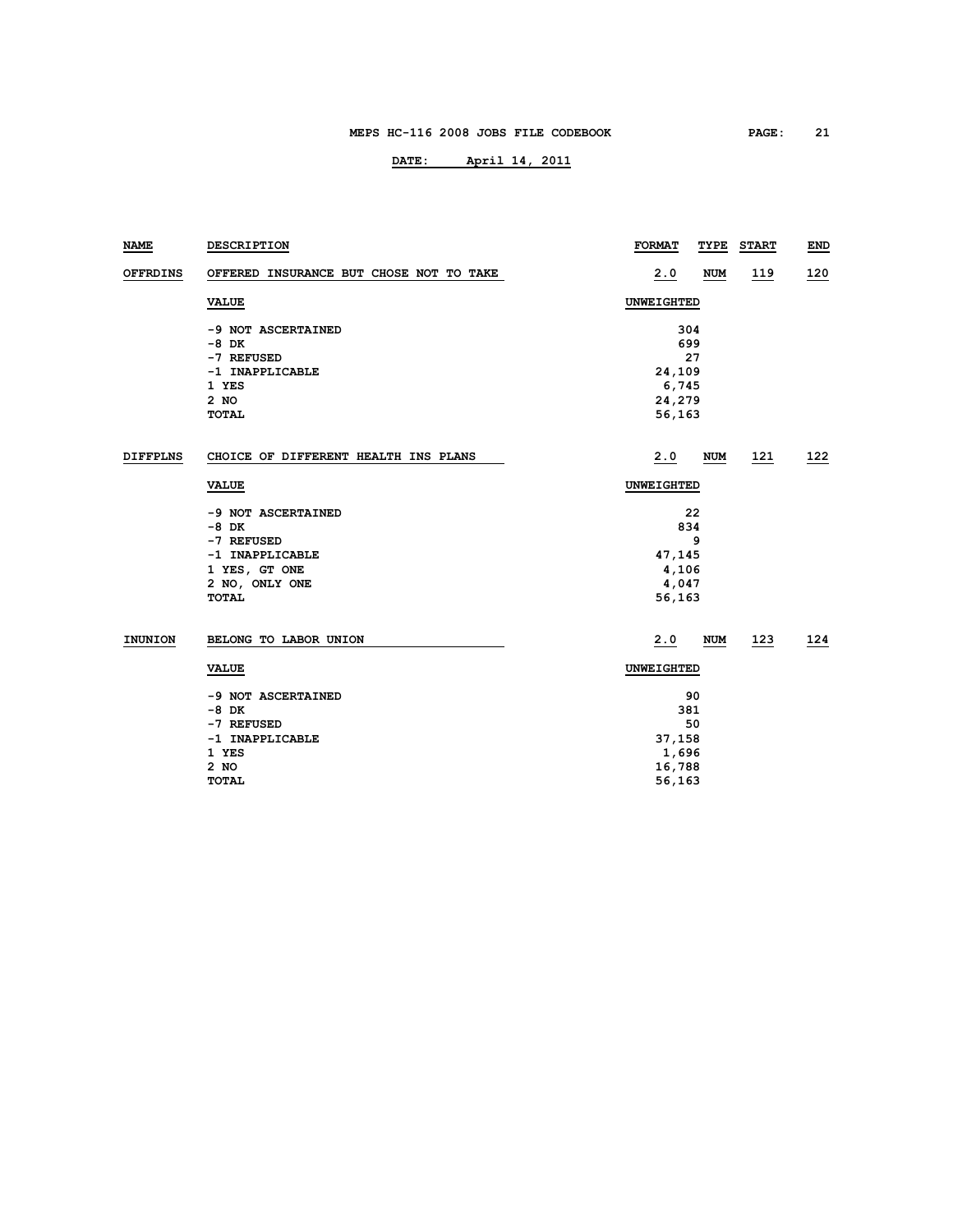| <b>NAME</b>     | DESCRIPTION                             | <b>FORMAT</b>     | TYPE       | <b>START</b> | <b>END</b> |  |
|-----------------|-----------------------------------------|-------------------|------------|--------------|------------|--|
| <b>OFFRDINS</b> | OFFERED INSURANCE BUT CHOSE NOT TO TAKE | 2.0               | <b>NUM</b> | <u>119</u>   | 120        |  |
|                 | <b>VALUE</b>                            | UNWEIGHTED        |            |              |            |  |
|                 | -9 NOT ASCERTAINED                      | 304               |            |              |            |  |
|                 | $-8$ DK                                 | 699               |            |              |            |  |
|                 | -7 REFUSED                              |                   | 27         |              |            |  |
|                 | -1 INAPPLICABLE                         | 24,109            |            |              |            |  |
|                 | 1 YES                                   | 6,745             |            |              |            |  |
|                 | 2 NO                                    | 24,279            |            |              |            |  |
|                 | <b>TOTAL</b>                            | 56,163            |            |              |            |  |
| <b>DIFFPLNS</b> | CHOICE OF DIFFERENT HEALTH INS PLANS    | 2.0               | <b>NUM</b> | 121          | 122        |  |
|                 | <b>VALUE</b>                            |                   | UNWEIGHTED |              |            |  |
|                 | -9 NOT ASCERTAINED                      |                   | 22         |              |            |  |
|                 | $-8$ DK                                 |                   | 834        |              |            |  |
|                 | -7 REFUSED                              |                   | 9          |              |            |  |
|                 | -1 INAPPLICABLE                         |                   | 47,145     |              |            |  |
|                 | 1 YES, GT ONE                           |                   | 4,106      |              |            |  |
|                 | 2 NO, ONLY ONE                          |                   | 4,047      |              |            |  |
|                 | TOTAL                                   |                   | 56,163     |              |            |  |
| INUNION         | BELONG TO LABOR UNION                   | 2.0               | <b>NUM</b> | <u>123</u>   | 124        |  |
|                 | <b>VALUE</b>                            | <b>UNWEIGHTED</b> |            |              |            |  |
|                 | -9 NOT ASCERTAINED                      |                   | 90         |              |            |  |
|                 | $-8$ DK                                 |                   | 381        |              |            |  |
|                 | -7 REFUSED                              | 50                |            |              |            |  |
|                 | -1 INAPPLICABLE                         |                   | 37,158     |              |            |  |
|                 | 1 YES                                   | 1,696             |            |              |            |  |
|                 | 2 NO                                    | 16,788            |            |              |            |  |
|                 | <b>TOTAL</b>                            | 56,163            |            |              |            |  |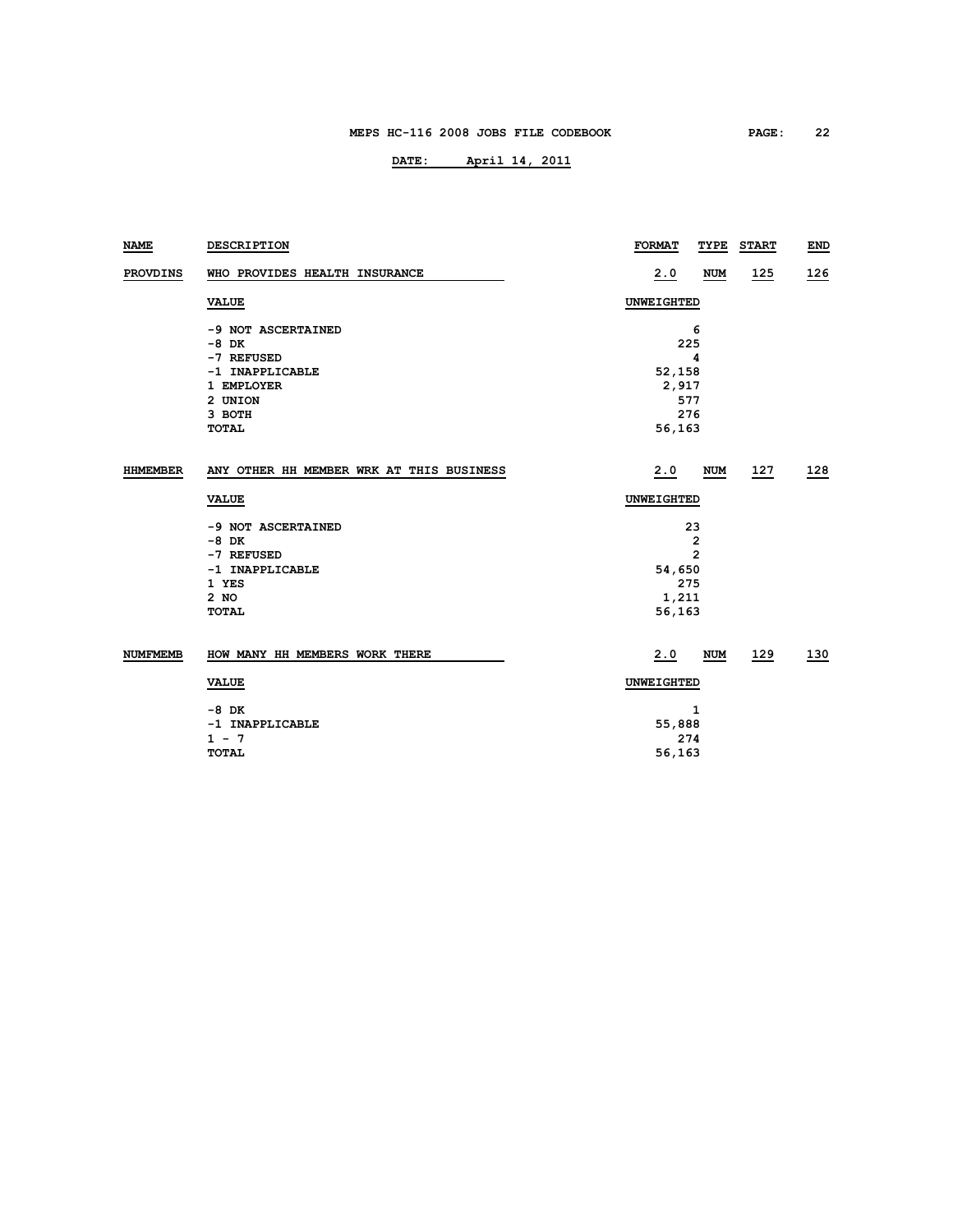| <b>NAME</b>     | <b>DESCRIPTION</b>                       | <b>FORMAT</b>     | TYPE                    | <b>START</b> | <b>END</b> |
|-----------------|------------------------------------------|-------------------|-------------------------|--------------|------------|
| <b>PROVDINS</b> | WHO PROVIDES HEALTH INSURANCE            | 2.0               | <b>NUM</b>              | <u> 125</u>  | <u>126</u> |
|                 | <b>VALUE</b>                             | <b>UNWEIGHTED</b> |                         |              |            |
|                 | -9 NOT ASCERTAINED                       |                   | 6                       |              |            |
|                 | $-8$ DK                                  | 225               |                         |              |            |
|                 | -7 REFUSED                               |                   | 4                       |              |            |
|                 | -1 INAPPLICABLE                          | 52,158            |                         |              |            |
|                 | 1 EMPLOYER                               | 2,917             |                         |              |            |
|                 | 2 UNION                                  | 577               |                         |              |            |
|                 | 3 ВОТН                                   | 276               |                         |              |            |
|                 | <b>TOTAL</b>                             | 56,163            |                         |              |            |
| <b>HHMEMBER</b> | ANY OTHER HH MEMBER WRK AT THIS BUSINESS | 2.0               | <b>NUM</b>              | 127          | 128        |
|                 | <b>VALUE</b>                             | <b>UNWEIGHTED</b> |                         |              |            |
|                 | -9 NOT ASCERTAINED                       | 23                |                         |              |            |
|                 | $-8$ DK                                  |                   | $\overline{\mathbf{2}}$ |              |            |
|                 | -7 REFUSED                               | $\overline{2}$    |                         |              |            |
|                 | -1 INAPPLICABLE                          | 54,650            |                         |              |            |
|                 | 1 YES                                    | 275               |                         |              |            |
|                 | $2$ NO                                   |                   | 1,211                   |              |            |
|                 | <b>TOTAL</b>                             | 56,163            |                         |              |            |
| <b>NUMFMEMB</b> | HOW MANY HH MEMBERS WORK THERE           | 2.0               | <b>NUM</b>              | 129          | 130        |
|                 | <b>VALUE</b>                             | <b>UNWEIGHTED</b> |                         |              |            |
|                 | $-8$ DK                                  | 1                 |                         |              |            |
|                 | -1 INAPPLICABLE                          | 55,888            |                         |              |            |
|                 | $1 - 7$                                  | 274               |                         |              |            |
|                 | TOTAL                                    | 56,163            |                         |              |            |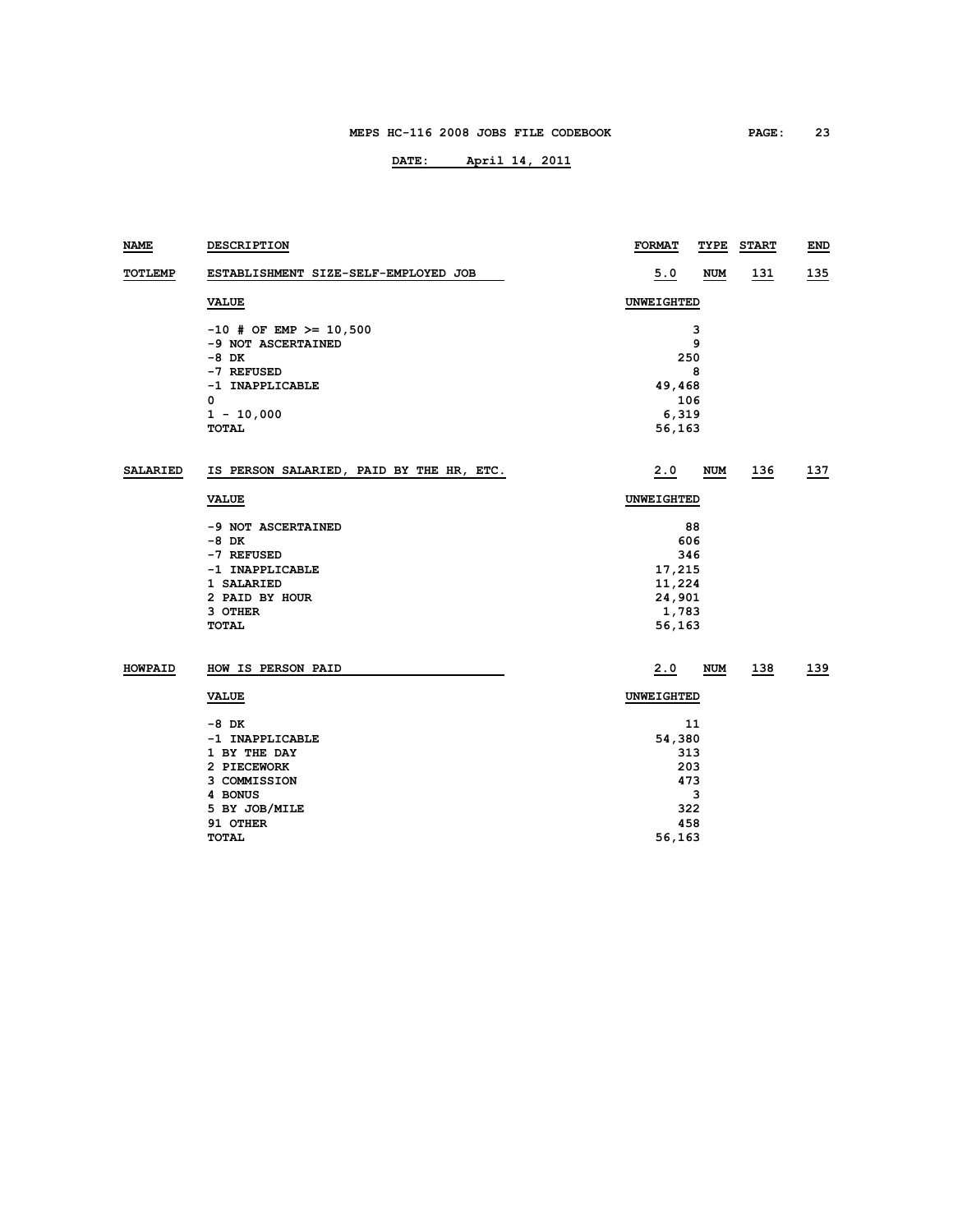| <b>NAME</b>     | DESCRIPTION                              | <b>FORMAT</b> | TYPE       | <b>START</b> | END         |
|-----------------|------------------------------------------|---------------|------------|--------------|-------------|
| <b>TOTLEMP</b>  | ESTABLISHMENT SIZE-SELF-EMPLOYED JOB     | 5.0           | <b>NUM</b> | <u> 131</u>  | <u> 135</u> |
|                 | <b>VALUE</b>                             | UNWEIGHTED    |            |              |             |
|                 | $-10$ # OF EMP >= 10,500                 |               | 3          |              |             |
|                 | -9 NOT ASCERTAINED                       |               | 9          |              |             |
|                 | $-8$ DK                                  |               | 250        |              |             |
|                 | -7 REFUSED                               |               | 8          |              |             |
|                 | -1 INAPPLICABLE                          | 49,468        |            |              |             |
|                 | 0                                        |               | 106        |              |             |
|                 | $1 - 10,000$                             | 6,319         |            |              |             |
|                 | <b>TOTAL</b>                             | 56,163        |            |              |             |
| <b>SALARIED</b> | IS PERSON SALARIED, PAID BY THE HR, ETC. | 2.0           | NUM        | 136          | 137         |
|                 | <b>VALUE</b>                             | UNWEIGHTED    |            |              |             |
|                 | -9 NOT ASCERTAINED                       | 88            |            |              |             |
|                 | -8 DK                                    | 606           |            |              |             |
|                 | -7 REFUSED                               | 346           |            |              |             |
|                 | -1 INAPPLICABLE                          | 17,215        |            |              |             |
|                 | 1 SALARIED                               | 11,224        |            |              |             |
|                 | 2 PAID BY HOUR                           | 24,901        |            |              |             |
|                 | 3 OTHER                                  | 1,783         |            |              |             |
|                 | <b>TOTAL</b>                             | 56,163        |            |              |             |
| <b>HOWPAID</b>  | HOW IS PERSON PAID                       | 2.0           | <b>NUM</b> | 138          | 139         |
|                 | <b>VALUE</b>                             | UNWEIGHTED    |            |              |             |
|                 | -8 DK                                    |               | 11         |              |             |
|                 | -1 INAPPLICABLE                          | 54,380        |            |              |             |
|                 | 1 BY THE DAY                             |               | 313        |              |             |
|                 | 2 PIECEWORK                              |               | 203        |              |             |
|                 | 3 COMMISSION                             |               | 473        |              |             |
|                 | 4 BONUS                                  |               | 3          |              |             |
|                 | 5 BY JOB/MILE                            |               | 322        |              |             |
|                 | 91 OTHER                                 |               | 458        |              |             |
|                 | TOTAL                                    | 56,163        |            |              |             |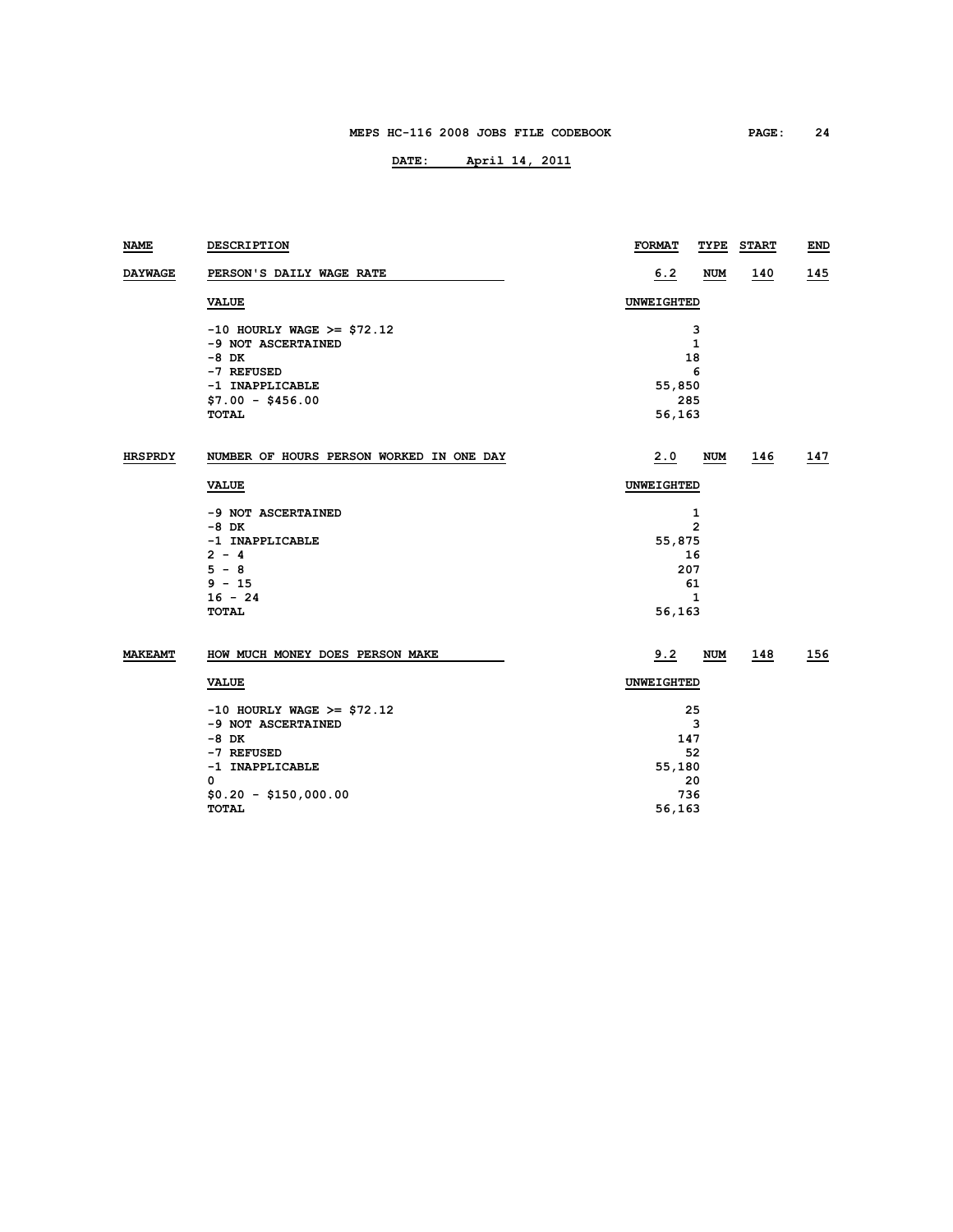| NAME           | DESCRIPTION                              | <b>FORMAT</b>     | TYPE           | <b>START</b> | END |  |
|----------------|------------------------------------------|-------------------|----------------|--------------|-----|--|
| <b>DAYWAGE</b> | PERSON'S DAILY WAGE RATE                 | 6.2               | <b>NUM</b>     | 140          | 145 |  |
|                | <b>VALUE</b>                             | <b>UNWEIGHTED</b> |                |              |     |  |
|                | $-10$ HOURLY WAGE >= \$72.12             |                   | з              |              |     |  |
|                | -9 NOT ASCERTAINED                       |                   | $\mathbf{1}$   |              |     |  |
|                | $-8$ DK                                  |                   | 18             |              |     |  |
|                | -7 REFUSED                               |                   | 6              |              |     |  |
|                | -1 INAPPLICABLE                          | 55,850            |                |              |     |  |
|                | $$7.00 - $456.00$                        | 285               |                |              |     |  |
|                | <b>TOTAL</b>                             | 56,163            |                |              |     |  |
| <b>HRSPRDY</b> | NUMBER OF HOURS PERSON WORKED IN ONE DAY | 2.0               | NUM            | 146          | 147 |  |
|                | <b>VALUE</b>                             | UNWEIGHTED        |                |              |     |  |
|                | -9 NOT ASCERTAINED                       | 1                 |                |              |     |  |
|                | $-8$ DK                                  |                   | $\overline{2}$ |              |     |  |
|                | -1 INAPPLICABLE                          | 55,875            |                |              |     |  |
|                | $2 - 4$                                  | 16                |                |              |     |  |
|                | $5 - 8$                                  | 207               |                |              |     |  |
|                | $9 - 15$                                 |                   | 61             |              |     |  |
|                | $16 - 24$                                |                   | 1              |              |     |  |
|                | <b>TOTAL</b>                             | 56,163            |                |              |     |  |
| <b>MAKEAMT</b> | HOW MUCH MONEY DOES PERSON MAKE          | 9.2               | <b>NUM</b>     | 148          | 156 |  |
|                |                                          |                   |                |              |     |  |
|                | <b>VALUE</b>                             |                   | UNWEIGHTED     |              |     |  |
|                | $-10$ HOURLY WAGE >= \$72.12             | 25                |                |              |     |  |
|                | -9 NOT ASCERTAINED                       | 3                 |                |              |     |  |
|                | $-8$ DK                                  | 147               |                |              |     |  |
|                | -7 REFUSED                               | 52                |                |              |     |  |
|                | -1 INAPPLICABLE                          | 55,180            |                |              |     |  |
|                | 0                                        |                   | 20             |              |     |  |
|                | $$0.20 - $150,000.00$                    | 736               |                |              |     |  |
|                | TOTAL                                    | 56,163            |                |              |     |  |
|                |                                          |                   |                |              |     |  |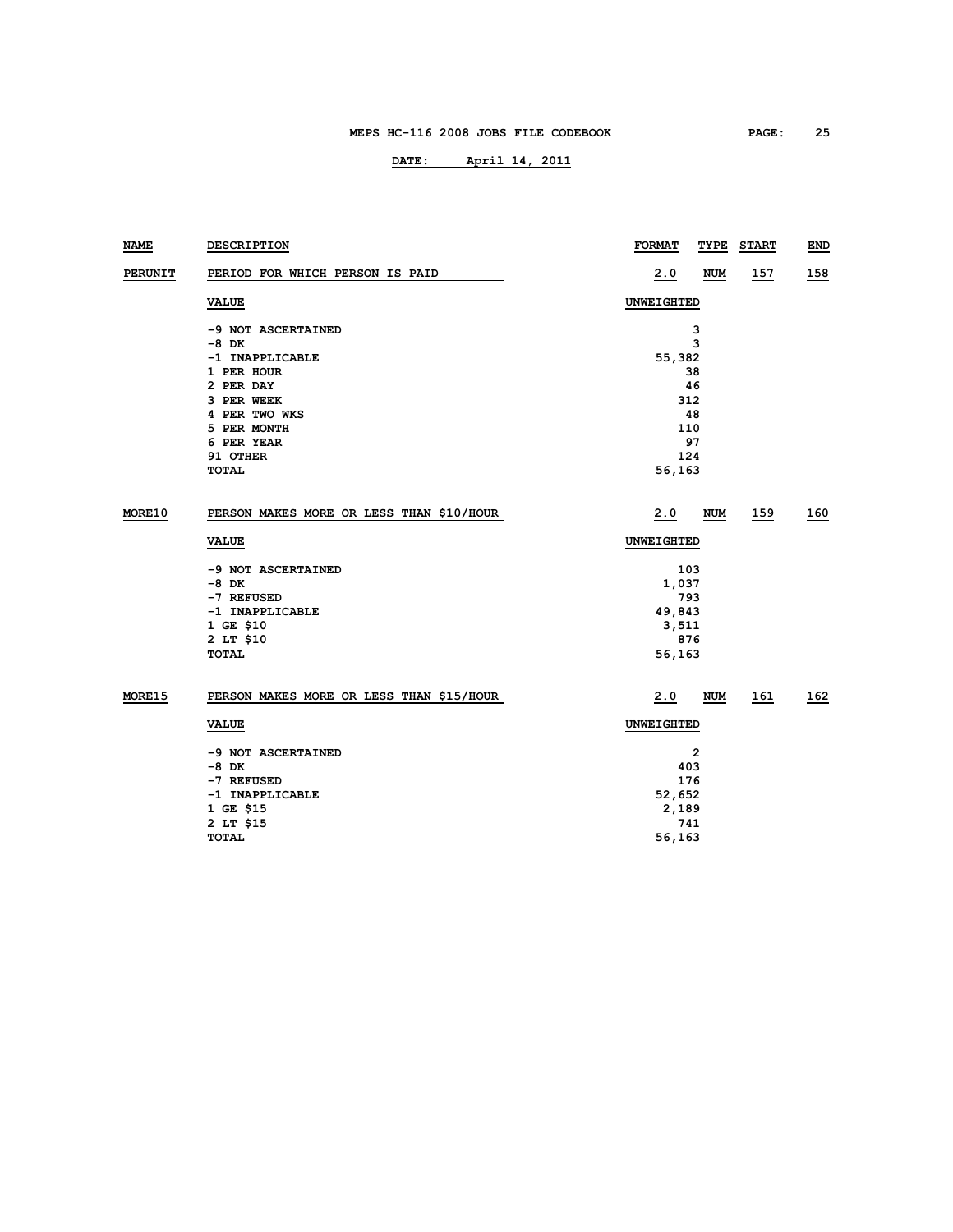| NAME          | <b>DESCRIPTION</b>                       | <b>FORMAT</b> | TYPE         | <b>START</b> | END |  |
|---------------|------------------------------------------|---------------|--------------|--------------|-----|--|
| PERUNIT       | PERIOD FOR WHICH PERSON IS PAID          | 2.0           | NUM          | <u>157</u>   | 158 |  |
|               | <b>VALUE</b>                             | UNWEIGHTED    |              |              |     |  |
|               | -9 NOT ASCERTAINED                       |               | з            |              |     |  |
|               | -8 DK                                    |               | 3            |              |     |  |
|               | -1 INAPPLICABLE                          | 55,382        |              |              |     |  |
|               | 1 PER HOUR                               |               | 38           |              |     |  |
|               | 2 PER DAY                                |               | 46           |              |     |  |
|               | 3 PER WEEK                               | 312           |              |              |     |  |
|               | 4 PER TWO WKS                            |               | 48           |              |     |  |
|               | 5 PER MONTH                              | 110           |              |              |     |  |
|               | 6 PER YEAR                               |               | 97           |              |     |  |
|               | 91 OTHER                                 | 124           |              |              |     |  |
|               | <b>TOTAL</b>                             | 56,163        |              |              |     |  |
| MORE10        | PERSON MAKES MORE OR LESS THAN \$10/HOUR | 2.0           | NUM          | 159          | 160 |  |
|               | <b>VALUE</b>                             | UNWEIGHTED    |              |              |     |  |
|               | -9 NOT ASCERTAINED                       | 103           |              |              |     |  |
|               | -8 DK                                    | 1,037         |              |              |     |  |
|               | -7 REFUSED                               | 793           |              |              |     |  |
|               | -1 INAPPLICABLE                          | 49,843        |              |              |     |  |
|               | 1 GE \$10                                | 3,511         |              |              |     |  |
|               | 2 LT \$10                                | 876           |              |              |     |  |
|               | TOTAL                                    | 56,163        |              |              |     |  |
| <b>MORE15</b> | PERSON MAKES MORE OR LESS THAN \$15/HOUR | 2.0           | NUM          | 161          | 162 |  |
|               | <b>VALUE</b>                             | UNWEIGHTED    |              |              |     |  |
|               | -9 NOT ASCERTAINED                       |               | $\mathbf{2}$ |              |     |  |
|               | -8 DK                                    | 403           |              |              |     |  |
|               | -7 REFUSED                               | 176           |              |              |     |  |
|               | -1 INAPPLICABLE                          | 52,652        |              |              |     |  |
|               | 1 GE \$15                                | 2,189         |              |              |     |  |
|               | 2 LT \$15                                | 741           |              |              |     |  |
|               | TOTAL                                    | 56,163        |              |              |     |  |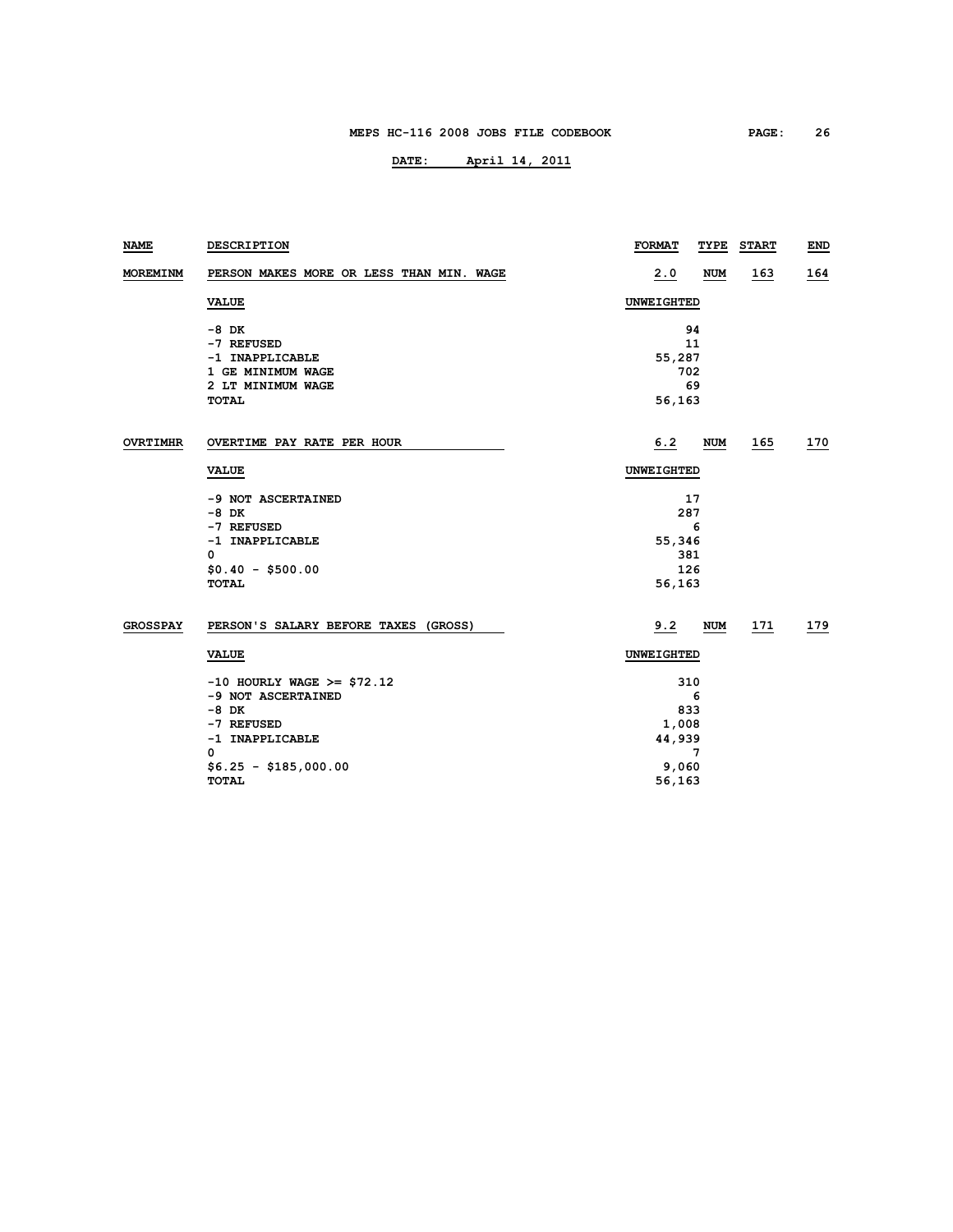| <b>NAME</b>     | DESCRIPTION                              | <b>FORMAT</b> | TYPE       | <b>START</b> | END        |  |
|-----------------|------------------------------------------|---------------|------------|--------------|------------|--|
| MOREMINM        | PERSON MAKES MORE OR LESS THAN MIN. WAGE | 2.0           | <b>NUM</b> | <u> 163</u>  | <u>164</u> |  |
|                 | <b>VALUE</b>                             | UNWEIGHTED    |            |              |            |  |
|                 | -8 DK                                    | 94            |            |              |            |  |
|                 | -7 REFUSED                               | 11            |            |              |            |  |
|                 | -1 INAPPLICABLE                          | 55,287        |            |              |            |  |
|                 | 1 GE MINIMUM WAGE                        | 702           |            |              |            |  |
|                 | 2 LT MINIMUM WAGE                        | 69            |            |              |            |  |
|                 | <b>TOTAL</b>                             | 56,163        |            |              |            |  |
| <b>OVRTIMHR</b> | OVERTIME PAY RATE PER HOUR               | 6.2           | NUM        | 165          | 170        |  |
|                 |                                          |               |            |              |            |  |
|                 | <b>VALUE</b>                             | UNWEIGHTED    |            |              |            |  |
|                 | -9 NOT ASCERTAINED                       | 17            |            |              |            |  |
|                 | $-8$ DK                                  | 287           |            |              |            |  |
|                 | -7 REFUSED                               | 6             |            |              |            |  |
|                 | -1 INAPPLICABLE                          | 55,346        |            |              |            |  |
|                 | $\mathbf 0$                              | 381           |            |              |            |  |
|                 | $$0.40 - $500.00$                        | 126           |            |              |            |  |
|                 | <b>TOTAL</b>                             | 56,163        |            |              |            |  |
| <b>GROSSPAY</b> | PERSON'S SALARY BEFORE TAXES (GROSS)     | 9.2           | NUM        | <u> 171</u>  | <u>179</u> |  |
|                 | <b>VALUE</b>                             | UNWEIGHTED    |            |              |            |  |
|                 | $-10$ HOURLY WAGE >= \$72.12             | 310           |            |              |            |  |
|                 | -9 NOT ASCERTAINED                       | 6             |            |              |            |  |
|                 | $-8$ DK                                  | 833           |            |              |            |  |
|                 | -7 REFUSED                               | 1,008         |            |              |            |  |
|                 | -1 INAPPLICABLE                          | 44,939        |            |              |            |  |
|                 | 0                                        | 7             |            |              |            |  |
|                 | $$6.25 - $185,000.00$                    | 9,060         |            |              |            |  |
|                 | <b>TOTAL</b>                             | 56,163        |            |              |            |  |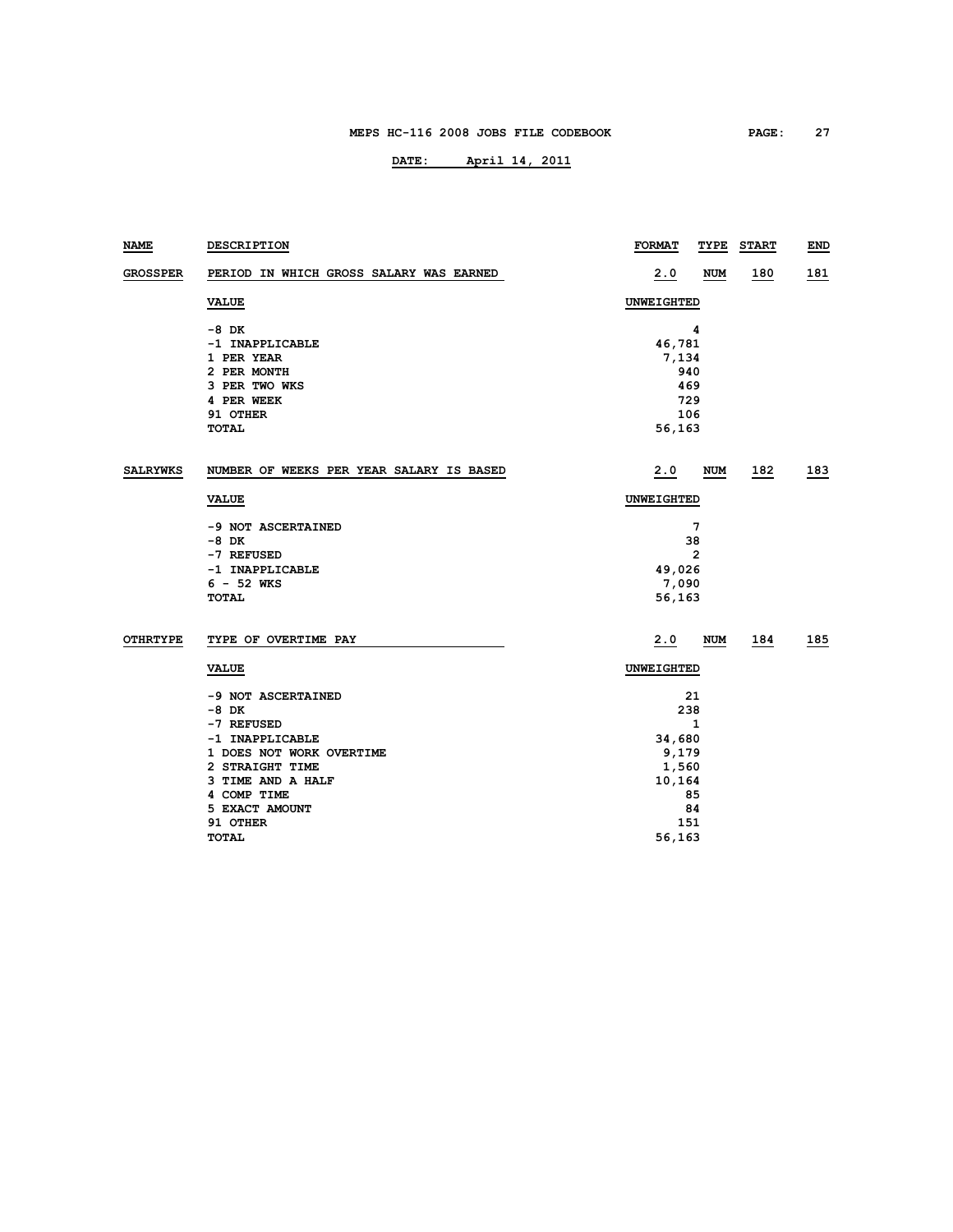| NAME            | DESCRIPTION                              | <b>FORMAT</b>     | TYPE       | <b>START</b> | <b>END</b> |
|-----------------|------------------------------------------|-------------------|------------|--------------|------------|
| <b>GROSSPER</b> | PERIOD IN WHICH GROSS SALARY WAS EARNED  | 2.0               | <b>NUM</b> | 180          | 181        |
|                 | <b>VALUE</b>                             | <b>UNWEIGHTED</b> |            |              |            |
|                 | -8 DK                                    |                   | 4          |              |            |
|                 | -1 INAPPLICABLE                          | 46,781            |            |              |            |
|                 | 1 PER YEAR                               | 7,134             |            |              |            |
|                 | 2 PER MONTH                              | 940               |            |              |            |
|                 | 3 PER TWO WKS                            | 469               |            |              |            |
|                 | 4 PER WEEK                               | 729               |            |              |            |
|                 | 91 OTHER                                 | 106               |            |              |            |
|                 | <b>TOTAL</b>                             | 56,163            |            |              |            |
| <b>SALRYWKS</b> | NUMBER OF WEEKS PER YEAR SALARY IS BASED | 2.0               | <b>NUM</b> | 182          | 183        |
|                 | VALUE                                    | <b>UNWEIGHTED</b> |            |              |            |
|                 | -9 NOT ASCERTAINED                       |                   | 7          |              |            |
|                 | -8 DK                                    |                   | 38         |              |            |
|                 |                                          |                   | 2          |              |            |
|                 | -7 REFUSED                               |                   |            |              |            |
|                 | -1 INAPPLICABLE<br>$6 - 52$ WKS          | 49,026            |            |              |            |
|                 | <b>TOTAL</b>                             | 7,090             |            |              |            |
|                 |                                          | 56,163            |            |              |            |
| OTHRTYPE        | TYPE OF OVERTIME PAY                     | 2.0               | <b>NUM</b> | 184          | 185        |
|                 | <b>VALUE</b>                             | <b>UNWEIGHTED</b> |            |              |            |
|                 | -9 NOT ASCERTAINED                       |                   | 21         |              |            |
|                 | -8 DK                                    | 238               |            |              |            |
|                 | -7 REFUSED                               | 1                 |            |              |            |
|                 | -1 INAPPLICABLE                          | 34,680            |            |              |            |
|                 | 1 DOES NOT WORK OVERTIME                 | 9,179             |            |              |            |
|                 | 2 STRAIGHT TIME                          | 1,560             |            |              |            |
|                 | 3 TIME AND A HALF                        | 10,164            |            |              |            |
|                 | 4 COMP TIME                              |                   | 85         |              |            |
|                 | 5 EXACT AMOUNT                           |                   | 84         |              |            |
|                 | 91 OTHER                                 | 151               |            |              |            |
|                 | <b>TOTAL</b>                             | 56,163            |            |              |            |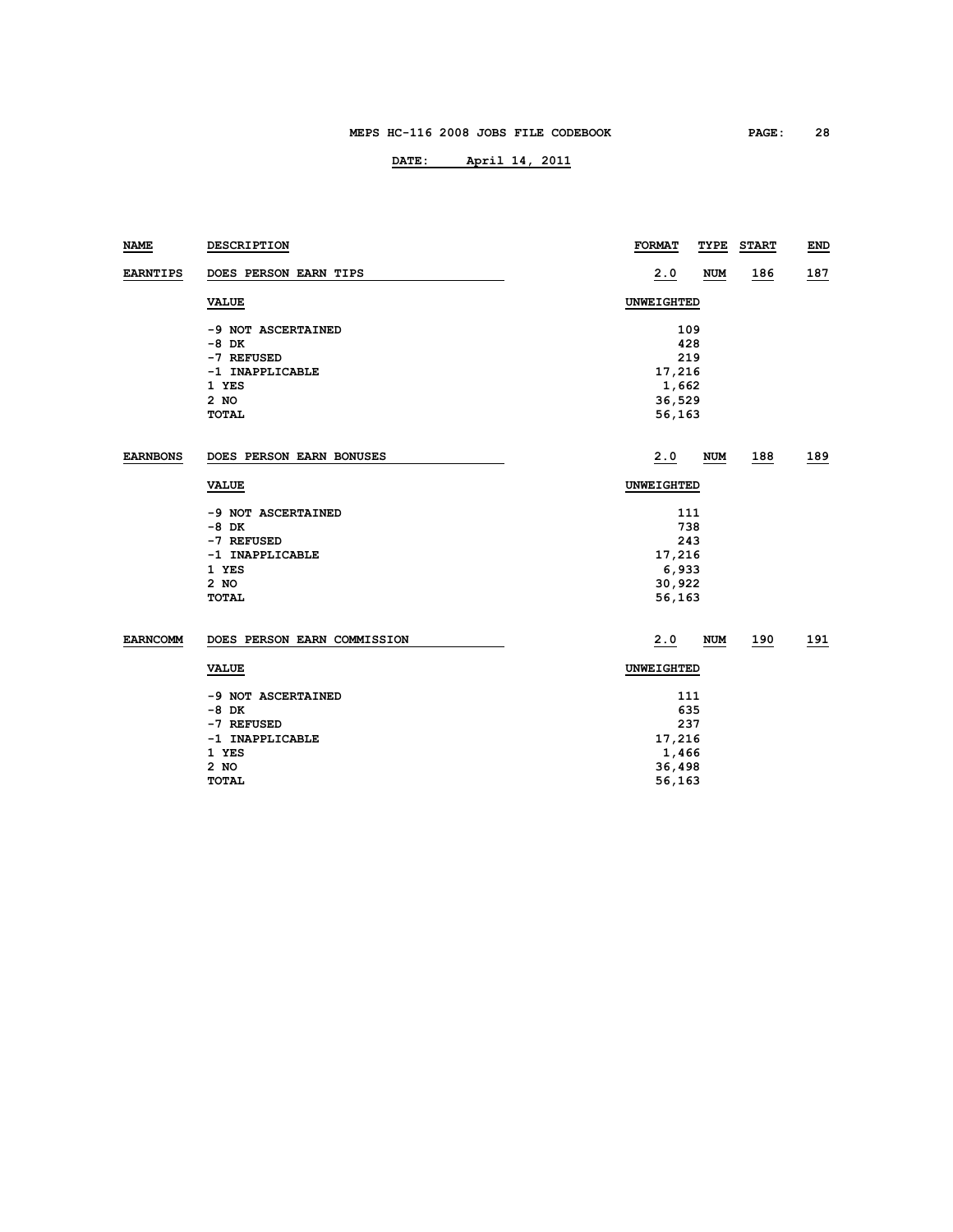| <b>NAME</b>     | DESCRIPTION                 | <b>FORMAT</b><br>TYPE | <b>START</b> | <b>END</b> |  |  |  |
|-----------------|-----------------------------|-----------------------|--------------|------------|--|--|--|
| <b>EARNTIPS</b> | DOES PERSON EARN TIPS       | 2.0<br><b>NUM</b>     | 186          | 187        |  |  |  |
|                 | <b>VALUE</b>                | UNWEIGHTED            |              |            |  |  |  |
|                 | -9 NOT ASCERTAINED          | 109                   |              |            |  |  |  |
|                 | $-8$ DK                     | 428                   |              |            |  |  |  |
|                 | -7 REFUSED                  | 219                   |              |            |  |  |  |
|                 | -1 INAPPLICABLE             | 17,216                |              |            |  |  |  |
|                 | 1 YES                       | 1,662                 |              |            |  |  |  |
|                 | 2 NO                        | 36,529                |              |            |  |  |  |
|                 | <b>TOTAL</b>                | 56,163                |              |            |  |  |  |
| <b>EARNBONS</b> | DOES PERSON EARN BONUSES    | 2.0<br><b>NUM</b>     | 188          | <u>189</u> |  |  |  |
|                 | <b>VALUE</b>                | UNWEIGHTED            |              |            |  |  |  |
|                 | -9 NOT ASCERTAINED          | 111                   |              |            |  |  |  |
|                 | $-8$ DK                     | 738                   |              |            |  |  |  |
|                 | -7 REFUSED                  | 243                   |              |            |  |  |  |
|                 | -1 INAPPLICABLE             | 17,216                |              |            |  |  |  |
|                 | 1 YES                       | 6,933                 |              |            |  |  |  |
|                 | $2$ NO                      | 30,922                |              |            |  |  |  |
|                 | <b>TOTAL</b>                | 56,163                |              |            |  |  |  |
| <b>EARNCOMM</b> | DOES PERSON EARN COMMISSION | 2.0<br><b>NUM</b>     | 190          | 191        |  |  |  |
|                 | <b>VALUE</b>                | UNWEIGHTED            |              |            |  |  |  |
|                 | -9 NOT ASCERTAINED          | 111                   |              |            |  |  |  |
|                 | $-8$ DK                     | 635                   |              |            |  |  |  |
|                 | -7 REFUSED                  | 237                   |              |            |  |  |  |
|                 | -1 INAPPLICABLE             | 17,216                |              |            |  |  |  |
|                 | 1 YES                       | 1,466                 |              |            |  |  |  |
|                 | 2 NO                        | 36,498                |              |            |  |  |  |
|                 | <b>TOTAL</b>                | 56,163                |              |            |  |  |  |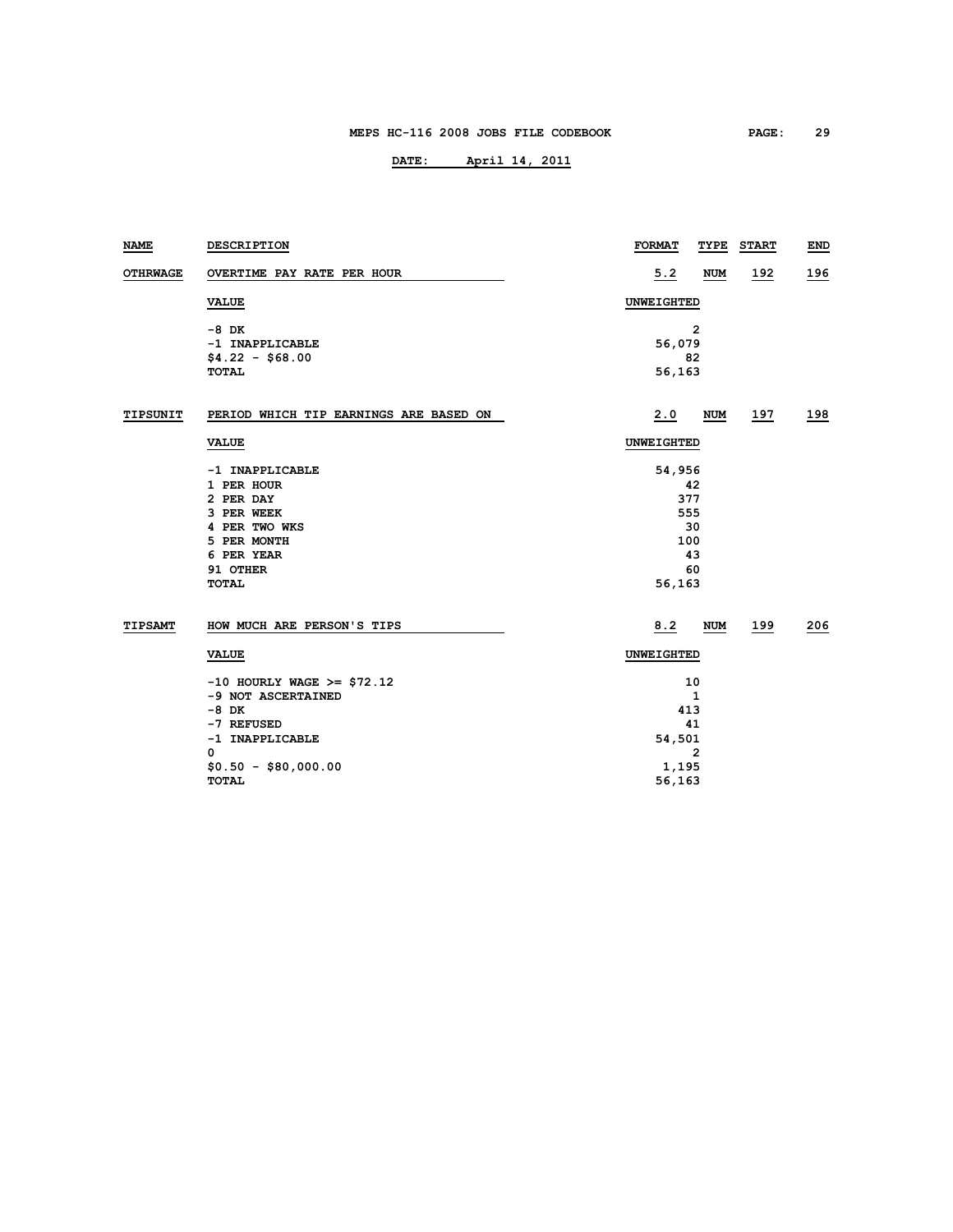| NAME            | DESCRIPTION                            | <b>FORMAT</b> | TYPE           | <b>START</b> | END        |  |
|-----------------|----------------------------------------|---------------|----------------|--------------|------------|--|
| <b>OTHRWAGE</b> | OVERTIME PAY RATE PER HOUR             | 5.2           | <b>NUM</b>     | <u> 192</u>  | <u>196</u> |  |
|                 | <b>VALUE</b>                           | UNWEIGHTED    |                |              |            |  |
|                 | $-8$ DK                                |               | $\overline{2}$ |              |            |  |
|                 | -1 INAPPLICABLE                        | 56,079        |                |              |            |  |
|                 | $$4.22 - $68.00$                       |               | 82             |              |            |  |
|                 | <b>TOTAL</b>                           | 56,163        |                |              |            |  |
| TIPSUNIT        | PERIOD WHICH TIP EARNINGS ARE BASED ON | 2.0           | <b>NUM</b>     | 197          | <u>198</u> |  |
|                 | <b>VALUE</b>                           |               | UNWEIGHTED     |              |            |  |
|                 | -1 INAPPLICABLE                        | 54,956        |                |              |            |  |
|                 | 1 PER HOUR                             | 42            |                |              |            |  |
|                 | 2 PER DAY                              | 377           |                |              |            |  |
|                 | 3 PER WEEK                             | 555           |                |              |            |  |
|                 | 4 PER TWO WKS                          | 30            |                |              |            |  |
|                 | 5 PER MONTH                            | 100           |                |              |            |  |
|                 | 6 PER YEAR                             |               | 43             |              |            |  |
|                 | 91 OTHER                               |               | 60             |              |            |  |
|                 | <b>TOTAL</b>                           | 56,163        |                |              |            |  |
| TIPSAMT         | HOW MUCH ARE PERSON'S TIPS             | 8.2           | NUM            | 199          | 206        |  |
|                 | <b>VALUE</b>                           | UNWEIGHTED    |                |              |            |  |
|                 | $-10$ HOURLY WAGE >= \$72.12           | 10            |                |              |            |  |
|                 | -9 NOT ASCERTAINED                     | $\mathbf{1}$  |                |              |            |  |
|                 | $-8$ DK                                | 413           |                |              |            |  |
|                 | -7 REFUSED                             | 41            |                |              |            |  |
|                 | -1 INAPPLICABLE                        | 54,501        |                |              |            |  |
|                 | 0                                      |               | 2              |              |            |  |
|                 | $$0.50 - $80,000.00$                   | 1,195         |                |              |            |  |
|                 | <b>TOTAL</b>                           | 56,163        |                |              |            |  |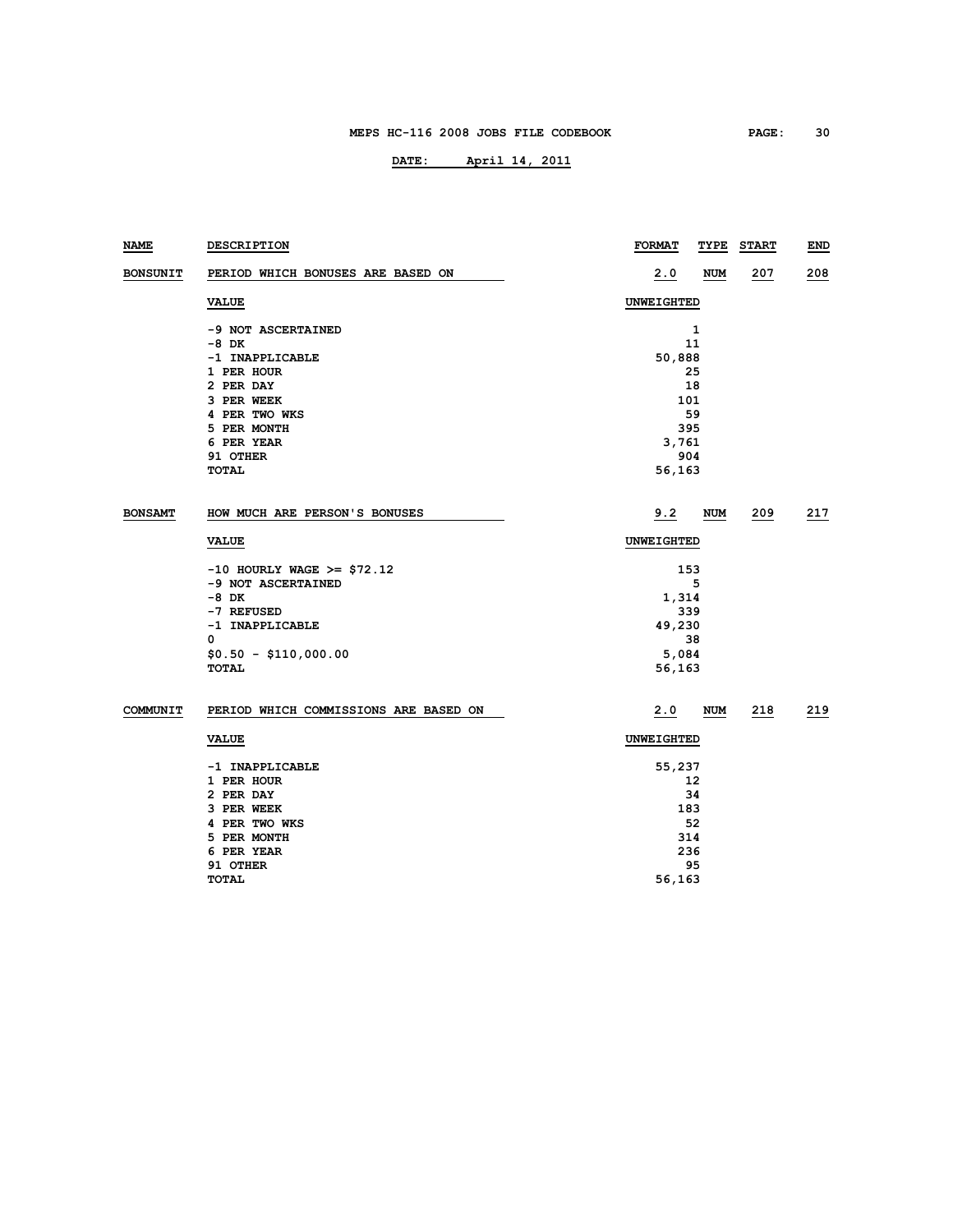| NAME            | <b>DESCRIPTION</b>                    | <b>FORMAT</b>     | TYPE | <b>START</b> | <b>END</b> |
|-----------------|---------------------------------------|-------------------|------|--------------|------------|
| <b>BONSUNIT</b> | PERIOD WHICH BONUSES ARE BASED ON     | 2.0               | NUM  | 207          | 208        |
|                 | <b>VALUE</b>                          | <b>UNWEIGHTED</b> |      |              |            |
|                 | -9 NOT ASCERTAINED                    |                   | 1    |              |            |
|                 | -8 DK                                 |                   | 11   |              |            |
|                 | -1 INAPPLICABLE                       | 50,888            |      |              |            |
|                 | 1 PER HOUR                            |                   | 25   |              |            |
|                 | 2 PER DAY                             |                   | 18   |              |            |
|                 | 3 PER WEEK                            | 101               |      |              |            |
|                 | 4 PER TWO WKS                         |                   | 59   |              |            |
|                 | 5 PER MONTH                           |                   | 395  |              |            |
|                 | 6 PER YEAR                            | 3,761             |      |              |            |
|                 | 91 OTHER                              |                   | 904  |              |            |
|                 | TOTAL                                 | 56,163            |      |              |            |
| <b>BONSAMT</b>  | HOW MUCH ARE PERSON'S BONUSES         | 9.2               | NUM  | 209          | 217        |
|                 | <b>VALUE</b>                          | <b>UNWEIGHTED</b> |      |              |            |
|                 | $-10$ HOURLY WAGE >= \$72.12          |                   | 153  |              |            |
|                 | -9 NOT ASCERTAINED                    |                   | 5    |              |            |
|                 | -8 DK                                 | 1,314             |      |              |            |
|                 | -7 REFUSED                            |                   | 339  |              |            |
|                 | -1 INAPPLICABLE                       | 49,230            |      |              |            |
|                 | 0                                     |                   | 38   |              |            |
|                 | $$0.50 - $110,000.00$                 | 5,084             |      |              |            |
|                 | TOTAL                                 | 56,163            |      |              |            |
| COMMUNIT        | PERIOD WHICH COMMISSIONS ARE BASED ON | 2.0               | NUM  | 218          | 219        |
|                 | <b>VALUE</b>                          | UNWEIGHTED        |      |              |            |
|                 | -1 INAPPLICABLE                       | 55,237            |      |              |            |
|                 | 1 PER HOUR                            | 12                |      |              |            |
|                 | 2 PER DAY                             | 34                |      |              |            |
|                 | 3 PER WEEK                            |                   | 183  |              |            |
|                 | 4 PER TWO WKS                         |                   | 52   |              |            |
|                 | 5 PER MONTH                           |                   | 314  |              |            |
|                 | 6 PER YEAR                            |                   | 236  |              |            |
|                 | 91 OTHER                              |                   | 95   |              |            |
|                 | <b>TOTAL</b>                          | 56,163            |      |              |            |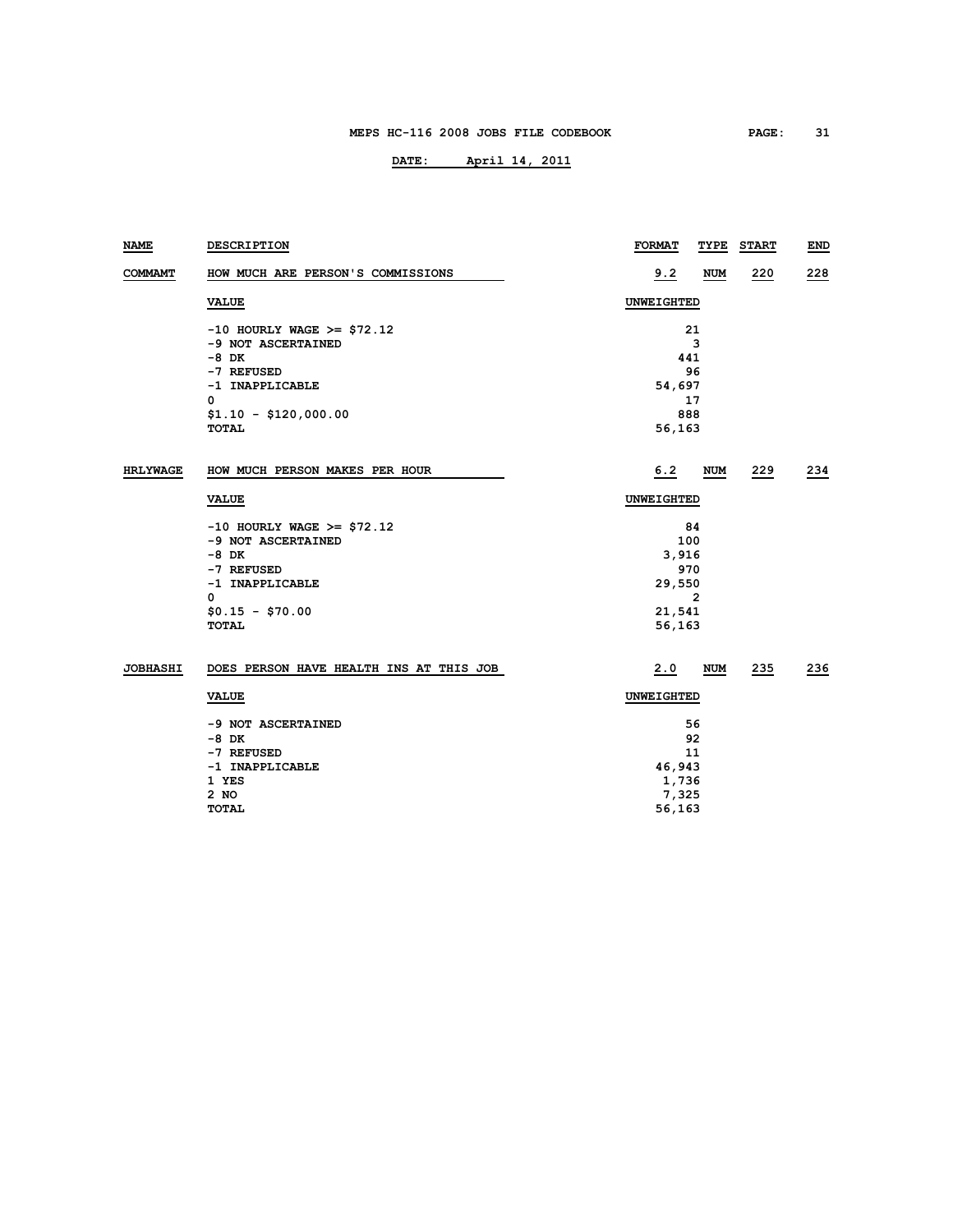| NAME            | <b>DESCRIPTION</b>                      | <b>FORMAT</b><br>TYPE | <b>START</b> | END |  |
|-----------------|-----------------------------------------|-----------------------|--------------|-----|--|
| <b>COMMAMT</b>  | HOW MUCH ARE PERSON'S COMMISSIONS       | 9.2<br><b>NUM</b>     | 220          | 228 |  |
|                 | <b>VALUE</b>                            | UNWEIGHTED            |              |     |  |
|                 | $-10$ HOURLY WAGE >= \$72.12            | 21                    |              |     |  |
|                 | -9 NOT ASCERTAINED                      | 3                     |              |     |  |
|                 | $-8$ DK                                 | 441                   |              |     |  |
|                 | -7 REFUSED                              | 96                    |              |     |  |
|                 | -1 INAPPLICABLE                         | 54,697                |              |     |  |
|                 | 0                                       | 17                    |              |     |  |
|                 | $$1.10 - $120,000.00$                   | 888                   |              |     |  |
|                 | <b>TOTAL</b>                            | 56,163                |              |     |  |
| <b>HRLYWAGE</b> | HOW MUCH PERSON MAKES PER HOUR          | 6.2<br>NUM            | 229          | 234 |  |
|                 | <b>VALUE</b>                            | UNWEIGHTED            |              |     |  |
|                 | $-10$ HOURLY WAGE >= \$72.12            | 84                    |              |     |  |
|                 | -9 NOT ASCERTAINED                      | 100                   |              |     |  |
|                 | -8 DK                                   | 3,916                 |              |     |  |
|                 | -7 REFUSED                              | 970                   |              |     |  |
|                 | -1 INAPPLICABLE                         | 29,550                |              |     |  |
|                 | 0                                       | 2                     |              |     |  |
|                 | $$0.15 - $70.00$                        | 21,541                |              |     |  |
|                 | TOTAL                                   | 56,163                |              |     |  |
| <b>JOBHASHI</b> | DOES PERSON HAVE HEALTH INS AT THIS JOB | 2.0<br><b>NUM</b>     | 235          | 236 |  |
|                 | <b>VALUE</b>                            | <b>UNWEIGHTED</b>     |              |     |  |
|                 | -9 NOT ASCERTAINED                      | 56                    |              |     |  |
|                 | -8 DK                                   | 92                    |              |     |  |
|                 | -7 REFUSED                              | 11                    |              |     |  |
|                 | -1 INAPPLICABLE                         | 46,943                |              |     |  |
|                 | 1 YES                                   | 1,736                 |              |     |  |
|                 | 2 NO                                    | 7,325                 |              |     |  |
|                 | <b>TOTAL</b>                            | 56,163                |              |     |  |
|                 |                                         |                       |              |     |  |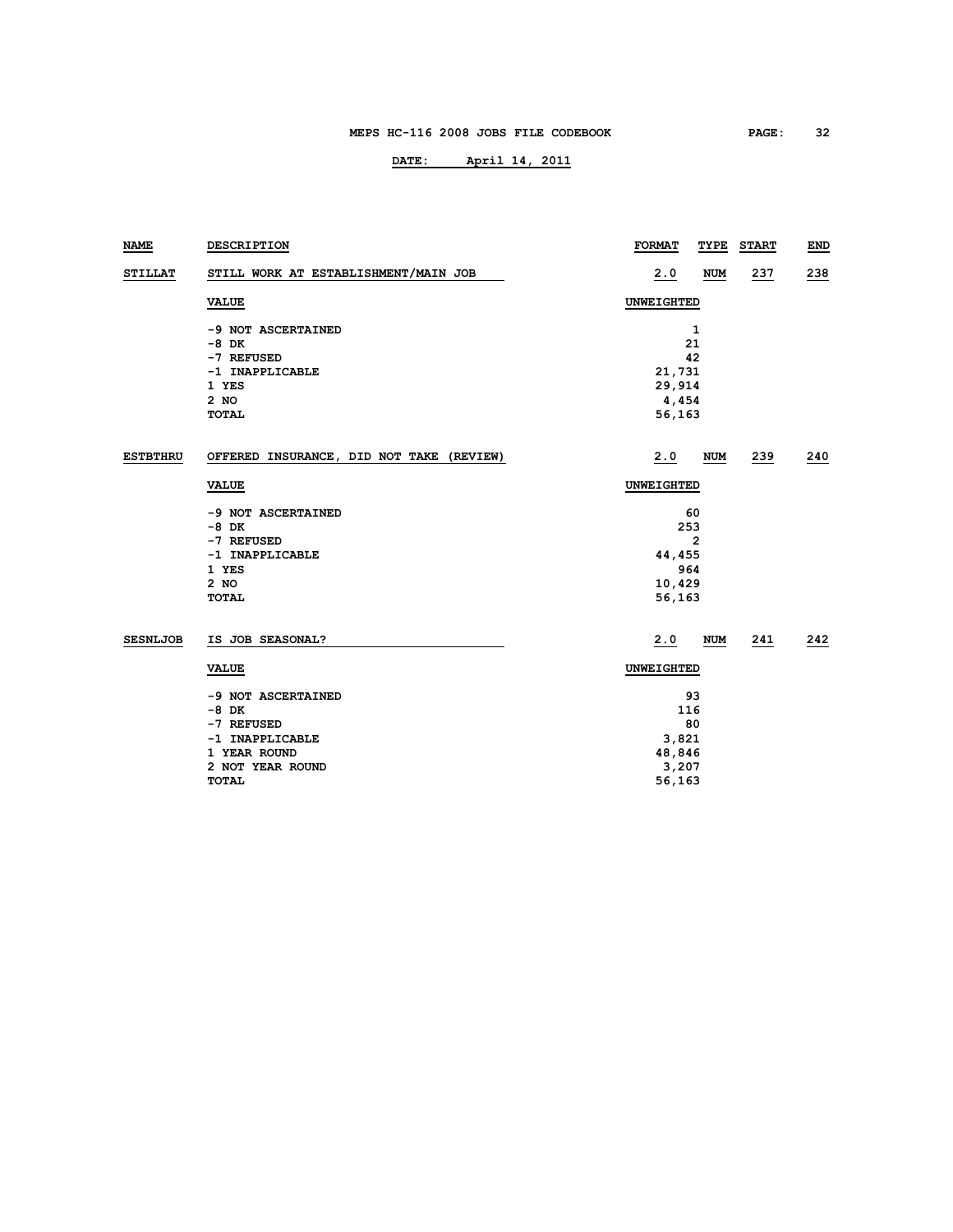| <b>NAME</b>     | DESCRIPTION                              | <b>FORMAT</b> | TYPE           | <b>START</b> | END |  |
|-----------------|------------------------------------------|---------------|----------------|--------------|-----|--|
| <b>STILLAT</b>  | STILL WORK AT ESTABLISHMENT/MAIN JOB     | 2.0           | <b>NUM</b>     | 237          | 238 |  |
|                 | <b>VALUE</b>                             | UNWEIGHTED    |                |              |     |  |
|                 | -9 NOT ASCERTAINED                       |               | 1              |              |     |  |
|                 | $-8$ DK                                  |               | 21             |              |     |  |
|                 | -7 REFUSED                               |               | 42             |              |     |  |
|                 | -1 INAPPLICABLE                          | 21,731        |                |              |     |  |
|                 | 1 YES                                    | 29,914        |                |              |     |  |
|                 | 2 NO                                     | 4,454         |                |              |     |  |
|                 | <b>TOTAL</b>                             | 56,163        |                |              |     |  |
| <b>ESTBTHRU</b> | OFFERED INSURANCE, DID NOT TAKE (REVIEW) | 2.0           | <b>NUM</b>     | 239          | 240 |  |
|                 | <b>VALUE</b>                             | UNWEIGHTED    |                |              |     |  |
|                 | -9 NOT ASCERTAINED                       |               | 60             |              |     |  |
|                 | $-8$ DK                                  | 253           |                |              |     |  |
|                 | -7 REFUSED                               |               | $\overline{2}$ |              |     |  |
|                 | -1 INAPPLICABLE                          | 44,455        |                |              |     |  |
|                 | 1 YES                                    |               | 964            |              |     |  |
|                 | $2$ NO                                   | 10,429        |                |              |     |  |
|                 | <b>TOTAL</b>                             | 56,163        |                |              |     |  |
| <b>SESNLJOB</b> | IS JOB SEASONAL?                         | 2.0           | <b>NUM</b>     | 241          | 242 |  |
|                 | <b>VALUE</b>                             | UNWEIGHTED    |                |              |     |  |
|                 | -9 NOT ASCERTAINED                       |               | 93             |              |     |  |
|                 | $-8$ DK                                  |               | 116            |              |     |  |
|                 | -7 REFUSED                               |               | 80             |              |     |  |
|                 | -1 INAPPLICABLE                          | 3,821         |                |              |     |  |
|                 | 1 YEAR ROUND                             | 48,846        |                |              |     |  |
|                 | 2 NOT YEAR ROUND                         | 3,207         |                |              |     |  |
|                 | <b>TOTAL</b>                             | 56,163        |                |              |     |  |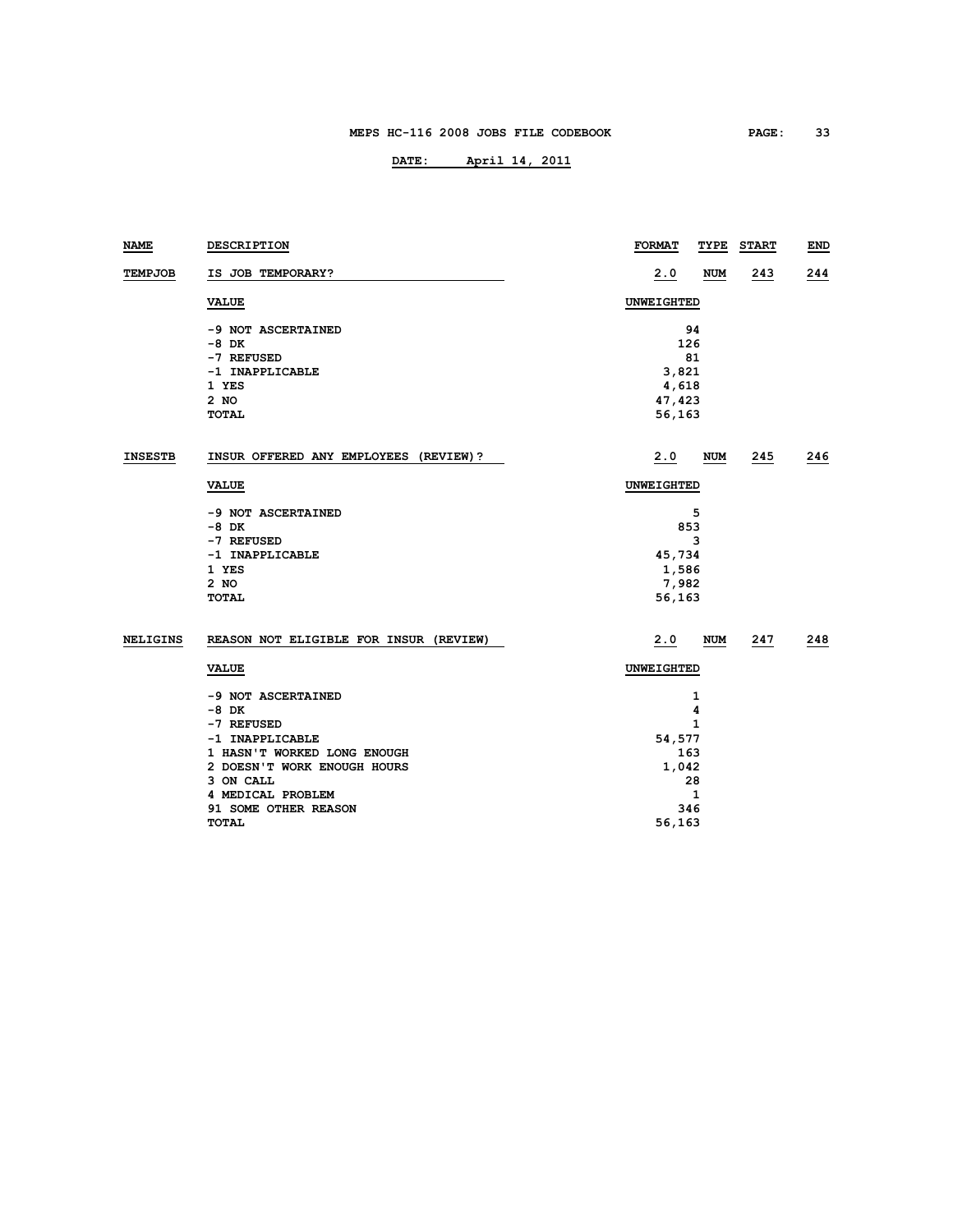## **DATE: April 14, 2011**

| NAME            | DESCRIPTION                            | <b>FORMAT</b> | TYPE         | <b>START</b> | <b>END</b> |
|-----------------|----------------------------------------|---------------|--------------|--------------|------------|
| TEMPJOB         | IS JOB TEMPORARY?                      | 2.0           | <b>NUM</b>   | 243          | 244        |
|                 | <b>VALUE</b>                           | UNWEIGHTED    |              |              |            |
|                 | -9 NOT ASCERTAINED                     |               | 94           |              |            |
|                 | $-8$ DK                                |               | 126          |              |            |
|                 | -7 REFUSED                             |               | 81           |              |            |
|                 | -1 INAPPLICABLE                        | 3,821         |              |              |            |
|                 | 1 YES                                  | 4,618         |              |              |            |
|                 | 2 NO                                   | 47,423        |              |              |            |
|                 | <b>TOTAL</b>                           | 56,163        |              |              |            |
| <b>INSESTB</b>  | INSUR OFFERED ANY EMPLOYEES (REVIEW)?  | 2.0           | NUM          | 245          | 246        |
|                 | <b>VALUE</b>                           | UNWEIGHTED    |              |              |            |
|                 | -9 NOT ASCERTAINED                     |               | 5            |              |            |
|                 | $-8$ DK                                |               | 853          |              |            |
|                 | -7 REFUSED                             |               | 3            |              |            |
|                 | -1 INAPPLICABLE                        | 45,734        |              |              |            |
|                 | 1 YES                                  | 1,586         |              |              |            |
|                 | $2$ NO                                 | 7,982         |              |              |            |
|                 | <b>TOTAL</b>                           | 56,163        |              |              |            |
| <b>NELIGINS</b> | REASON NOT ELIGIBLE FOR INSUR (REVIEW) | 2.0           | <b>NUM</b>   | 247          | 248        |
|                 | <b>VALUE</b>                           | UNWEIGHTED    |              |              |            |
|                 | -9 NOT ASCERTAINED                     |               | 1            |              |            |
|                 | $-8$ DK                                | 4             |              |              |            |
|                 | -7 REFUSED                             | $\mathbf{1}$  |              |              |            |
|                 | -1 INAPPLICABLE                        | 54,577        |              |              |            |
|                 | 1 HASN'T WORKED LONG ENOUGH            | 163           |              |              |            |
|                 | 2 DOESN'T WORK ENOUGH HOURS            | 1,042         |              |              |            |
|                 | 3 ON CALL                              |               | 28           |              |            |
|                 | 4 MEDICAL PROBLEM                      |               | $\mathbf{1}$ |              |            |
|                 | 91 SOME OTHER REASON                   |               | 346          |              |            |

**TOTAL 56,163**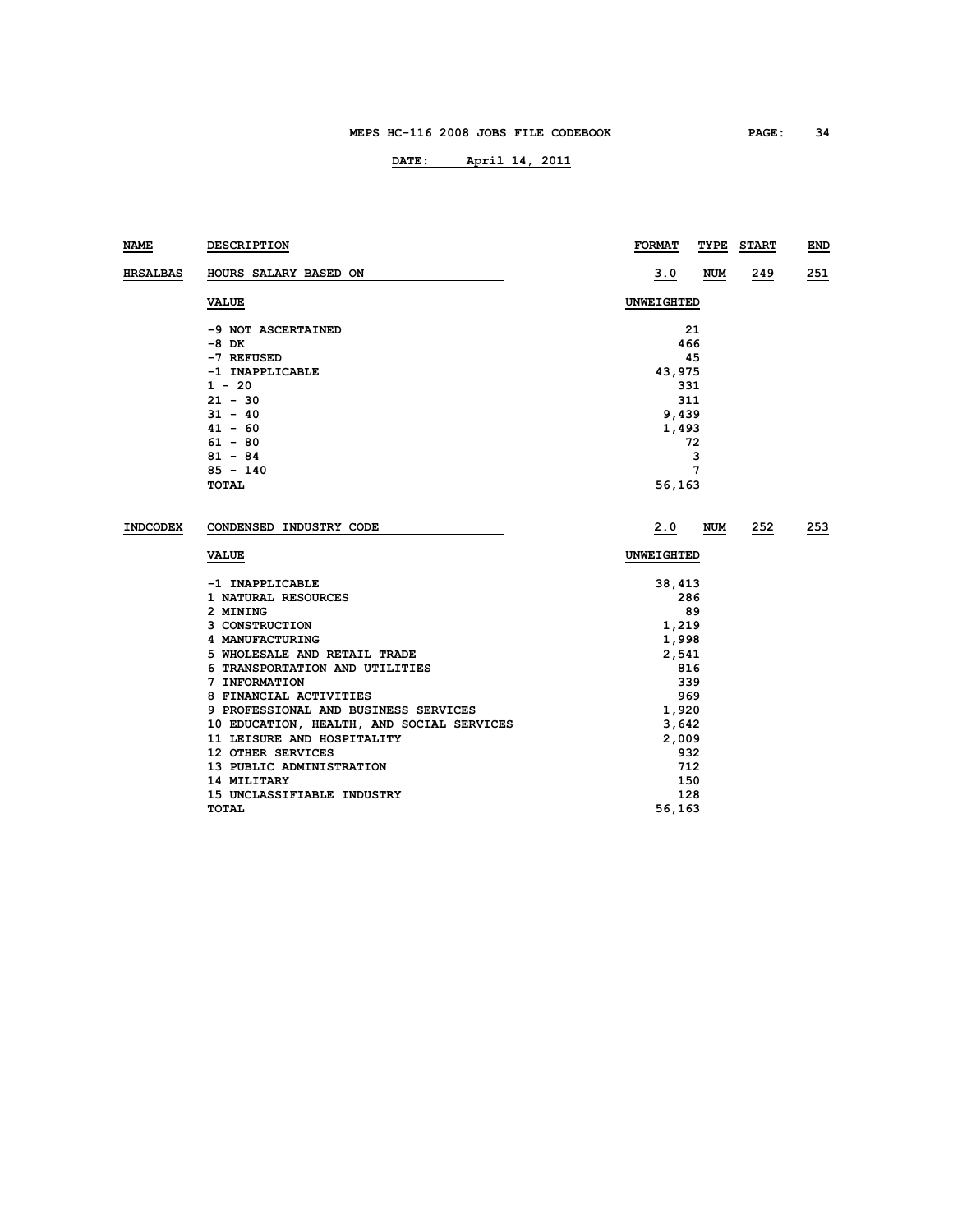| NAME            | DESCRIPTION                               | <b>FORMAT</b> | TYPE<br><b>START</b> | END |
|-----------------|-------------------------------------------|---------------|----------------------|-----|
| <b>HRSALBAS</b> | HOURS SALARY BASED ON                     | <u>3.0</u>    | <b>NUM</b><br>249    | 251 |
|                 | <b>VALUE</b>                              | UNWEIGHTED    |                      |     |
|                 | -9 NOT ASCERTAINED                        | 21            |                      |     |
|                 | -8 DK                                     | 466           |                      |     |
|                 | -7 REFUSED                                | 45            |                      |     |
|                 | -1 INAPPLICABLE                           | 43,975        |                      |     |
|                 | $1 - 20$                                  | 331           |                      |     |
|                 | $21 - 30$                                 | 311           |                      |     |
|                 | $31 - 40$                                 | 9,439         |                      |     |
|                 | $41 - 60$                                 | 1,493         |                      |     |
|                 | $61 - 80$                                 | 72            |                      |     |
|                 | $81 - 84$                                 | 3<br>7        |                      |     |
|                 | $85 - 140$                                |               |                      |     |
|                 | TOTAL                                     | 56,163        |                      |     |
| <b>INDCODEX</b> | CONDENSED INDUSTRY CODE                   | 2.0           | NUM<br>252           | 253 |
|                 | <b>VALUE</b>                              | UNWEIGHTED    |                      |     |
|                 | -1 INAPPLICABLE                           | 38,413        |                      |     |
|                 | 1 NATURAL RESOURCES                       | 286           |                      |     |
|                 | 2 MINING                                  | 89            |                      |     |
|                 | 3 CONSTRUCTION                            | 1,219         |                      |     |
|                 | 4 MANUFACTURING                           | 1,998         |                      |     |
|                 | 5 WHOLESALE AND RETAIL TRADE              | 2,541         |                      |     |
|                 | 6 TRANSPORTATION AND UTILITIES            | 816           |                      |     |
|                 | 7 INFORMATION                             | 339           |                      |     |
|                 | 8 FINANCIAL ACTIVITIES                    | 969           |                      |     |
|                 | 9 PROFESSIONAL AND BUSINESS SERVICES      | 1,920         |                      |     |
|                 | 10 EDUCATION, HEALTH, AND SOCIAL SERVICES | 3,642         |                      |     |
|                 | 11 LEISURE AND HOSPITALITY                | 2,009         |                      |     |
|                 | 12 OTHER SERVICES                         | 932           |                      |     |
|                 | 13 PUBLIC ADMINISTRATION                  | 712           |                      |     |
|                 | 14 MILITARY                               | 150           |                      |     |
|                 | 15 UNCLASSIFIABLE INDUSTRY                | 128           |                      |     |
|                 | <b>TOTAL</b>                              | 56,163        |                      |     |